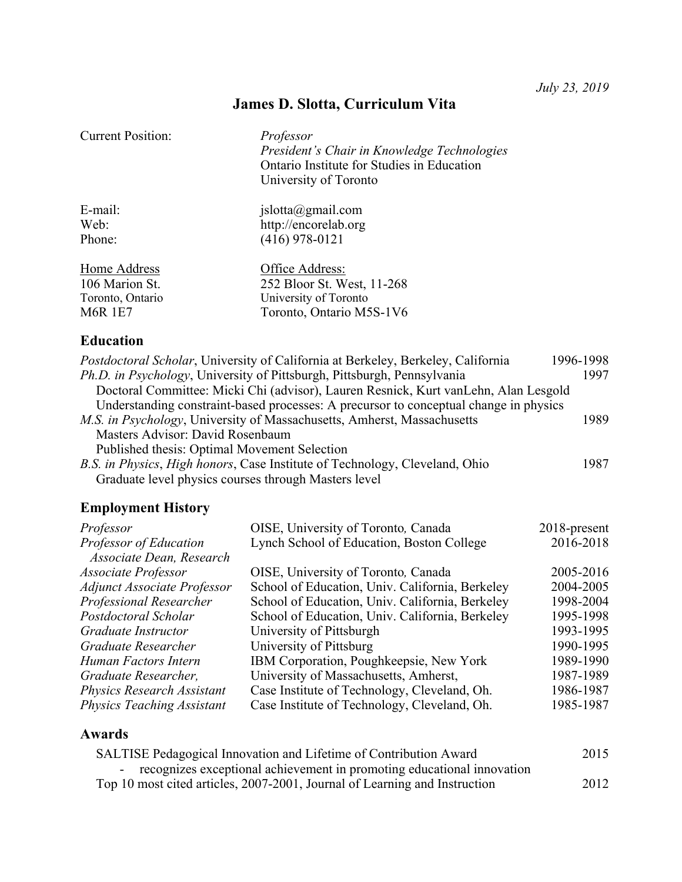# **James D. Slotta, Curriculum Vita**

| <b>Current Position:</b> | Professor<br>President's Chair in Knowledge Technologies<br>Ontario Institute for Studies in Education<br>University of Toronto |
|--------------------------|---------------------------------------------------------------------------------------------------------------------------------|
| E-mail:                  | jslotta@gmail.com                                                                                                               |
| Web:                     | http://encorelab.org                                                                                                            |
| Phone:                   | $(416)$ 978-0121                                                                                                                |
| Home Address             | Office Address:                                                                                                                 |
| 106 Marion St.           | 252 Bloor St. West, 11-268                                                                                                      |
| Toronto, Ontario         | University of Toronto                                                                                                           |
| <b>M6R 1E7</b>           | Toronto, Ontario M5S-1V6                                                                                                        |

## **Education**

| Postdoctoral Scholar, University of California at Berkeley, Berkeley, California      | 1996-1998 |
|---------------------------------------------------------------------------------------|-----------|
| Ph.D. in Psychology, University of Pittsburgh, Pittsburgh, Pennsylvania               | 1997      |
| Doctoral Committee: Micki Chi (advisor), Lauren Resnick, Kurt van Lehn, Alan Lesgold  |           |
| Understanding constraint-based processes: A precursor to conceptual change in physics |           |
| M.S. in Psychology, University of Massachusetts, Amherst, Massachusetts               | 1989      |
| Masters Advisor: David Rosenbaum                                                      |           |
| Published thesis: Optimal Movement Selection                                          |           |
| B.S. in Physics, High honors, Case Institute of Technology, Cleveland, Ohio           | 1987      |
| Graduate level physics courses through Masters level                                  |           |

## **Employment History**

| Professor                          | OISE, University of Toronto, Canada             | 2018-present |
|------------------------------------|-------------------------------------------------|--------------|
| Professor of Education             | Lynch School of Education, Boston College       | 2016-2018    |
| Associate Dean, Research           |                                                 |              |
| Associate Professor                | OISE, University of Toronto, Canada             | 2005-2016    |
| <b>Adjunct Associate Professor</b> | School of Education, Univ. California, Berkeley | 2004-2005    |
| Professional Researcher            | School of Education, Univ. California, Berkeley | 1998-2004    |
| Postdoctoral Scholar               | School of Education, Univ. California, Berkeley | 1995-1998    |
| Graduate Instructor                | University of Pittsburgh                        | 1993-1995    |
| Graduate Researcher                | University of Pittsburg                         | 1990-1995    |
| Human Factors Intern               | IBM Corporation, Poughkeepsie, New York         | 1989-1990    |
| Graduate Researcher,               | University of Massachusetts, Amherst,           | 1987-1989    |
| <b>Physics Research Assistant</b>  | Case Institute of Technology, Cleveland, Oh.    | 1986-1987    |
| <b>Physics Teaching Assistant</b>  | Case Institute of Technology, Cleveland, Oh.    | 1985-1987    |

## **Awards**

| SALTISE Pedagogical Innovation and Lifetime of Contribution Award          |      |
|----------------------------------------------------------------------------|------|
| - recognizes exceptional achievement in promoting educational innovation   |      |
| Top 10 most cited articles, 2007-2001, Journal of Learning and Instruction | 2012 |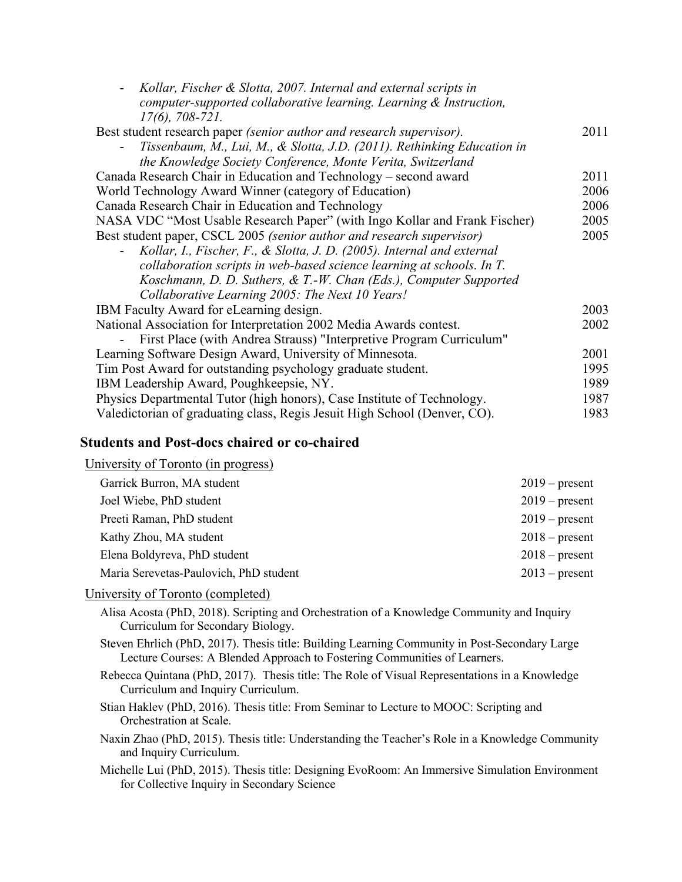| Kollar, Fischer & Slotta, 2007. Internal and external scripts in             |      |
|------------------------------------------------------------------------------|------|
| computer-supported collaborative learning. Learning & Instruction,           |      |
| $17(6)$ , 708-721.                                                           |      |
| Best student research paper <i>(senior author and research supervisor)</i> . | 2011 |
| Tissenbaum, M., Lui, M., & Slotta, J.D. (2011). Rethinking Education in      |      |
| the Knowledge Society Conference, Monte Verita, Switzerland                  |      |
| Canada Research Chair in Education and Technology – second award             | 2011 |
| World Technology Award Winner (category of Education)                        | 2006 |
| Canada Research Chair in Education and Technology                            | 2006 |
| NASA VDC "Most Usable Research Paper" (with Ingo Kollar and Frank Fischer)   | 2005 |
| Best student paper, CSCL 2005 (senior author and research supervisor)        | 2005 |
| Kollar, I., Fischer, F., & Slotta, J. D. (2005). Internal and external       |      |
| collaboration scripts in web-based science learning at schools. In T.        |      |
| Koschmann, D. D. Suthers, & T.-W. Chan (Eds.), Computer Supported            |      |
| Collaborative Learning 2005: The Next 10 Years!                              |      |
| IBM Faculty Award for eLearning design.                                      | 2003 |
| National Association for Interpretation 2002 Media Awards contest.           | 2002 |
| First Place (with Andrea Strauss) "Interpretive Program Curriculum"          |      |
| Learning Software Design Award, University of Minnesota.                     | 2001 |
| Tim Post Award for outstanding psychology graduate student.                  | 1995 |
| IBM Leadership Award, Poughkeepsie, NY.                                      | 1989 |
| Physics Departmental Tutor (high honors), Case Institute of Technology.      | 1987 |
| Valedictorian of graduating class, Regis Jesuit High School (Denver, CO).    | 1983 |

### **Students and Post-docs chaired or co-chaired**

University of Toronto (in progress)

| Garrick Burron, MA student             | $2019$ – present |
|----------------------------------------|------------------|
| Joel Wiebe, PhD student                | $2019$ – present |
| Preeti Raman, PhD student              | $2019$ – present |
| Kathy Zhou, MA student                 | $2018$ – present |
| Elena Boldyreva, PhD student           | $2018$ – present |
| Maria Serevetas-Paulovich, PhD student | $2013$ – present |

### University of Toronto (completed)

Alisa Acosta (PhD, 2018). Scripting and Orchestration of a Knowledge Community and Inquiry Curriculum for Secondary Biology.

- Steven Ehrlich (PhD, 2017). Thesis title: Building Learning Community in Post-Secondary Large Lecture Courses: A Blended Approach to Fostering Communities of Learners.
- Rebecca Quintana (PhD, 2017). Thesis title: The Role of Visual Representations in a Knowledge Curriculum and Inquiry Curriculum.

Stian Haklev (PhD, 2016). Thesis title: From Seminar to Lecture to MOOC: Scripting and Orchestration at Scale.

Naxin Zhao (PhD, 2015). Thesis title: Understanding the Teacher's Role in a Knowledge Community and Inquiry Curriculum.

Michelle Lui (PhD, 2015). Thesis title: Designing EvoRoom: An Immersive Simulation Environment for Collective Inquiry in Secondary Science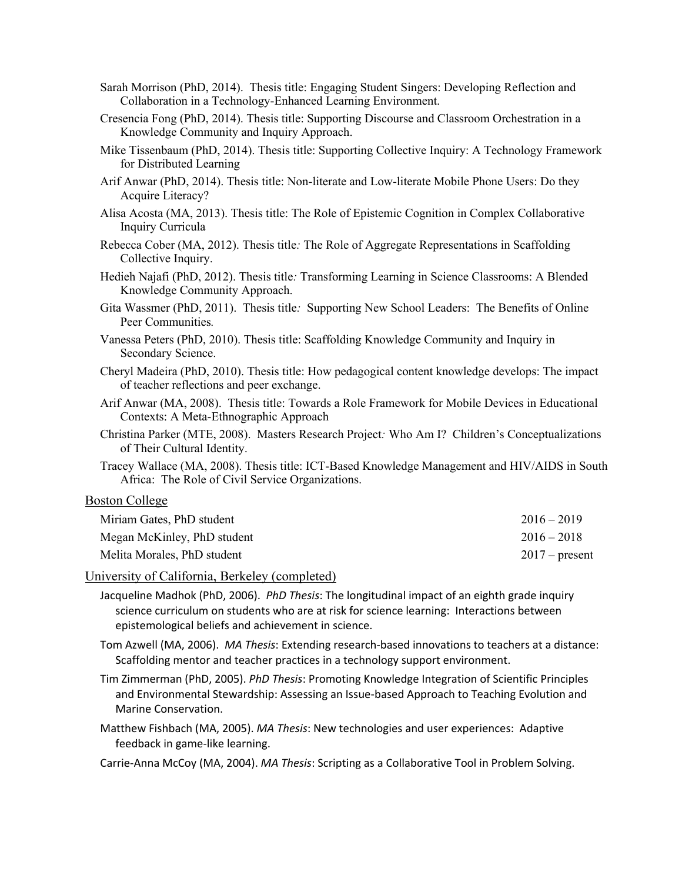- Sarah Morrison (PhD, 2014). Thesis title: Engaging Student Singers: Developing Reflection and Collaboration in a Technology-Enhanced Learning Environment.
- Cresencia Fong (PhD, 2014). Thesis title: Supporting Discourse and Classroom Orchestration in a Knowledge Community and Inquiry Approach.
- Mike Tissenbaum (PhD, 2014). Thesis title: Supporting Collective Inquiry: A Technology Framework for Distributed Learning
- Arif Anwar (PhD, 2014). Thesis title: Non-literate and Low-literate Mobile Phone Users: Do they Acquire Literacy?
- Alisa Acosta (MA, 2013). Thesis title: The Role of Epistemic Cognition in Complex Collaborative Inquiry Curricula
- Rebecca Cober (MA, 2012). Thesis title*:* The Role of Aggregate Representations in Scaffolding Collective Inquiry.
- Hedieh Najafi (PhD, 2012). Thesis title*:* Transforming Learning in Science Classrooms: A Blended Knowledge Community Approach.
- Gita Wassmer (PhD, 2011). Thesis title*:* Supporting New School Leaders: The Benefits of Online Peer Communities*.*
- Vanessa Peters (PhD, 2010). Thesis title: Scaffolding Knowledge Community and Inquiry in Secondary Science.
- Cheryl Madeira (PhD, 2010). Thesis title: How pedagogical content knowledge develops: The impact of teacher reflections and peer exchange.
- Arif Anwar (MA, 2008). Thesis title: Towards a Role Framework for Mobile Devices in Educational Contexts: A Meta-Ethnographic Approach
- Christina Parker (MTE, 2008). Masters Research Project*:* Who Am I? Children's Conceptualizations of Their Cultural Identity.
- Tracey Wallace (MA, 2008). Thesis title: ICT-Based Knowledge Management and HIV/AIDS in South Africa: The Role of Civil Service Organizations.

### Boston College

| Miriam Gates, PhD student   | $2016 - 2019$    |
|-----------------------------|------------------|
| Megan McKinley, PhD student | $2016 - 2018$    |
| Melita Morales, PhD student | $2017$ – present |

### University of California, Berkeley (completed)

Jacqueline Madhok (PhD, 2006). *PhD Thesis*: The longitudinal impact of an eighth grade inquiry science curriculum on students who are at risk for science learning: Interactions between epistemological beliefs and achievement in science.

- Tom Azwell (MA, 2006). *MA Thesis*: Extending research-based innovations to teachers at a distance: Scaffolding mentor and teacher practices in a technology support environment.
- Tim Zimmerman (PhD, 2005). *PhD Thesis*: Promoting Knowledge Integration of Scientific Principles and Environmental Stewardship: Assessing an Issue-based Approach to Teaching Evolution and Marine Conservation.
- Matthew Fishbach (MA, 2005). *MA Thesis*: New technologies and user experiences: Adaptive feedback in game-like learning.
- Carrie-Anna McCoy (MA, 2004). *MA Thesis*: Scripting as a Collaborative Tool in Problem Solving.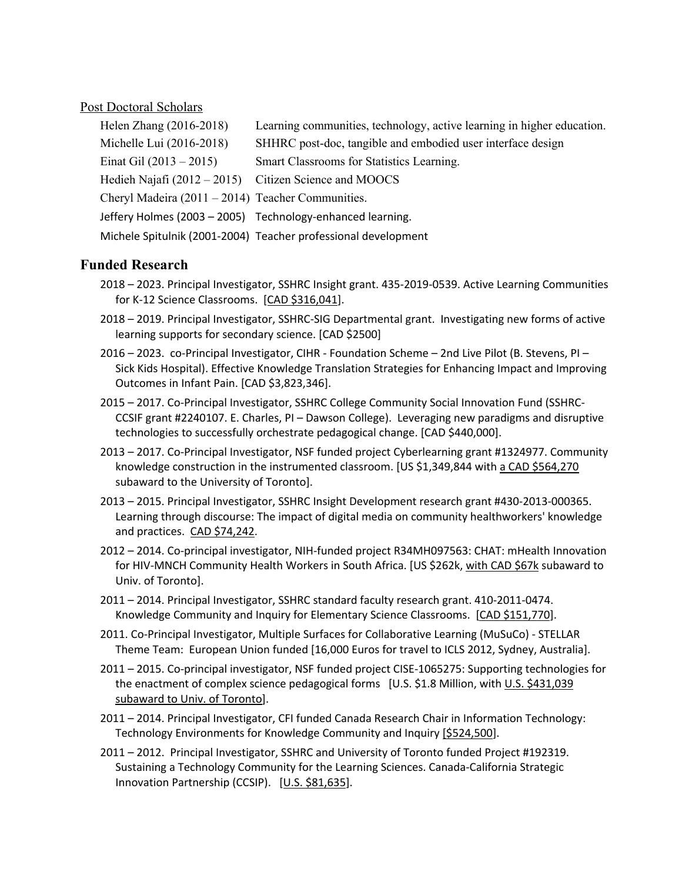### Post Doctoral Scholars

| Helen Zhang (2016-2018)                                 | Learning communities, technology, active learning in higher education. |
|---------------------------------------------------------|------------------------------------------------------------------------|
| Michelle Lui (2016-2018)                                | SHHRC post-doc, tangible and embodied user interface design            |
| Einat Gil $(2013 - 2015)$                               | Smart Classrooms for Statistics Learning.                              |
| Hedieh Najafi $(2012 – 2015)$ Citizen Science and MOOCS |                                                                        |
| Cheryl Madeira $(2011 - 2014)$ Teacher Communities.     |                                                                        |
|                                                         | Jeffery Holmes (2003 - 2005) Technology-enhanced learning.             |
|                                                         | Michele Spitulnik (2001-2004) Teacher professional development         |

### **Funded Research**

- 2018 2023. Principal Investigator, SSHRC Insight grant. 435-2019-0539. Active Learning Communities for K-12 Science Classrooms. [CAD \$316,041].
- 2018 2019. Principal Investigator, SSHRC-SIG Departmental grant. Investigating new forms of active learning supports for secondary science. [CAD \$2500]
- 2016 2023. co-Principal Investigator, CIHR Foundation Scheme 2nd Live Pilot (B. Stevens, PI Sick Kids Hospital). Effective Knowledge Translation Strategies for Enhancing Impact and Improving Outcomes in Infant Pain. [CAD \$3,823,346].
- 2015 2017. Co-Principal Investigator, SSHRC College Community Social Innovation Fund (SSHRC-CCSIF grant #2240107. E. Charles, PI – Dawson College). Leveraging new paradigms and disruptive technologies to successfully orchestrate pedagogical change. [CAD \$440,000].
- 2013 2017. Co-Principal Investigator, NSF funded project Cyberlearning grant #1324977. Community knowledge construction in the instrumented classroom. [US \$1,349,844 with a CAD \$564,270 subaward to the University of Toronto].
- 2013 2015. Principal Investigator, SSHRC Insight Development research grant #430-2013-000365. Learning through discourse: The impact of digital media on community healthworkers' knowledge and practices. CAD \$74,242.
- 2012 2014. Co-principal investigator, NIH-funded project R34MH097563: CHAT: mHealth Innovation for HIV-MNCH Community Health Workers in South Africa. [US \$262k, with CAD \$67k subaward to Univ. of Toronto].
- 2011 2014. Principal Investigator, SSHRC standard faculty research grant. 410-2011-0474. Knowledge Community and Inquiry for Elementary Science Classrooms. [CAD \$151,770].
- 2011. Co-Principal Investigator, Multiple Surfaces for Collaborative Learning (MuSuCo) STELLAR Theme Team: European Union funded [16,000 Euros for travel to ICLS 2012, Sydney, Australia].
- 2011 2015. Co-principal investigator, NSF funded project CISE-1065275: Supporting technologies for the enactment of complex science pedagogical forms [U.S. \$1.8 Million, with U.S. \$431,039 subaward to Univ. of Torontol.
- 2011 2014. Principal Investigator, CFI funded Canada Research Chair in Information Technology: Technology Environments for Knowledge Community and Inquiry [\$524,500].
- 2011 2012. Principal Investigator, SSHRC and University of Toronto funded Project #192319. Sustaining a Technology Community for the Learning Sciences. Canada-California Strategic Innovation Partnership (CCSIP). [U.S. \$81,635].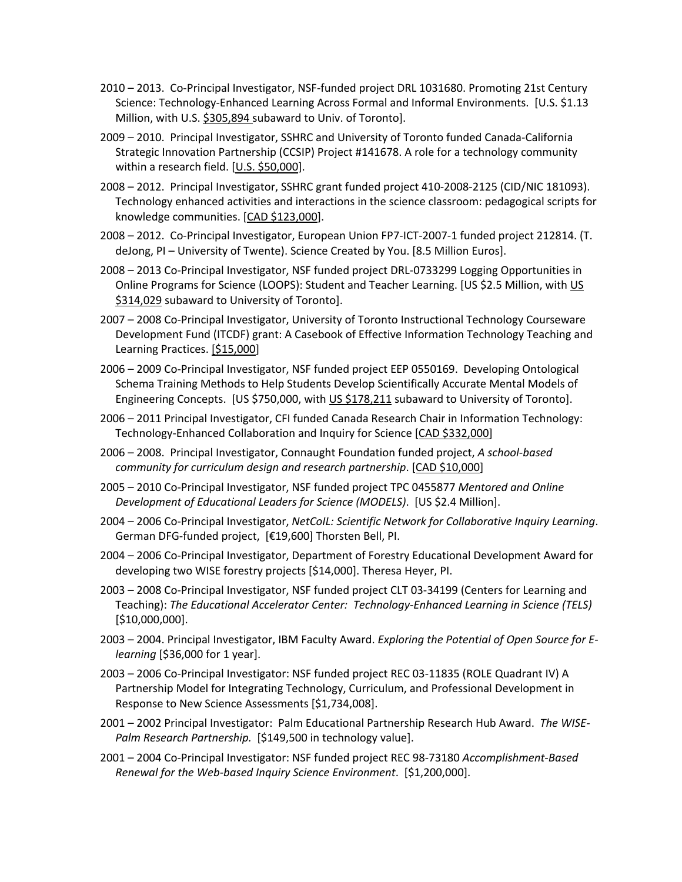- 2010 2013. Co-Principal Investigator, NSF-funded project DRL 1031680. Promoting 21st Century Science: Technology-Enhanced Learning Across Formal and Informal Environments. [U.S. \$1.13 Million, with U.S. \$305,894 subaward to Univ. of Toronto].
- 2009 2010. Principal Investigator, SSHRC and University of Toronto funded Canada-California Strategic Innovation Partnership (CCSIP) Project #141678. A role for a technology community within a research field. [U.S. \$50,000].
- 2008 2012. Principal Investigator, SSHRC grant funded project 410-2008-2125 (CID/NIC 181093). Technology enhanced activities and interactions in the science classroom: pedagogical scripts for knowledge communities. [CAD \$123,000].
- 2008 2012. Co-Principal Investigator, European Union FP7-ICT-2007-1 funded project 212814. (T. deJong, PI – University of Twente). Science Created by You. [8.5 Million Euros].
- 2008 2013 Co-Principal Investigator, NSF funded project DRL-0733299 Logging Opportunities in Online Programs for Science (LOOPS): Student and Teacher Learning. [US \$2.5 Million, with US \$314,029 subaward to University of Toronto].
- 2007 2008 Co-Principal Investigator, University of Toronto Instructional Technology Courseware Development Fund (ITCDF) grant: A Casebook of Effective Information Technology Teaching and Learning Practices. [\$15,000]
- 2006 2009 Co-Principal Investigator, NSF funded project EEP 0550169. Developing Ontological Schema Training Methods to Help Students Develop Scientifically Accurate Mental Models of Engineering Concepts. [US \$750,000, with US \$178,211 subaward to University of Toronto].
- 2006 2011 Principal Investigator, CFI funded Canada Research Chair in Information Technology: Technology-Enhanced Collaboration and Inquiry for Science [CAD \$332,000]
- 2006 2008. Principal Investigator, Connaught Foundation funded project, *A school-based community for curriculum design and research partnership*. [CAD \$10,000]
- 2005 2010 Co-Principal Investigator, NSF funded project TPC 0455877 *Mentored and Online Development of Educational Leaders for Science (MODELS)*. [US \$2.4 Million].
- 2004 2006 Co-Principal Investigator, *NetCoIL: Scientific Network for Collaborative Inquiry Learning*. German DFG-funded project, [€19,600] Thorsten Bell, PI.
- 2004 2006 Co-Principal Investigator, Department of Forestry Educational Development Award for developing two WISE forestry projects [\$14,000]. Theresa Heyer, PI.
- 2003 2008 Co-Principal Investigator, NSF funded project CLT 03-34199 (Centers for Learning and Teaching): *The Educational Accelerator Center: Technology-Enhanced Learning in Science (TELS)* [\$10,000,000].
- 2003 2004. Principal Investigator, IBM Faculty Award. *Exploring the Potential of Open Source for Elearning* [\$36,000 for 1 year].
- 2003 2006 Co-Principal Investigator: NSF funded project REC 03-11835 (ROLE Quadrant IV) A Partnership Model for Integrating Technology, Curriculum, and Professional Development in Response to New Science Assessments [\$1,734,008].
- 2001 2002 Principal Investigator: Palm Educational Partnership Research Hub Award. *The WISE-Palm Research Partnership.* [\$149,500 in technology value].
- 2001 2004 Co-Principal Investigator: NSF funded project REC 98-73180 *Accomplishment-Based Renewal for the Web-based Inquiry Science Environment*. [\$1,200,000].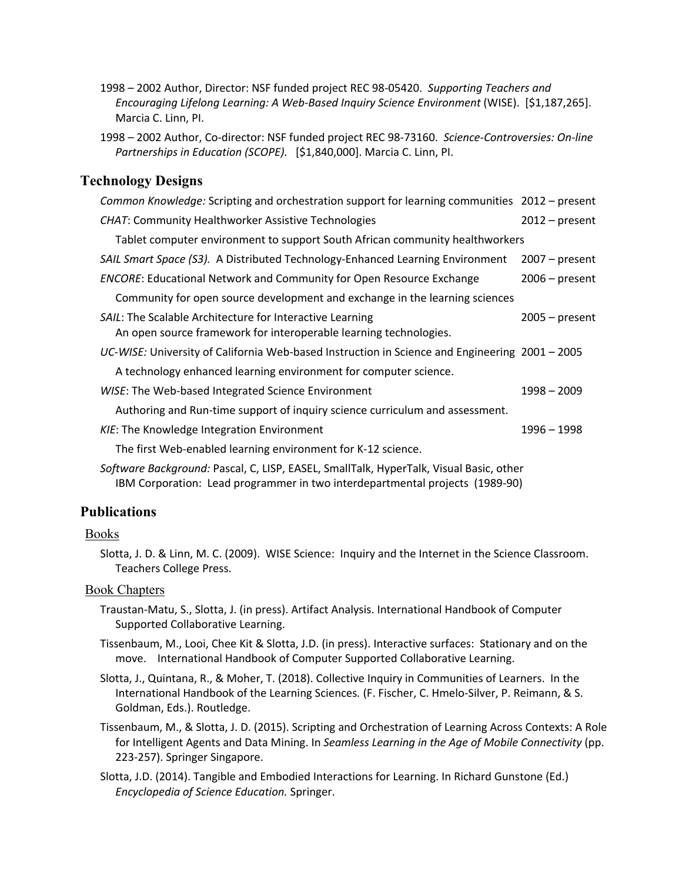- 1998 2002 Author, Director: NSF funded project REC 98-05420. *Supporting Teachers and Encouraging Lifelong Learning: A Web-Based Inquiry Science Environment* (WISE). [\$1,187,265]. Marcia C. Linn, PI.
- 1998 2002 Author, Co-director: NSF funded project REC 98-73160. *Science-Controversies: On-line Partnerships in Education (SCOPE)*. [\$1,840,000]. Marcia C. Linn, PI.

### **Technology Designs**

| Common Knowledge: Scripting and orchestration support for learning communities 2012 - present                                 |                  |  |
|-------------------------------------------------------------------------------------------------------------------------------|------------------|--|
| <b>CHAT: Community Healthworker Assistive Technologies</b>                                                                    | $2012$ – present |  |
| Tablet computer environment to support South African community healthworkers                                                  |                  |  |
| SAIL Smart Space (S3). A Distributed Technology-Enhanced Learning Environment                                                 | $2007 - present$ |  |
| <b>ENCORE:</b> Educational Network and Community for Open Resource Exchange                                                   | $2006$ – present |  |
| Community for open source development and exchange in the learning sciences                                                   |                  |  |
| SAIL: The Scalable Architecture for Interactive Learning<br>An open source framework for interoperable learning technologies. | $2005 - present$ |  |
| UC-WISE: University of California Web-based Instruction in Science and Engineering 2001 - 2005                                |                  |  |
| A technology enhanced learning environment for computer science.                                                              |                  |  |
| WISE: The Web-based Integrated Science Environment                                                                            | 1998 - 2009      |  |
| Authoring and Run-time support of inquiry science curriculum and assessment.                                                  |                  |  |
| KIE: The Knowledge Integration Environment                                                                                    | 1996 - 1998      |  |
| The first Web-enabled learning environment for K-12 science.                                                                  |                  |  |
| Software Background: Pascal, C, LISP, EASEL, SmallTalk, HyperTalk, Visual Basic, other                                        |                  |  |

IBM Corporation: Lead programmer in two interdepartmental projects (1989-90)

### **Publications**

### Books

Slotta, J. D. & Linn, M. C. (2009). WISE Science: Inquiry and the Internet in the Science Classroom. Teachers College Press.

### Book Chapters

- Traustan-Matu, S., Slotta, J. (in press). Artifact Analysis. International Handbook of Computer Supported Collaborative Learning.
- Tissenbaum, M., Looi, Chee Kit & Slotta, J.D. (in press). Interactive surfaces: Stationary and on the move. International Handbook of Computer Supported Collaborative Learning.
- Slotta, J., Quintana, R., & Moher, T. (2018). Collective Inquiry in Communities of Learners. In the International Handbook of the Learning Sciences*.* (F. Fischer, C. Hmelo-Silver, P. Reimann, & S. Goldman, Eds.). Routledge.
- Tissenbaum, M., & Slotta, J. D. (2015). Scripting and Orchestration of Learning Across Contexts: A Role for Intelligent Agents and Data Mining. In *Seamless Learning in the Age of Mobile Connectivity* (pp. 223-257). Springer Singapore.
- Slotta, J.D. (2014). Tangible and Embodied Interactions for Learning. In Richard Gunstone (Ed.) *Encyclopedia of Science Education.* Springer.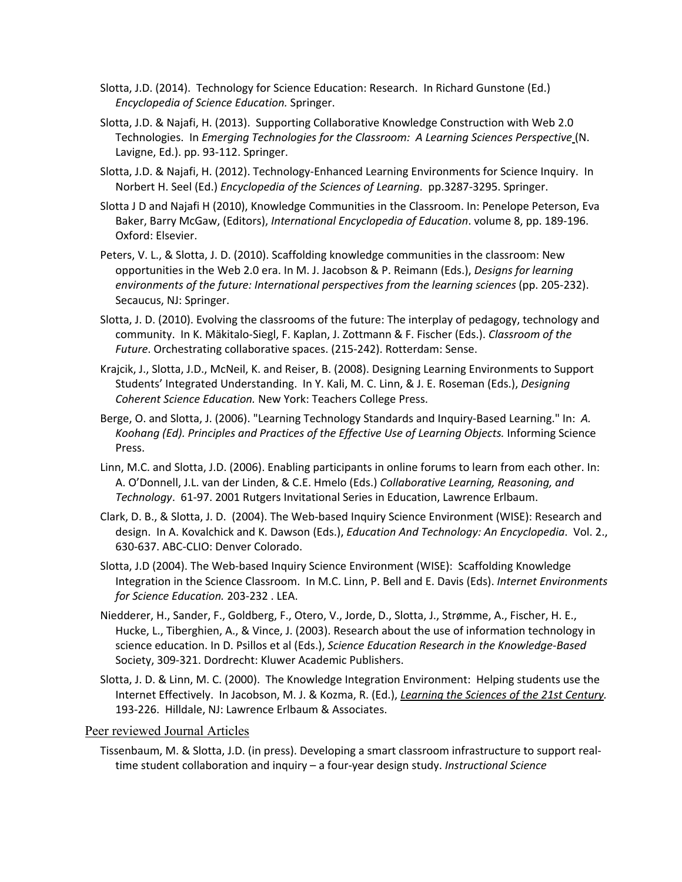- Slotta, J.D. (2014). Technology for Science Education: Research. In Richard Gunstone (Ed.) *Encyclopedia of Science Education.* Springer.
- Slotta, J.D. & Najafi, H. (2013). Supporting Collaborative Knowledge Construction with Web 2.0 Technologies. In *Emerging Technologies for the Classroom: A Learning Sciences Perspective* (N. Lavigne, Ed.). pp. 93-112. Springer.
- Slotta, J.D. & Najafi, H. (2012). Technology-Enhanced Learning Environments for Science Inquiry. In Norbert H. Seel (Ed.) *Encyclopedia of the Sciences of Learning*. pp.3287-3295. Springer.
- Slotta J D and Najafi H (2010), Knowledge Communities in the Classroom. In: Penelope Peterson, Eva Baker, Barry McGaw, (Editors), *International Encyclopedia of Education*. volume 8, pp. 189-196. Oxford: Elsevier.
- Peters, V. L., & Slotta, J. D. (2010). Scaffolding knowledge communities in the classroom: New opportunities in the Web 2.0 era. In M. J. Jacobson & P. Reimann (Eds.), *Designs for learning environments of the future: International perspectives from the learning sciences* (pp. 205-232). Secaucus, NJ: Springer.
- Slotta, J. D. (2010). Evolving the classrooms of the future: The interplay of pedagogy, technology and community. In K. Mäkitalo-Siegl, F. Kaplan, J. Zottmann & F. Fischer (Eds.). *Classroom of the Future*. Orchestrating collaborative spaces. (215-242). Rotterdam: Sense.
- Krajcik, J., Slotta, J.D., McNeil, K. and Reiser, B. (2008). Designing Learning Environments to Support Students' Integrated Understanding. In Y. Kali, M. C. Linn, & J. E. Roseman (Eds.), *Designing Coherent Science Education.* New York: Teachers College Press.
- Berge, O. and Slotta, J. (2006). "Learning Technology Standards and Inquiry-Based Learning." In: *A. Koohang (Ed). Principles and Practices of the Effective Use of Learning Objects.* Informing Science Press.
- Linn, M.C. and Slotta, J.D. (2006). Enabling participants in online forums to learn from each other. In: A. O'Donnell, J.L. van der Linden, & C.E. Hmelo (Eds.) *Collaborative Learning, Reasoning, and Technology*. 61-97. 2001 Rutgers Invitational Series in Education, Lawrence Erlbaum.
- Clark, D. B., & Slotta, J. D. (2004). The Web-based Inquiry Science Environment (WISE): Research and design. In A. Kovalchick and K. Dawson (Eds.), *Education And Technology: An Encyclopedia*. Vol. 2., 630-637. ABC-CLIO: Denver Colorado.
- Slotta, J.D (2004). The Web-based Inquiry Science Environment (WISE): Scaffolding Knowledge Integration in the Science Classroom. In M.C. Linn, P. Bell and E. Davis (Eds). *Internet Environments for Science Education.* 203-232 . LEA.
- Niedderer, H., Sander, F., Goldberg, F., Otero, V., Jorde, D., Slotta, J., Strømme, A., Fischer, H. E., Hucke, L., Tiberghien, A., & Vince, J. (2003). Research about the use of information technology in science education. In D. Psillos et al (Eds.), *Science Education Research in the Knowledge-Based* Society, 309-321. Dordrecht: Kluwer Academic Publishers.
- Slotta, J. D. & Linn, M. C. (2000). The Knowledge Integration Environment: Helping students use the Internet Effectively. In Jacobson, M. J. & Kozma, R. (Ed.), *Learning the Sciences of the 21st Century.* 193-226. Hilldale, NJ: Lawrence Erlbaum & Associates.

### Peer reviewed Journal Articles

Tissenbaum, M. & Slotta, J.D. (in press). Developing a smart classroom infrastructure to support realtime student collaboration and inquiry – a four-year design study. *Instructional Science*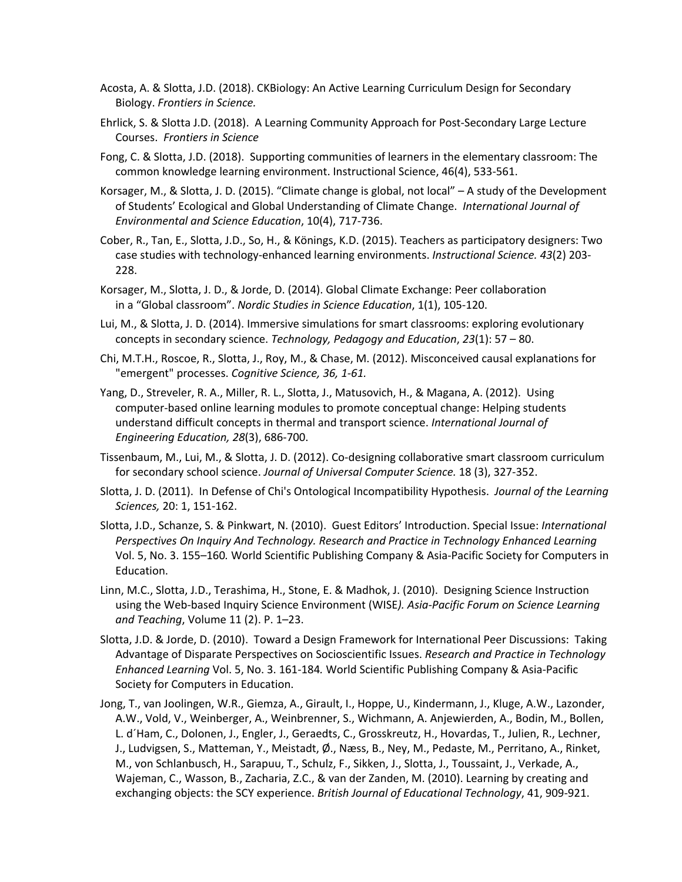- Acosta, A. & Slotta, J.D. (2018). CKBiology: An Active Learning Curriculum Design for Secondary Biology. *Frontiers in Science.*
- Ehrlick, S. & Slotta J.D. (2018). A Learning Community Approach for Post-Secondary Large Lecture Courses. *Frontiers in Science*
- Fong, C. & Slotta, J.D. (2018). Supporting communities of learners in the elementary classroom: The common knowledge learning environment. Instructional Science, 46(4), 533-561.
- Korsager, M., & Slotta, J. D. (2015). "Climate change is global, not local" A study of the Development of Students' Ecological and Global Understanding of Climate Change. *International Journal of Environmental and Science Education*, 10(4), 717-736.
- Cober, R., Tan, E., Slotta, J.D., So, H., & Könings, K.D. (2015). Teachers as participatory designers: Two case studies with technology-enhanced learning environments. *Instructional Science. 43*(2) 203- 228.
- Korsager, M., Slotta, J. D., & Jorde, D. (2014). Global Climate Exchange: Peer collaboration in a "Global classroom". *Nordic Studies in Science Education*, 1(1), 105-120.
- Lui, M., & Slotta, J. D. (2014). Immersive simulations for smart classrooms: exploring evolutionary concepts in secondary science. *Technology, Pedagogy and Education*, *23*(1): 57 – 80.
- Chi, M.T.H., Roscoe, R., Slotta, J., Roy, M., & Chase, M. (2012). Misconceived causal explanations for "emergent" processes. *Cognitive Science, 36, 1-61.*
- Yang, D., Streveler, R. A., Miller, R. L., Slotta, J., Matusovich, H., & Magana, A. (2012). Using computer-based online learning modules to promote conceptual change: Helping students understand difficult concepts in thermal and transport science. *International Journal of Engineering Education, 28*(3), 686-700.
- Tissenbaum, M., Lui, M., & Slotta, J. D. (2012). Co-designing collaborative smart classroom curriculum for secondary school science. *Journal of Universal Computer Science.* 18 (3), 327-352.
- Slotta, J. D. (2011). In Defense of Chi's Ontological Incompatibility Hypothesis. *Journal of the Learning Sciences,* 20: 1, 151-162.
- Slotta, J.D., Schanze, S. & Pinkwart, N. (2010). Guest Editors' Introduction. Special Issue: *International Perspectives On Inquiry And Technology. Research and Practice in Technology Enhanced Learning* Vol. 5, No. 3. 155–160*.* World Scientific Publishing Company & Asia-Pacific Society for Computers in Education.
- Linn, M.C., Slotta, J.D., Terashima, H., Stone, E. & Madhok, J. (2010). Designing Science Instruction using the Web-based Inquiry Science Environment (WISE*). Asia-Pacific Forum on Science Learning and Teaching*, Volume 11 (2). P. 1–23.
- Slotta, J.D. & Jorde, D. (2010). Toward a Design Framework for International Peer Discussions: Taking Advantage of Disparate Perspectives on Socioscientific Issues. *Research and Practice in Technology Enhanced Learning* Vol. 5, No. 3. 161-184*.* World Scientific Publishing Company & Asia-Pacific Society for Computers in Education.
- Jong, T., van Joolingen, W.R., Giemza, A., Girault, I., Hoppe, U., Kindermann, J., Kluge, A.W., Lazonder, A.W., Vold, V., Weinberger, A., Weinbrenner, S., Wichmann, A. Anjewierden, A., Bodin, M., Bollen, L. d´Ham, C., Dolonen, J., Engler, J., Geraedts, C., Grosskreutz, H., Hovardas, T., Julien, R., Lechner, J., Ludvigsen, S., Matteman, Y., Meistadt, Ø., Næss, B., Ney, M., Pedaste, M., Perritano, A., Rinket, M., von Schlanbusch, H., Sarapuu, T., Schulz, F., Sikken, J., Slotta, J., Toussaint, J., Verkade, A., Wajeman, C., Wasson, B., Zacharia, Z.C., & van der Zanden, M. (2010). Learning by creating and exchanging objects: the SCY experience. *British Journal of Educational Technology*, 41, 909-921.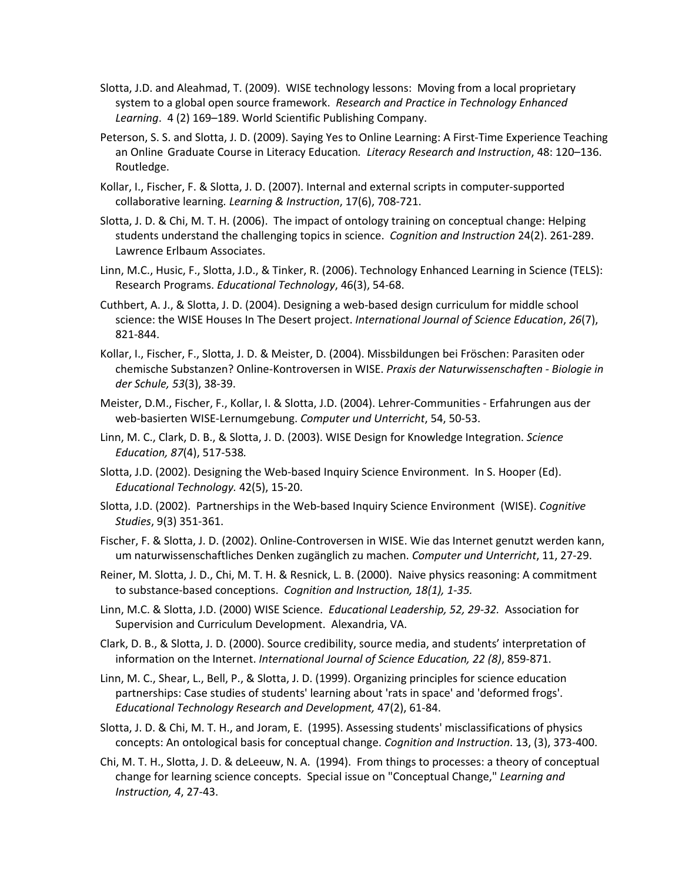- Slotta, J.D. and Aleahmad, T. (2009). WISE technology lessons: Moving from a local proprietary system to a global open source framework. *Research and Practice in Technology Enhanced Learning*. 4 (2) 169–189. World Scientific Publishing Company.
- Peterson, S. S. and Slotta, J. D. (2009). Saying Yes to Online Learning: A First-Time Experience Teaching an Online Graduate Course in Literacy Education*. Literacy Research and Instruction*, 48: 120–136. Routledge.
- Kollar, I., Fischer, F. & Slotta, J. D. (2007). Internal and external scripts in computer-supported collaborative learning*. Learning & Instruction*, 17(6), 708-721.
- Slotta, J. D. & Chi, M. T. H. (2006). The impact of ontology training on conceptual change: Helping students understand the challenging topics in science. *Cognition and Instruction* 24(2). 261-289. Lawrence Erlbaum Associates.
- Linn, M.C., Husic, F., Slotta, J.D., & Tinker, R. (2006). Technology Enhanced Learning in Science (TELS): Research Programs. *Educational Technology*, 46(3), 54-68.
- Cuthbert, A. J., & Slotta, J. D. (2004). Designing a web-based design curriculum for middle school science: the WISE Houses In The Desert project. *International Journal of Science Education*, *26*(7), 821-844.
- Kollar, I., Fischer, F., Slotta, J. D. & Meister, D. (2004). Missbildungen bei Fröschen: Parasiten oder chemische Substanzen? Online-Kontroversen in WISE. *Praxis der Naturwissenschaften - Biologie in der Schule, 53*(3), 38-39.
- Meister, D.M., Fischer, F., Kollar, I. & Slotta, J.D. (2004). Lehrer-Communities Erfahrungen aus der web-basierten WISE-Lernumgebung. *Computer und Unterricht*, 54, 50-53.
- Linn, M. C., Clark, D. B., & Slotta, J. D. (2003). WISE Design for Knowledge Integration. *Science Education, 87*(4), 517-538*.*
- Slotta, J.D. (2002). Designing the Web-based Inquiry Science Environment. In S. Hooper (Ed). *Educational Technology.* 42(5), 15-20.
- Slotta, J.D. (2002). Partnerships in the Web-based Inquiry Science Environment (WISE). *Cognitive Studies*, 9(3) 351-361.
- Fischer, F. & Slotta, J. D. (2002). Online-Controversen in WISE. Wie das Internet genutzt werden kann, um naturwissenschaftliches Denken zugänglich zu machen. *Computer und Unterricht*, 11, 27-29.
- Reiner, M. Slotta, J. D., Chi, M. T. H. & Resnick, L. B. (2000). Naive physics reasoning: A commitment to substance-based conceptions. *Cognition and Instruction, 18(1), 1-35.*
- Linn, M.C. & Slotta, J.D. (2000) WISE Science. *Educational Leadership, 52, 29-32.* Association for Supervision and Curriculum Development. Alexandria, VA.
- Clark, D. B., & Slotta, J. D. (2000). Source credibility, source media, and students' interpretation of information on the Internet. *International Journal of Science Education, 22 (8)*, 859-871.
- Linn, M. C., Shear, L., Bell, P., & Slotta, J. D. (1999). Organizing principles for science education partnerships: Case studies of students' learning about 'rats in space' and 'deformed frogs'. *Educational Technology Research and Development,* 47(2), 61-84.
- Slotta, J. D. & Chi, M. T. H., and Joram, E. (1995). Assessing students' misclassifications of physics concepts: An ontological basis for conceptual change. *Cognition and Instruction*. 13, (3), 373-400.
- Chi, M. T. H., Slotta, J. D. & deLeeuw, N. A. (1994). From things to processes: a theory of conceptual change for learning science concepts. Special issue on "Conceptual Change," *Learning and Instruction, 4*, 27-43.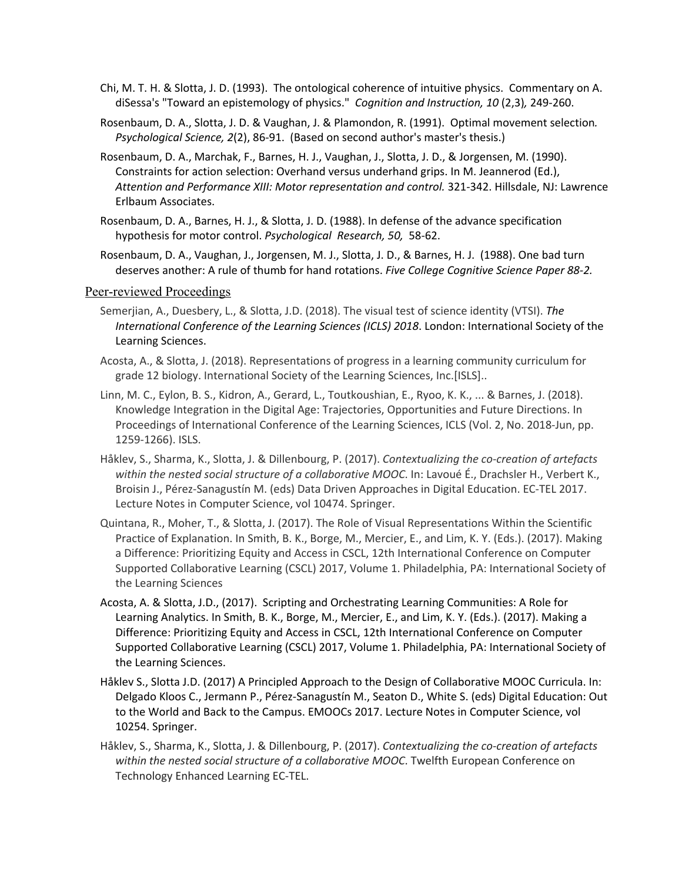- Chi, M. T. H. & Slotta, J. D. (1993). The ontological coherence of intuitive physics. Commentary on A. diSessa's "Toward an epistemology of physics." *Cognition and Instruction, 10* (2,3)*,* 249-260.
- Rosenbaum, D. A., Slotta, J. D. & Vaughan, J. & Plamondon, R. (1991). Optimal movement selection*. Psychological Science, 2*(2), 86-91. (Based on second author's master's thesis.)
- Rosenbaum, D. A., Marchak, F., Barnes, H. J., Vaughan, J., Slotta, J. D., & Jorgensen, M. (1990). Constraints for action selection: Overhand versus underhand grips. In M. Jeannerod (Ed.), *Attention and Performance XIII: Motor representation and control.* 321-342. Hillsdale, NJ: Lawrence Erlbaum Associates.
- Rosenbaum, D. A., Barnes, H. J., & Slotta, J. D. (1988). In defense of the advance specification hypothesis for motor control. *Psychological Research, 50,* 58-62.
- Rosenbaum, D. A., Vaughan, J., Jorgensen, M. J., Slotta, J. D., & Barnes, H. J. (1988). One bad turn deserves another: A rule of thumb for hand rotations. *Five College Cognitive Science Paper 88-2.*

### Peer-reviewed Proceedings

- Semerjian, A., Duesbery, L., & Slotta, J.D. (2018). The visual test of science identity (VTSI). *The International Conference of the Learning Sciences (ICLS) 2018*. London: International Society of the Learning Sciences.
- Acosta, A., & Slotta, J. (2018). Representations of progress in a learning community curriculum for grade 12 biology. International Society of the Learning Sciences, Inc.[ISLS]..
- Linn, M. C., Eylon, B. S., Kidron, A., Gerard, L., Toutkoushian, E., Ryoo, K. K., ... & Barnes, J. (2018). Knowledge Integration in the Digital Age: Trajectories, Opportunities and Future Directions. In Proceedings of International Conference of the Learning Sciences, ICLS (Vol. 2, No. 2018-Jun, pp. 1259-1266). ISLS.
- Håklev, S., Sharma, K., Slotta, J. & Dillenbourg, P. (2017). *Contextualizing the co-creation of artefacts within the nested social structure of a collaborative MOOC*. In: Lavoué É., Drachsler H., Verbert K., Broisin J., Pérez-Sanagustín M. (eds) Data Driven Approaches in Digital Education. EC-TEL 2017. Lecture Notes in Computer Science, vol 10474. Springer.
- Quintana, R., Moher, T., & Slotta, J. (2017). The Role of Visual Representations Within the Scientific Practice of Explanation. In Smith, B. K., Borge, M., Mercier, E., and Lim, K. Y. (Eds.). (2017). Making a Difference: Prioritizing Equity and Access in CSCL, 12th International Conference on Computer Supported Collaborative Learning (CSCL) 2017, Volume 1. Philadelphia, PA: International Society of the Learning Sciences
- Acosta, A. & Slotta, J.D., (2017). Scripting and Orchestrating Learning Communities: A Role for Learning Analytics. In Smith, B. K., Borge, M., Mercier, E., and Lim, K. Y. (Eds.). (2017). Making a Difference: Prioritizing Equity and Access in CSCL, 12th International Conference on Computer Supported Collaborative Learning (CSCL) 2017, Volume 1. Philadelphia, PA: International Society of the Learning Sciences.
- Håklev S., Slotta J.D. (2017) A Principled Approach to the Design of Collaborative MOOC Curricula. In: Delgado Kloos C., Jermann P., Pérez-Sanagustín M., Seaton D., White S. (eds) Digital Education: Out to the World and Back to the Campus. EMOOCs 2017. Lecture Notes in Computer Science, vol 10254. Springer.
- Håklev, S., Sharma, K., Slotta, J. & Dillenbourg, P. (2017). *Contextualizing the co-creation of artefacts within the nested social structure of a collaborative MOOC*. Twelfth European Conference on Technology Enhanced Learning EC-TEL.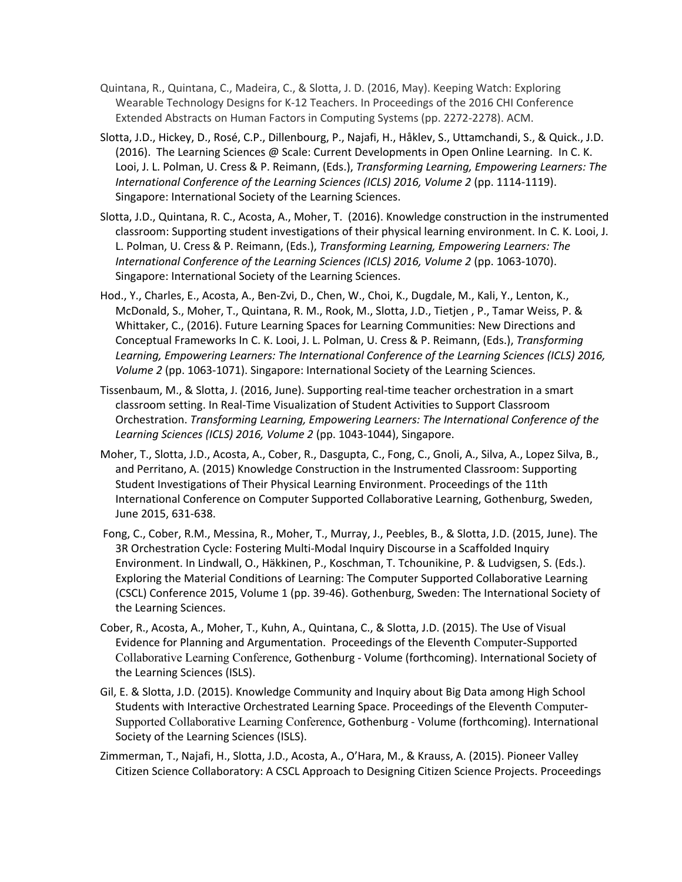- Quintana, R., Quintana, C., Madeira, C., & Slotta, J. D. (2016, May). Keeping Watch: Exploring Wearable Technology Designs for K-12 Teachers. In Proceedings of the 2016 CHI Conference Extended Abstracts on Human Factors in Computing Systems (pp. 2272-2278). ACM.
- Slotta, J.D., Hickey, D., Rosé, C.P., Dillenbourg, P., Najafi, H., Håklev, S., Uttamchandi, S., & Quick., J.D. (2016). The Learning Sciences @ Scale: Current Developments in Open Online Learning. In C. K. Looi, J. L. Polman, U. Cress & P. Reimann, (Eds.), *Transforming Learning, Empowering Learners: The International Conference of the Learning Sciences (ICLS) 2016, Volume 2 (pp. 1114-1119).* Singapore: International Society of the Learning Sciences.
- Slotta, J.D., Quintana, R. C., Acosta, A., Moher, T. (2016). Knowledge construction in the instrumented classroom: Supporting student investigations of their physical learning environment. In C. K. Looi, J. L. Polman, U. Cress & P. Reimann, (Eds.), *Transforming Learning, Empowering Learners: The International Conference of the Learning Sciences (ICLS) 2016, Volume 2 (pp. 1063-1070).* Singapore: International Society of the Learning Sciences.
- Hod., Y., Charles, E., Acosta, A., Ben-Zvi, D., Chen, W., Choi, K., Dugdale, M., Kali, Y., Lenton, K., McDonald, S., Moher, T., Quintana, R. M., Rook, M., Slotta, J.D., Tietjen , P., Tamar Weiss, P. & Whittaker, C., (2016). Future Learning Spaces for Learning Communities: New Directions and Conceptual Frameworks In C. K. Looi, J. L. Polman, U. Cress & P. Reimann, (Eds.), *Transforming Learning, Empowering Learners: The International Conference of the Learning Sciences (ICLS) 2016, Volume 2* (pp. 1063-1071). Singapore: International Society of the Learning Sciences.
- Tissenbaum, M., & Slotta, J. (2016, June). Supporting real-time teacher orchestration in a smart classroom setting. In Real-Time Visualization of Student Activities to Support Classroom Orchestration. *Transforming Learning, Empowering Learners: The International Conference of the Learning Sciences (ICLS) 2016, Volume 2* (pp. 1043-1044), Singapore.
- Moher, T., Slotta, J.D., Acosta, A., Cober, R., Dasgupta, C., Fong, C., Gnoli, A., Silva, A., Lopez Silva, B., and Perritano, A. (2015) Knowledge Construction in the Instrumented Classroom: Supporting Student Investigations of Their Physical Learning Environment. Proceedings of the 11th International Conference on Computer Supported Collaborative Learning, Gothenburg, Sweden, June 2015, 631-638.
- Fong, C., Cober, R.M., Messina, R., Moher, T., Murray, J., Peebles, B., & Slotta, J.D. (2015, June). The 3R Orchestration Cycle: Fostering Multi-Modal Inquiry Discourse in a Scaffolded Inquiry Environment. In Lindwall, O., Häkkinen, P., Koschman, T. Tchounikine, P. & Ludvigsen, S. (Eds.). Exploring the Material Conditions of Learning: The Computer Supported Collaborative Learning (CSCL) Conference 2015, Volume 1 (pp. 39-46). Gothenburg, Sweden: The International Society of the Learning Sciences.
- Cober, R., Acosta, A., Moher, T., Kuhn, A., Quintana, C., & Slotta, J.D. (2015). The Use of Visual Evidence for Planning and Argumentation. Proceedings of the Eleventh Computer-Supported Collaborative Learning Conference, Gothenburg - Volume (forthcoming). International Society of the Learning Sciences (ISLS).
- Gil, E. & Slotta, J.D. (2015). Knowledge Community and Inquiry about Big Data among High School Students with Interactive Orchestrated Learning Space. Proceedings of the Eleventh Computer-Supported Collaborative Learning Conference, Gothenburg - Volume (forthcoming). International Society of the Learning Sciences (ISLS).
- Zimmerman, T., Najafi, H., Slotta, J.D., Acosta, A., O'Hara, M., & Krauss, A. (2015). Pioneer Valley Citizen Science Collaboratory: A CSCL Approach to Designing Citizen Science Projects. Proceedings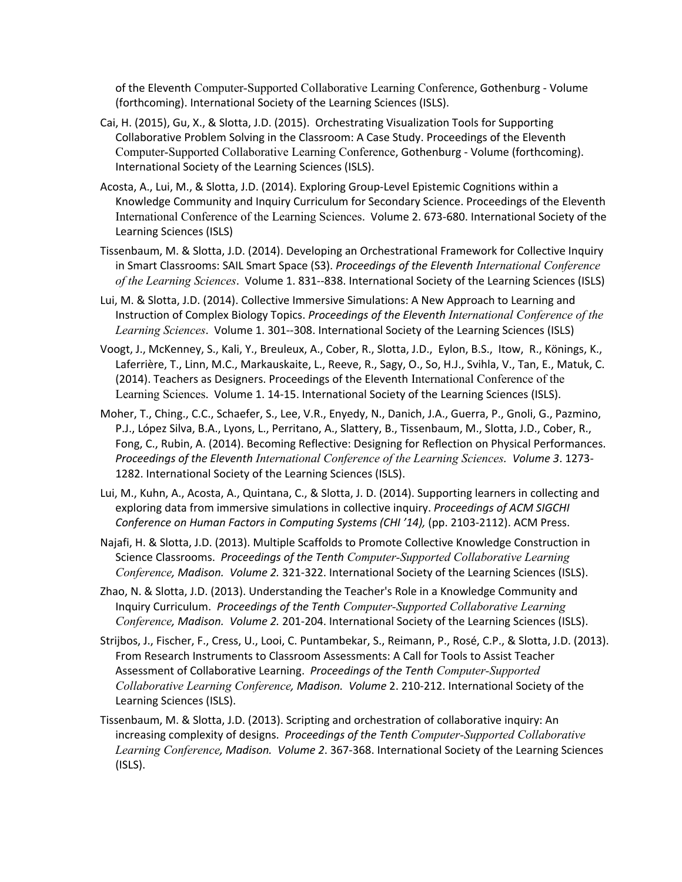of the Eleventh Computer-Supported Collaborative Learning Conference, Gothenburg - Volume (forthcoming). International Society of the Learning Sciences (ISLS).

- Cai, H. (2015), Gu, X., & Slotta, J.D. (2015). Orchestrating Visualization Tools for Supporting Collaborative Problem Solving in the Classroom: A Case Study. Proceedings of the Eleventh Computer-Supported Collaborative Learning Conference, Gothenburg - Volume (forthcoming). International Society of the Learning Sciences (ISLS).
- Acosta, A., Lui, M., & Slotta, J.D. (2014). Exploring Group-Level Epistemic Cognitions within a Knowledge Community and Inquiry Curriculum for Secondary Science. Proceedings of the Eleventh International Conference of the Learning Sciences. Volume 2. 673-680. International Society of the Learning Sciences (ISLS)
- Tissenbaum, M. & Slotta, J.D. (2014). Developing an Orchestrational Framework for Collective Inquiry in Smart Classrooms: SAIL Smart Space (S3). *Proceedings of the Eleventh International Conference of the Learning Sciences*. Volume 1. 831--838. International Society of the Learning Sciences (ISLS)
- Lui, M. & Slotta, J.D. (2014). Collective Immersive Simulations: A New Approach to Learning and Instruction of Complex Biology Topics. *Proceedings of the Eleventh International Conference of the Learning Sciences*. Volume 1. 301--308. International Society of the Learning Sciences (ISLS)
- Voogt, J., McKenney, S., Kali, Y., Breuleux, A., Cober, R., Slotta, J.D., Eylon, B.S., Itow, R., Könings, K., Laferrière, T., Linn, M.C., Markauskaite, L., Reeve, R., Sagy, O., So, H.J., Svihla, V., Tan, E., Matuk, C. (2014). Teachers as Designers. Proceedings of the Eleventh International Conference of the Learning Sciences. Volume 1. 14-15. International Society of the Learning Sciences (ISLS).
- Moher, T., Ching., C.C., Schaefer, S., Lee, V.R., Enyedy, N., Danich, J.A., Guerra, P., Gnoli, G., Pazmino, P.J., López Silva, B.A., Lyons, L., Perritano, A., Slattery, B., Tissenbaum, M., Slotta, J.D., Cober, R., Fong, C., Rubin, A. (2014). Becoming Reflective: Designing for Reflection on Physical Performances. *Proceedings of the Eleventh International Conference of the Learning Sciences. Volume 3*. 1273- 1282. International Society of the Learning Sciences (ISLS).
- Lui, M., Kuhn, A., Acosta, A., Quintana, C., & Slotta, J. D. (2014). Supporting learners in collecting and exploring data from immersive simulations in collective inquiry. *Proceedings of ACM SIGCHI Conference on Human Factors in Computing Systems (CHI '14),* (pp. 2103-2112). ACM Press.
- Najafi, H. & Slotta, J.D. (2013). Multiple Scaffolds to Promote Collective Knowledge Construction in Science Classrooms. *Proceedings of the Tenth Computer-Supported Collaborative Learning Conference, Madison. Volume 2.* 321-322. International Society of the Learning Sciences (ISLS).
- Zhao, N. & Slotta, J.D. (2013). Understanding the Teacher's Role in a Knowledge Community and Inquiry Curriculum. *Proceedings of the Tenth Computer-Supported Collaborative Learning Conference, Madison. Volume 2.* 201-204. International Society of the Learning Sciences (ISLS).
- Strijbos, J., Fischer, F., Cress, U., Looi, C. Puntambekar, S., Reimann, P., Rosé, C.P., & Slotta, J.D. (2013). From Research Instruments to Classroom Assessments: A Call for Tools to Assist Teacher Assessment of Collaborative Learning. *Proceedings of the Tenth Computer-Supported Collaborative Learning Conference, Madison. Volume* 2. 210-212. International Society of the Learning Sciences (ISLS).
- Tissenbaum, M. & Slotta, J.D. (2013). Scripting and orchestration of collaborative inquiry: An increasing complexity of designs. *Proceedings of the Tenth Computer-Supported Collaborative Learning Conference, Madison. Volume 2*. 367-368. International Society of the Learning Sciences (ISLS).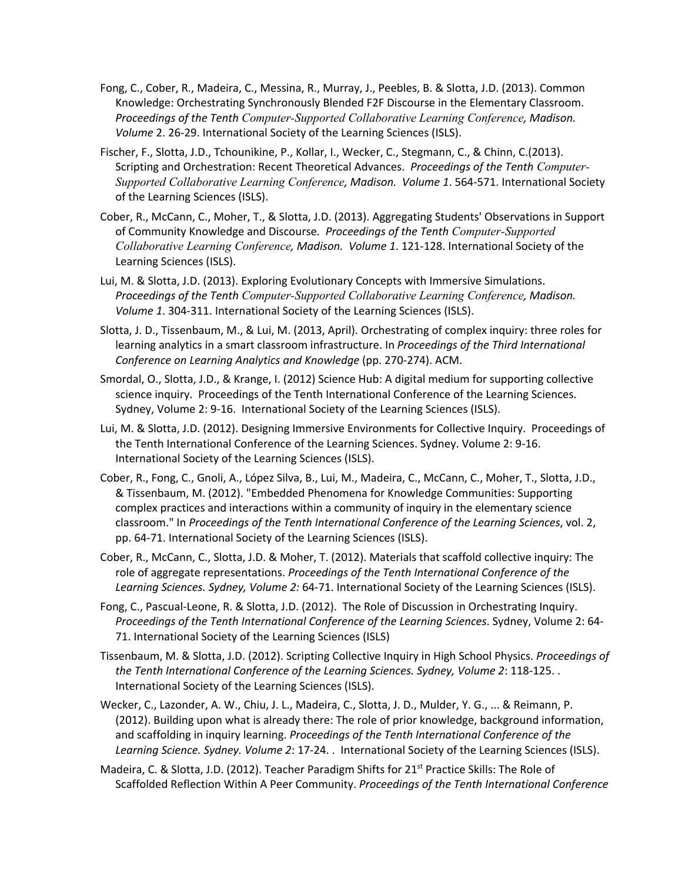- Fong, C., Cober, R., Madeira, C., Messina, R., Murray, J., Peebles, B. & Slotta, J.D. (2013). Common Knowledge: Orchestrating Synchronously Blended F2F Discourse in the Elementary Classroom. *Proceedings of the Tenth Computer-Supported Collaborative Learning Conference, Madison. Volume* 2. 26-29. International Society of the Learning Sciences (ISLS).
- Fischer, F., Slotta, J.D., Tchounikine, P., Kollar, I., Wecker, C., Stegmann, C., & Chinn, C.(2013). Scripting and Orchestration: Recent Theoretical Advances. *Proceedings of the Tenth Computer-Supported Collaborative Learning Conference, Madison. Volume 1*. 564-571. International Society of the Learning Sciences (ISLS).
- Cober, R., McCann, C., Moher, T., & Slotta, J.D. (2013). Aggregating Students' Observations in Support of Community Knowledge and Discourse*. Proceedings of the Tenth Computer-Supported Collaborative Learning Conference, Madison. Volume 1*. 121-128. International Society of the Learning Sciences (ISLS).
- Lui, M. & Slotta, J.D. (2013). Exploring Evolutionary Concepts with Immersive Simulations. *Proceedings of the Tenth Computer-Supported Collaborative Learning Conference, Madison. Volume 1*. 304-311. International Society of the Learning Sciences (ISLS).
- Slotta, J. D., Tissenbaum, M., & Lui, M. (2013, April). Orchestrating of complex inquiry: three roles for learning analytics in a smart classroom infrastructure. In *Proceedings of the Third International Conference on Learning Analytics and Knowledge* (pp. 270-274). ACM.
- Smordal, O., Slotta, J.D., & Krange, I. (2012) Science Hub: A digital medium for supporting collective science inquiry. Proceedings of the Tenth International Conference of the Learning Sciences. Sydney, Volume 2: 9-16. International Society of the Learning Sciences (ISLS).
- Lui, M. & Slotta, J.D. (2012). Designing Immersive Environments for Collective Inquiry. Proceedings of the Tenth International Conference of the Learning Sciences. Sydney. Volume 2: 9-16. International Society of the Learning Sciences (ISLS).
- Cober, R., Fong, C., Gnoli, A., López Silva, B., Lui, M., Madeira, C., McCann, C., Moher, T., Slotta, J.D., & Tissenbaum, M. (2012). "Embedded Phenomena for Knowledge Communities: Supporting complex practices and interactions within a community of inquiry in the elementary science classroom." In *Proceedings of the Tenth International Conference of the Learning Sciences*, vol. 2, pp. 64-71. International Society of the Learning Sciences (ISLS).
- Cober, R., McCann, C., Slotta, J.D. & Moher, T. (2012). Materials that scaffold collective inquiry: The role of aggregate representations. *Proceedings of the Tenth International Conference of the Learning Sciences. Sydney, Volume 2:* 64-71. International Society of the Learning Sciences (ISLS).
- Fong, C., Pascual-Leone, R. & Slotta, J.D. (2012). The Role of Discussion in Orchestrating Inquiry. *Proceedings of the Tenth International Conference of the Learning Sciences*. Sydney, Volume 2: 64- 71. International Society of the Learning Sciences (ISLS)
- Tissenbaum, M. & Slotta, J.D. (2012). Scripting Collective Inquiry in High School Physics. *Proceedings of the Tenth International Conference of the Learning Sciences. Sydney, Volume 2*: 118-125. . International Society of the Learning Sciences (ISLS).
- Wecker, C., Lazonder, A. W., Chiu, J. L., Madeira, C., Slotta, J. D., Mulder, Y. G., ... & Reimann, P. (2012). Building upon what is already there: The role of prior knowledge, background information, and scaffolding in inquiry learning. *Proceedings of the Tenth International Conference of the Learning Science. Sydney. Volume 2*: 17-24. . International Society of the Learning Sciences (ISLS).
- Madeira, C. & Slotta, J.D. (2012). Teacher Paradigm Shifts for 21<sup>st</sup> Practice Skills: The Role of Scaffolded Reflection Within A Peer Community. *Proceedings of the Tenth International Conference*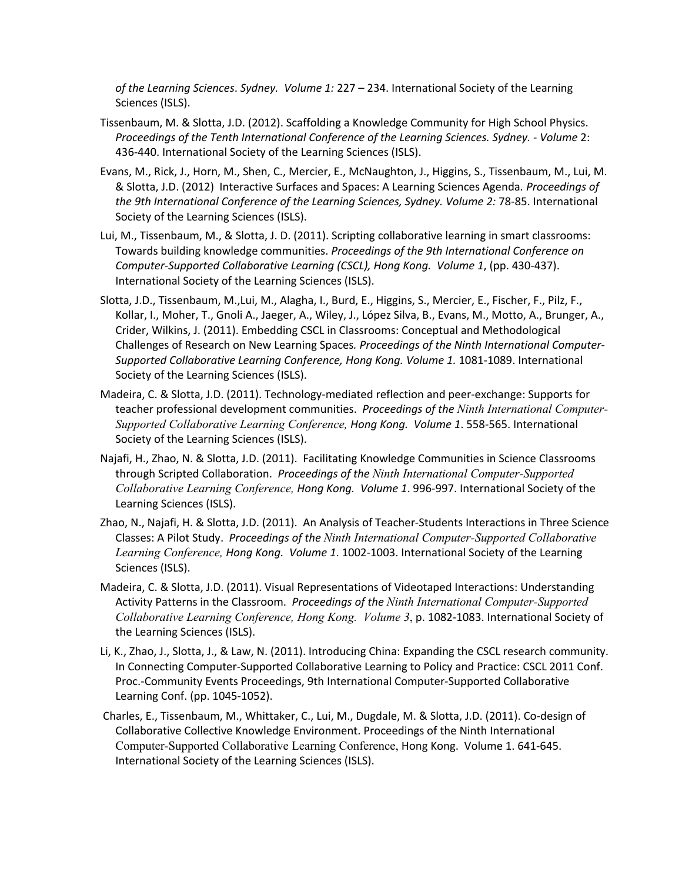*of the Learning Sciences*. *Sydney. Volume 1:* 227 – 234. International Society of the Learning Sciences (ISLS).

- Tissenbaum, M. & Slotta, J.D. (2012). Scaffolding a Knowledge Community for High School Physics. *Proceedings of the Tenth International Conference of the Learning Sciences. Sydney. - Volume* 2: 436-440. International Society of the Learning Sciences (ISLS).
- Evans, M., Rick, J., Horn, M., Shen, C., Mercier, E., McNaughton, J., Higgins, S., Tissenbaum, M., Lui, M. & Slotta, J.D. (2012) Interactive Surfaces and Spaces: A Learning Sciences Agenda*. Proceedings of the 9th International Conference of the Learning Sciences, Sydney. Volume 2:* 78-85. International Society of the Learning Sciences (ISLS).
- Lui, M., Tissenbaum, M., & Slotta, J. D. (2011). Scripting collaborative learning in smart classrooms: Towards building knowledge communities. *Proceedings of the 9th International Conference on Computer-Supported Collaborative Learning (CSCL), Hong Kong. Volume 1*, (pp. 430-437). International Society of the Learning Sciences (ISLS).
- Slotta, J.D., Tissenbaum, M.,Lui, M., Alagha, I., Burd, E., Higgins, S., Mercier, E., Fischer, F., Pilz, F., Kollar, I., Moher, T., Gnoli A., Jaeger, A., Wiley, J., López Silva, B., Evans, M., Motto, A., Brunger, A., Crider, Wilkins, J. (2011). Embedding CSCL in Classrooms: Conceptual and Methodological Challenges of Research on New Learning Spaces*. Proceedings of the Ninth International Computer-Supported Collaborative Learning Conference, Hong Kong. Volume 1.* 1081-1089. International Society of the Learning Sciences (ISLS).
- Madeira, C. & Slotta, J.D. (2011). Technology-mediated reflection and peer-exchange: Supports for teacher professional development communities. *Proceedings of the Ninth International Computer-Supported Collaborative Learning Conference, Hong Kong. Volume 1*. 558-565. International Society of the Learning Sciences (ISLS).
- Najafi, H., Zhao, N. & Slotta, J.D. (2011). Facilitating Knowledge Communities in Science Classrooms through Scripted Collaboration. *Proceedings of the Ninth International Computer-Supported Collaborative Learning Conference, Hong Kong. Volume 1*. 996-997. International Society of the Learning Sciences (ISLS).
- Zhao, N., Najafi, H. & Slotta, J.D. (2011). An Analysis of Teacher-Students Interactions in Three Science Classes: A Pilot Study. *Proceedings of the Ninth International Computer-Supported Collaborative Learning Conference, Hong Kong. Volume 1*. 1002-1003. International Society of the Learning Sciences (ISLS).
- Madeira, C. & Slotta, J.D. (2011). Visual Representations of Videotaped Interactions: Understanding Activity Patterns in the Classroom. *Proceedings of the Ninth International Computer-Supported Collaborative Learning Conference, Hong Kong. Volume 3*, p. 1082-1083. International Society of the Learning Sciences (ISLS).
- Li, K., Zhao, J., Slotta, J., & Law, N. (2011). Introducing China: Expanding the CSCL research community. In Connecting Computer-Supported Collaborative Learning to Policy and Practice: CSCL 2011 Conf. Proc.-Community Events Proceedings, 9th International Computer-Supported Collaborative Learning Conf. (pp. 1045-1052).
- Charles, E., Tissenbaum, M., Whittaker, C., Lui, M., Dugdale, M. & Slotta, J.D. (2011). Co-design of Collaborative Collective Knowledge Environment. Proceedings of the Ninth International Computer-Supported Collaborative Learning Conference, Hong Kong. Volume 1. 641-645. International Society of the Learning Sciences (ISLS).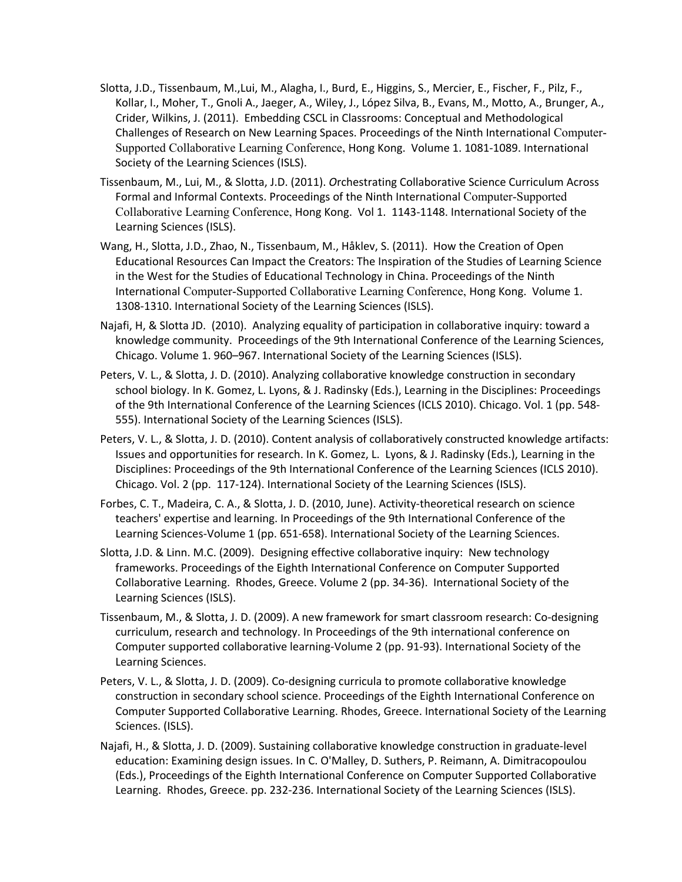- Slotta, J.D., Tissenbaum, M.,Lui, M., Alagha, I., Burd, E., Higgins, S., Mercier, E., Fischer, F., Pilz, F., Kollar, I., Moher, T., Gnoli A., Jaeger, A., Wiley, J., López Silva, B., Evans, M., Motto, A., Brunger, A., Crider, Wilkins, J. (2011). Embedding CSCL in Classrooms: Conceptual and Methodological Challenges of Research on New Learning Spaces. Proceedings of the Ninth International Computer-Supported Collaborative Learning Conference, Hong Kong. Volume 1. 1081-1089. International Society of the Learning Sciences (ISLS).
- Tissenbaum, M., Lui, M., & Slotta, J.D. (2011). *O*rchestrating Collaborative Science Curriculum Across Formal and Informal Contexts. Proceedings of the Ninth International Computer-Supported Collaborative Learning Conference, Hong Kong. Vol 1. 1143-1148. International Society of the Learning Sciences (ISLS).
- Wang, H., Slotta, J.D., Zhao, N., Tissenbaum, M., Håklev, S. (2011). How the Creation of Open Educational Resources Can Impact the Creators: The Inspiration of the Studies of Learning Science in the West for the Studies of Educational Technology in China. Proceedings of the Ninth International Computer-Supported Collaborative Learning Conference, Hong Kong. Volume 1. 1308-1310. International Society of the Learning Sciences (ISLS).
- Najafi, H, & Slotta JD. (2010). Analyzing equality of participation in collaborative inquiry: toward a knowledge community. Proceedings of the 9th International Conference of the Learning Sciences, Chicago. Volume 1. 960–967. International Society of the Learning Sciences (ISLS).
- Peters, V. L., & Slotta, J. D. (2010). Analyzing collaborative knowledge construction in secondary school biology. In K. Gomez, L. Lyons, & J. Radinsky (Eds.), Learning in the Disciplines: Proceedings of the 9th International Conference of the Learning Sciences (ICLS 2010). Chicago. Vol. 1 (pp. 548- 555). International Society of the Learning Sciences (ISLS).
- Peters, V. L., & Slotta, J. D. (2010). Content analysis of collaboratively constructed knowledge artifacts: Issues and opportunities for research. In K. Gomez, L. Lyons, & J. Radinsky (Eds.), Learning in the Disciplines: Proceedings of the 9th International Conference of the Learning Sciences (ICLS 2010). Chicago. Vol. 2 (pp. 117-124). International Society of the Learning Sciences (ISLS).
- Forbes, C. T., Madeira, C. A., & Slotta, J. D. (2010, June). Activity-theoretical research on science teachers' expertise and learning. In Proceedings of the 9th International Conference of the Learning Sciences-Volume 1 (pp. 651-658). International Society of the Learning Sciences.
- Slotta, J.D. & Linn. M.C. (2009). Designing effective collaborative inquiry: New technology frameworks. Proceedings of the Eighth International Conference on Computer Supported Collaborative Learning. Rhodes, Greece. Volume 2 (pp. 34-36). International Society of the Learning Sciences (ISLS).
- Tissenbaum, M., & Slotta, J. D. (2009). A new framework for smart classroom research: Co-designing curriculum, research and technology. In Proceedings of the 9th international conference on Computer supported collaborative learning-Volume 2 (pp. 91-93). International Society of the Learning Sciences.
- Peters, V. L., & Slotta, J. D. (2009). Co-designing curricula to promote collaborative knowledge construction in secondary school science. Proceedings of the Eighth International Conference on Computer Supported Collaborative Learning. Rhodes, Greece. International Society of the Learning Sciences. (ISLS).
- Najafi, H., & Slotta, J. D. (2009). Sustaining collaborative knowledge construction in graduate-level education: Examining design issues. In C. O'Malley, D. Suthers, P. Reimann, A. Dimitracopoulou (Eds.), Proceedings of the Eighth International Conference on Computer Supported Collaborative Learning. Rhodes, Greece. pp. 232-236. International Society of the Learning Sciences (ISLS).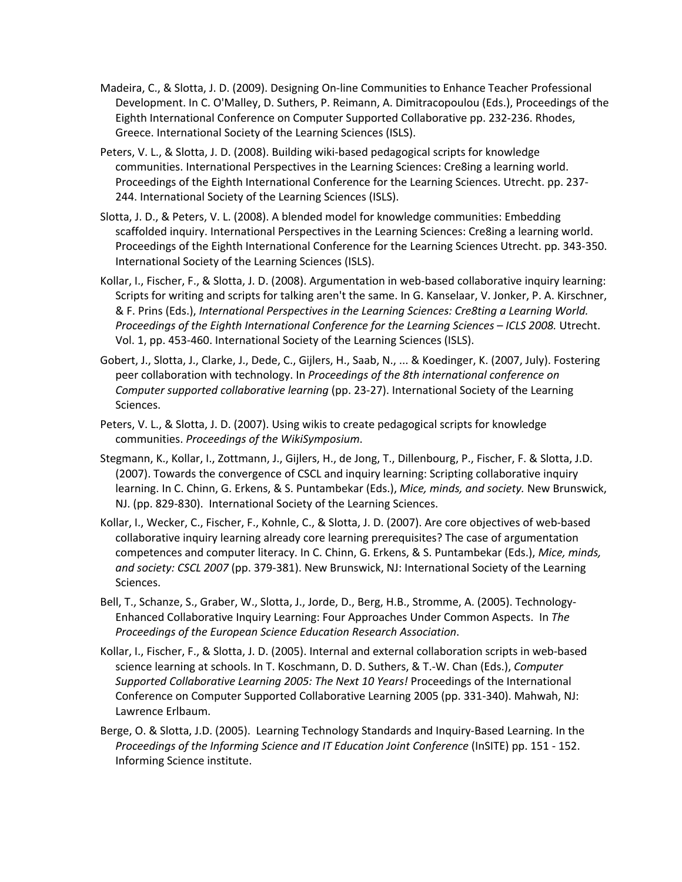- Madeira, C., & Slotta, J. D. (2009). Designing On-line Communities to Enhance Teacher Professional Development. In C. O'Malley, D. Suthers, P. Reimann, A. Dimitracopoulou (Eds.), Proceedings of the Eighth International Conference on Computer Supported Collaborative pp. 232-236. Rhodes, Greece. International Society of the Learning Sciences (ISLS).
- Peters, V. L., & Slotta, J. D. (2008). Building wiki-based pedagogical scripts for knowledge communities. International Perspectives in the Learning Sciences: Cre8ing a learning world. Proceedings of the Eighth International Conference for the Learning Sciences. Utrecht. pp. 237- 244. International Society of the Learning Sciences (ISLS).
- Slotta, J. D., & Peters, V. L. (2008). A blended model for knowledge communities: Embedding scaffolded inquiry. International Perspectives in the Learning Sciences: Cre8ing a learning world. Proceedings of the Eighth International Conference for the Learning Sciences Utrecht. pp. 343-350. International Society of the Learning Sciences (ISLS).
- Kollar, I., Fischer, F., & Slotta, J. D. (2008). Argumentation in web-based collaborative inquiry learning: Scripts for writing and scripts for talking aren't the same. In G. Kanselaar, V. Jonker, P. A. Kirschner, & F. Prins (Eds.), *International Perspectives in the Learning Sciences: Cre8ting a Learning World. Proceedings of the Eighth International Conference for the Learning Sciences – ICLS 2008.* Utrecht. Vol. 1, pp. 453-460. International Society of the Learning Sciences (ISLS).
- Gobert, J., Slotta, J., Clarke, J., Dede, C., Gijlers, H., Saab, N., ... & Koedinger, K. (2007, July). Fostering peer collaboration with technology. In *Proceedings of the 8th international conference on Computer supported collaborative learning* (pp. 23-27). International Society of the Learning Sciences.
- Peters, V. L., & Slotta, J. D. (2007). Using wikis to create pedagogical scripts for knowledge communities. *Proceedings of the WikiSymposium*.
- Stegmann, K., Kollar, I., Zottmann, J., Gijlers, H., de Jong, T., Dillenbourg, P., Fischer, F. & Slotta, J.D. (2007). Towards the convergence of CSCL and inquiry learning: Scripting collaborative inquiry learning. In C. Chinn, G. Erkens, & S. Puntambekar (Eds.), *Mice, minds, and society.* New Brunswick, NJ. (pp. 829-830). International Society of the Learning Sciences.
- Kollar, I., Wecker, C., Fischer, F., Kohnle, C., & Slotta, J. D. (2007). Are core objectives of web-based collaborative inquiry learning already core learning prerequisites? The case of argumentation competences and computer literacy. In C. Chinn, G. Erkens, & S. Puntambekar (Eds.), *Mice, minds, and society: CSCL 2007* (pp. 379-381). New Brunswick, NJ: International Society of the Learning Sciences.
- Bell, T., Schanze, S., Graber, W., Slotta, J., Jorde, D., Berg, H.B., Stromme, A. (2005). Technology-Enhanced Collaborative Inquiry Learning: Four Approaches Under Common Aspects. In *The Proceedings of the European Science Education Research Association*.
- Kollar, I., Fischer, F., & Slotta, J. D. (2005). Internal and external collaboration scripts in web-based science learning at schools. In T. Koschmann, D. D. Suthers, & T.-W. Chan (Eds.), *Computer Supported Collaborative Learning 2005: The Next 10 Years!* Proceedings of the International Conference on Computer Supported Collaborative Learning 2005 (pp. 331-340). Mahwah, NJ: Lawrence Erlbaum.
- Berge, O. & Slotta, J.D. (2005). Learning Technology Standards and Inquiry-Based Learning. In the *Proceedings of the Informing Science and IT Education Joint Conference* (InSITE) pp. 151 - 152. Informing Science institute.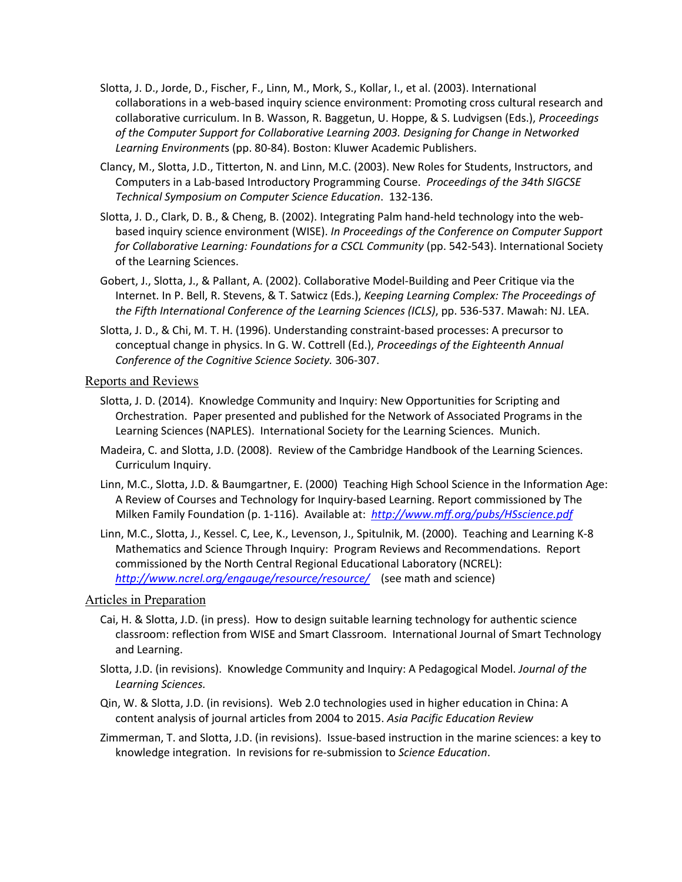- Slotta, J. D., Jorde, D., Fischer, F., Linn, M., Mork, S., Kollar, I., et al. (2003). International collaborations in a web-based inquiry science environment: Promoting cross cultural research and collaborative curriculum. In B. Wasson, R. Baggetun, U. Hoppe, & S. Ludvigsen (Eds.), *Proceedings of the Computer Support for Collaborative Learning 2003. Designing for Change in Networked Learning Environment*s (pp. 80-84). Boston: Kluwer Academic Publishers.
- Clancy, M., Slotta, J.D., Titterton, N. and Linn, M.C. (2003). New Roles for Students, Instructors, and Computers in a Lab-based Introductory Programming Course. *Proceedings of the 34th SIGCSE Technical Symposium on Computer Science Education*. 132-136.
- Slotta, J. D., Clark, D. B., & Cheng, B. (2002). Integrating Palm hand-held technology into the webbased inquiry science environment (WISE). *In Proceedings of the Conference on Computer Support for Collaborative Learning: Foundations for a CSCL Community* (pp. 542-543). International Society of the Learning Sciences.
- Gobert, J., Slotta, J., & Pallant, A. (2002). Collaborative Model-Building and Peer Critique via the Internet. In P. Bell, R. Stevens, & T. Satwicz (Eds.), *Keeping Learning Complex: The Proceedings of the Fifth International Conference of the Learning Sciences (ICLS)*, pp. 536-537. Mawah: NJ. LEA.
- Slotta, J. D., & Chi, M. T. H. (1996). Understanding constraint-based processes: A precursor to conceptual change in physics. In G. W. Cottrell (Ed.), *Proceedings of the Eighteenth Annual Conference of the Cognitive Science Society.* 306-307.

### Reports and Reviews

- Slotta, J. D. (2014). Knowledge Community and Inquiry: New Opportunities for Scripting and Orchestration. Paper presented and published for the Network of Associated Programs in the Learning Sciences (NAPLES). International Society for the Learning Sciences. Munich.
- Madeira, C. and Slotta, J.D. (2008). Review of the Cambridge Handbook of the Learning Sciences. Curriculum Inquiry.
- Linn, M.C., Slotta, J.D. & Baumgartner, E. (2000) Teaching High School Science in the Information Age: A Review of Courses and Technology for Inquiry-based Learning. Report commissioned by The Milken Family Foundation (p. 1-116). Available at: *http://www.mff.org/pubs/HSscience.pdf*
- Linn, M.C., Slotta, J., Kessel. C, Lee, K., Levenson, J., Spitulnik, M. (2000). Teaching and Learning K-8 Mathematics and Science Through Inquiry: Program Reviews and Recommendations. Report commissioned by the North Central Regional Educational Laboratory (NCREL): *http://www.ncrel.org/engauge/resource/resource/* (see math and science)

### Articles in Preparation

- Cai, H. & Slotta, J.D. (in press). How to design suitable learning technology for authentic science classroom: reflection from WISE and Smart Classroom. International Journal of Smart Technology and Learning.
- Slotta, J.D. (in revisions). Knowledge Community and Inquiry: A Pedagogical Model. *Journal of the Learning Sciences.*
- Qin, W. & Slotta, J.D. (in revisions). Web 2.0 technologies used in higher education in China: A content analysis of journal articles from 2004 to 2015. *Asia Pacific Education Review*
- Zimmerman, T. and Slotta, J.D. (in revisions). Issue-based instruction in the marine sciences: a key to knowledge integration. In revisions for re-submission to *Science Education*.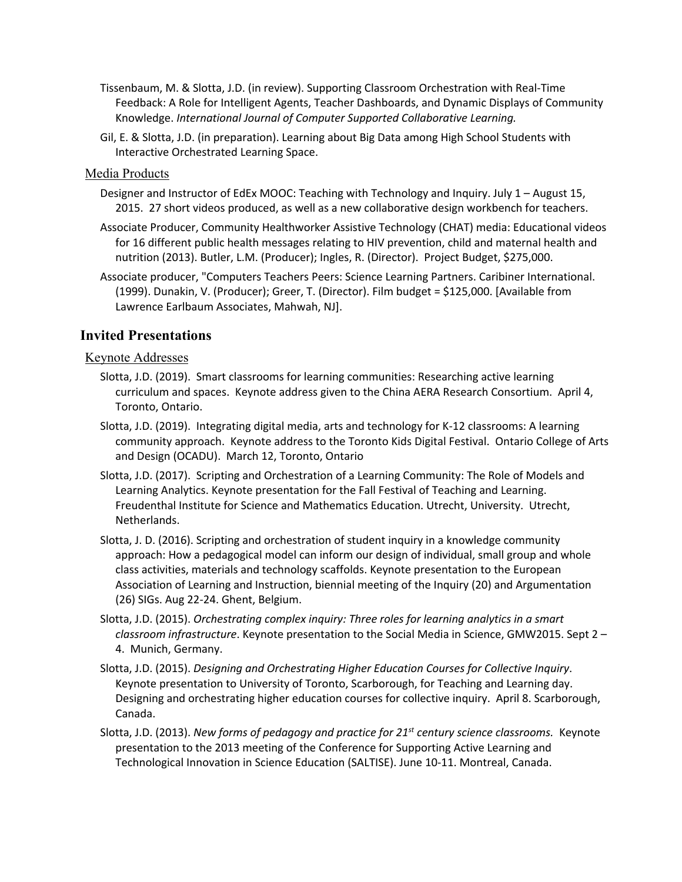- Tissenbaum, M. & Slotta, J.D. (in review). Supporting Classroom Orchestration with Real-Time Feedback: A Role for Intelligent Agents, Teacher Dashboards, and Dynamic Displays of Community Knowledge. *International Journal of Computer Supported Collaborative Learning.*
- Gil, E. & Slotta, J.D. (in preparation). Learning about Big Data among High School Students with Interactive Orchestrated Learning Space.

### Media Products

- Designer and Instructor of EdEx MOOC: Teaching with Technology and Inquiry. July 1 August 15, 2015. 27 short videos produced, as well as a new collaborative design workbench for teachers.
- Associate Producer, Community Healthworker Assistive Technology (CHAT) media: Educational videos for 16 different public health messages relating to HIV prevention, child and maternal health and nutrition (2013). Butler, L.M. (Producer); Ingles, R. (Director). Project Budget, \$275,000.
- Associate producer, "Computers Teachers Peers: Science Learning Partners. Caribiner International. (1999). Dunakin, V. (Producer); Greer, T. (Director). Film budget = \$125,000. [Available from Lawrence Earlbaum Associates, Mahwah, NJ].

### **Invited Presentations**

### Keynote Addresses

- Slotta, J.D. (2019). Smart classrooms for learning communities: Researching active learning curriculum and spaces. Keynote address given to the China AERA Research Consortium. April 4, Toronto, Ontario.
- Slotta, J.D. (2019). Integrating digital media, arts and technology for K-12 classrooms: A learning community approach. Keynote address to the Toronto Kids Digital Festival. Ontario College of Arts and Design (OCADU). March 12, Toronto, Ontario
- Slotta, J.D. (2017). Scripting and Orchestration of a Learning Community: The Role of Models and Learning Analytics. Keynote presentation for the Fall Festival of Teaching and Learning. Freudenthal Institute for Science and Mathematics Education. Utrecht, University. Utrecht, Netherlands.
- Slotta, J. D. (2016). Scripting and orchestration of student inquiry in a knowledge community approach: How a pedagogical model can inform our design of individual, small group and whole class activities, materials and technology scaffolds. Keynote presentation to the European Association of Learning and Instruction, biennial meeting of the Inquiry (20) and Argumentation (26) SIGs. Aug 22-24. Ghent, Belgium.
- Slotta, J.D. (2015). *Orchestrating complex inquiry: Three roles for learning analytics in a smart classroom infrastructure*. Keynote presentation to the Social Media in Science, GMW2015. Sept 2 – 4. Munich, Germany.
- Slotta, J.D. (2015). *Designing and Orchestrating Higher Education Courses for Collective Inquiry*. Keynote presentation to University of Toronto, Scarborough, for Teaching and Learning day. Designing and orchestrating higher education courses for collective inquiry. April 8. Scarborough, Canada.
- Slotta, J.D. (2013). *New forms of pedagogy and practice for 21st century science classrooms.* Keynote presentation to the 2013 meeting of the Conference for Supporting Active Learning and Technological Innovation in Science Education (SALTISE). June 10-11. Montreal, Canada.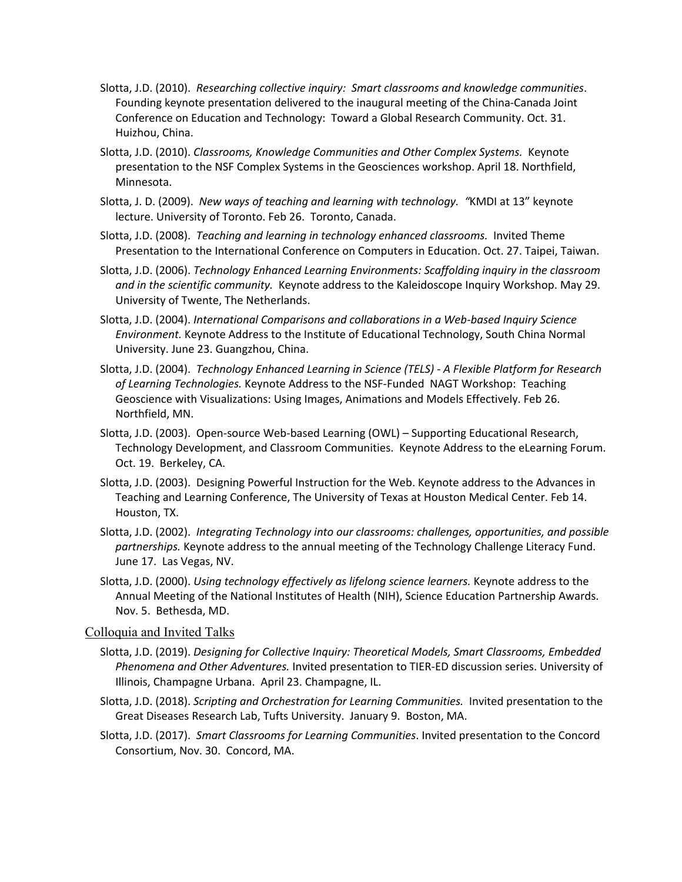- Slotta, J.D. (2010). *Researching collective inquiry: Smart classrooms and knowledge communities*. Founding keynote presentation delivered to the inaugural meeting of the China-Canada Joint Conference on Education and Technology: Toward a Global Research Community. Oct. 31. Huizhou, China.
- Slotta, J.D. (2010). *Classrooms, Knowledge Communities and Other Complex Systems.* Keynote presentation to the NSF Complex Systems in the Geosciences workshop. April 18. Northfield, Minnesota.
- Slotta, J. D. (2009). *New ways of teaching and learning with technology. "*KMDI at 13" keynote lecture. University of Toronto. Feb 26. Toronto, Canada.
- Slotta, J.D. (2008). *Teaching and learning in technology enhanced classrooms.* Invited Theme Presentation to the International Conference on Computers in Education. Oct. 27. Taipei, Taiwan.
- Slotta, J.D. (2006). *Technology Enhanced Learning Environments: Scaffolding inquiry in the classroom and in the scientific community.* Keynote address to the Kaleidoscope Inquiry Workshop. May 29. University of Twente, The Netherlands.
- Slotta, J.D. (2004). *International Comparisons and collaborations in a Web-based Inquiry Science Environment.* Keynote Address to the Institute of Educational Technology, South China Normal University. June 23. Guangzhou, China.
- Slotta, J.D. (2004). *Technology Enhanced Learning in Science (TELS) - A Flexible Platform for Research of Learning Technologies.* Keynote Address to the NSF-Funded NAGT Workshop: Teaching Geoscience with Visualizations: Using Images, Animations and Models Effectively. Feb 26. Northfield, MN.
- Slotta, J.D. (2003). Open-source Web-based Learning (OWL) Supporting Educational Research, Technology Development, and Classroom Communities. Keynote Address to the eLearning Forum. Oct. 19. Berkeley, CA.
- Slotta, J.D. (2003). Designing Powerful Instruction for the Web. Keynote address to the Advances in Teaching and Learning Conference, The University of Texas at Houston Medical Center. Feb 14. Houston, TX.
- Slotta, J.D. (2002). *Integrating Technology into our classrooms: challenges, opportunities, and possible partnerships.* Keynote address to the annual meeting of the Technology Challenge Literacy Fund. June 17. Las Vegas, NV.
- Slotta, J.D. (2000). *Using technology effectively as lifelong science learners.* Keynote address to the Annual Meeting of the National Institutes of Health (NIH), Science Education Partnership Awards. Nov. 5. Bethesda, MD.

### Colloquia and Invited Talks

- Slotta, J.D. (2019). *Designing for Collective Inquiry: Theoretical Models, Smart Classrooms, Embedded Phenomena and Other Adventures.* Invited presentation to TIER-ED discussion series. University of Illinois, Champagne Urbana. April 23. Champagne, IL.
- Slotta, J.D. (2018). *Scripting and Orchestration for Learning Communities.* Invited presentation to the Great Diseases Research Lab, Tufts University. January 9. Boston, MA.
- Slotta, J.D. (2017). *Smart Classrooms for Learning Communities*. Invited presentation to the Concord Consortium, Nov. 30. Concord, MA.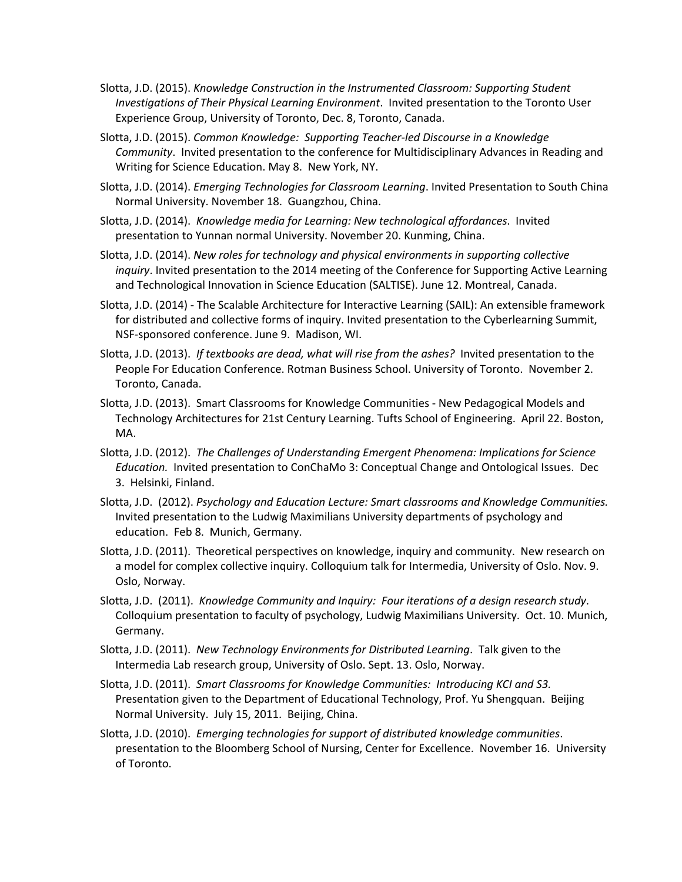- Slotta, J.D. (2015). *Knowledge Construction in the Instrumented Classroom: Supporting Student Investigations of Their Physical Learning Environment*. Invited presentation to the Toronto User Experience Group, University of Toronto, Dec. 8, Toronto, Canada.
- Slotta, J.D. (2015). *Common Knowledge: Supporting Teacher-led Discourse in a Knowledge Community*. Invited presentation to the conference for Multidisciplinary Advances in Reading and Writing for Science Education. May 8. New York, NY.
- Slotta, J.D. (2014). *Emerging Technologies for Classroom Learning*. Invited Presentation to South China Normal University. November 18. Guangzhou, China.
- Slotta, J.D. (2014). *Knowledge media for Learning: New technological affordances*. Invited presentation to Yunnan normal University. November 20. Kunming, China.
- Slotta, J.D. (2014). *New roles for technology and physical environments in supporting collective inquiry*. Invited presentation to the 2014 meeting of the Conference for Supporting Active Learning and Technological Innovation in Science Education (SALTISE). June 12. Montreal, Canada.
- Slotta, J.D. (2014) The Scalable Architecture for Interactive Learning (SAIL): An extensible framework for distributed and collective forms of inquiry. Invited presentation to the Cyberlearning Summit, NSF-sponsored conference. June 9. Madison, WI.
- Slotta, J.D. (2013). *If textbooks are dead, what will rise from the ashes?* Invited presentation to the People For Education Conference. Rotman Business School. University of Toronto. November 2. Toronto, Canada.
- Slotta, J.D. (2013). Smart Classrooms for Knowledge Communities New Pedagogical Models and Technology Architectures for 21st Century Learning. Tufts School of Engineering. April 22. Boston, MA.
- Slotta, J.D. (2012). *The Challenges of Understanding Emergent Phenomena: Implications for Science Education.* Invited presentation to ConChaMo 3: Conceptual Change and Ontological Issues. Dec 3. Helsinki, Finland.
- Slotta, J.D. (2012). *Psychology and Education Lecture: Smart classrooms and Knowledge Communities.* Invited presentation to the Ludwig Maximilians University departments of psychology and education. Feb 8. Munich, Germany.
- Slotta, J.D. (2011). Theoretical perspectives on knowledge, inquiry and community. New research on a model for complex collective inquiry. Colloquium talk for Intermedia, University of Oslo. Nov. 9. Oslo, Norway.
- Slotta, J.D. (2011). *Knowledge Community and Inquiry: Four iterations of a design research study*. Colloquium presentation to faculty of psychology, Ludwig Maximilians University. Oct. 10. Munich, Germany.
- Slotta, J.D. (2011). *New Technology Environments for Distributed Learning*. Talk given to the Intermedia Lab research group, University of Oslo. Sept. 13. Oslo, Norway.
- Slotta, J.D. (2011). *Smart Classrooms for Knowledge Communities: Introducing KCI and S3.* Presentation given to the Department of Educational Technology, Prof. Yu Shengquan. Beijing Normal University. July 15, 2011. Beijing, China.
- Slotta, J.D. (2010). *Emerging technologies for support of distributed knowledge communities*. presentation to the Bloomberg School of Nursing, Center for Excellence. November 16. University of Toronto.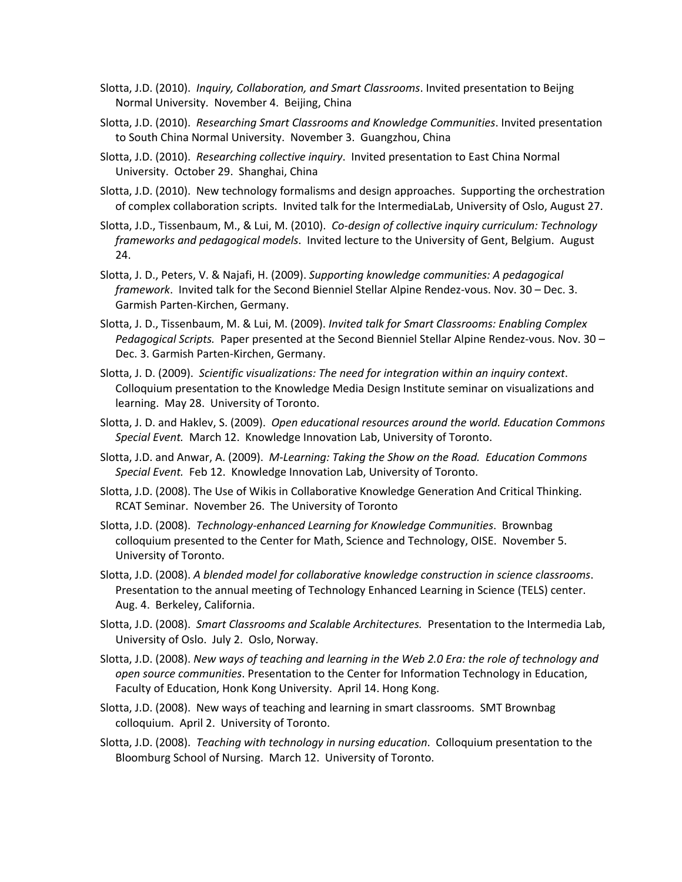- Slotta, J.D. (2010). *Inquiry, Collaboration, and Smart Classrooms*. Invited presentation to Beijng Normal University. November 4. Beijing, China
- Slotta, J.D. (2010). *Researching Smart Classrooms and Knowledge Communities*. Invited presentation to South China Normal University. November 3. Guangzhou, China
- Slotta, J.D. (2010). *Researching collective inquiry*. Invited presentation to East China Normal University. October 29. Shanghai, China
- Slotta, J.D. (2010). New technology formalisms and design approaches. Supporting the orchestration of complex collaboration scripts. Invited talk for the IntermediaLab, University of Oslo, August 27.
- Slotta, J.D., Tissenbaum, M., & Lui, M. (2010). *Co-design of collective inquiry curriculum: Technology frameworks and pedagogical models*. Invited lecture to the University of Gent, Belgium. August 24.
- Slotta, J. D., Peters, V. & Najafi, H. (2009). *Supporting knowledge communities: A pedagogical framework*. Invited talk for the Second Bienniel Stellar Alpine Rendez-vous. Nov. 30 – Dec. 3. Garmish Parten-Kirchen, Germany.
- Slotta, J. D., Tissenbaum, M. & Lui, M. (2009). *Invited talk for Smart Classrooms: Enabling Complex Pedagogical Scripts.* Paper presented at the Second Bienniel Stellar Alpine Rendez-vous. Nov. 30 – Dec. 3. Garmish Parten-Kirchen, Germany.
- Slotta, J. D. (2009). *Scientific visualizations: The need for integration within an inquiry context*. Colloquium presentation to the Knowledge Media Design Institute seminar on visualizations and learning. May 28. University of Toronto.
- Slotta, J. D. and Haklev, S. (2009). *Open educational resources around the world. Education Commons Special Event.* March 12. Knowledge Innovation Lab, University of Toronto.
- Slotta, J.D. and Anwar, A. (2009). *M-Learning: Taking the Show on the Road. Education Commons Special Event.* Feb 12. Knowledge Innovation Lab, University of Toronto.
- Slotta, J.D. (2008). The Use of Wikis in Collaborative Knowledge Generation And Critical Thinking. RCAT Seminar. November 26. The University of Toronto
- Slotta, J.D. (2008). *Technology-enhanced Learning for Knowledge Communities*. Brownbag colloquium presented to the Center for Math, Science and Technology, OISE. November 5. University of Toronto.
- Slotta, J.D. (2008). *A blended model for collaborative knowledge construction in science classrooms*. Presentation to the annual meeting of Technology Enhanced Learning in Science (TELS) center. Aug. 4. Berkeley, California.
- Slotta, J.D. (2008). *Smart Classrooms and Scalable Architectures.* Presentation to the Intermedia Lab, University of Oslo. July 2. Oslo, Norway.
- Slotta, J.D. (2008). *New ways of teaching and learning in the Web 2.0 Era: the role of technology and open source communities*. Presentation to the Center for Information Technology in Education, Faculty of Education, Honk Kong University. April 14. Hong Kong.
- Slotta, J.D. (2008). New ways of teaching and learning in smart classrooms. SMT Brownbag colloquium. April 2. University of Toronto.
- Slotta, J.D. (2008). *Teaching with technology in nursing education*. Colloquium presentation to the Bloomburg School of Nursing. March 12. University of Toronto.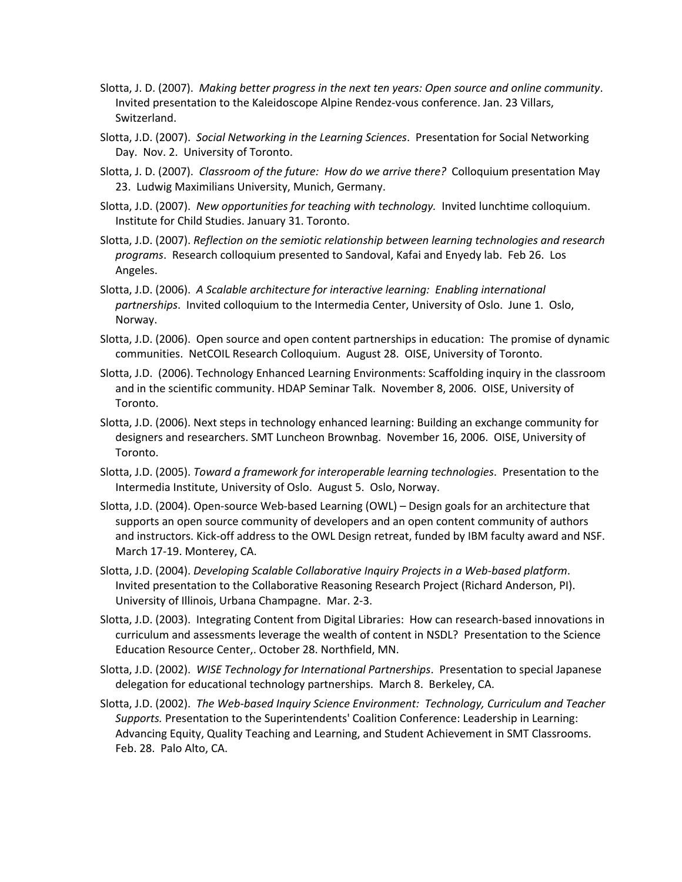- Slotta, J. D. (2007). *Making better progress in the next ten years: Open source and online community*. Invited presentation to the Kaleidoscope Alpine Rendez-vous conference. Jan. 23 Villars, Switzerland.
- Slotta, J.D. (2007). *Social Networking in the Learning Sciences*. Presentation for Social Networking Day. Nov. 2. University of Toronto.
- Slotta, J. D. (2007). *Classroom of the future: How do we arrive there?* Colloquium presentation May 23. Ludwig Maximilians University, Munich, Germany.
- Slotta, J.D. (2007). *New opportunities for teaching with technology.* Invited lunchtime colloquium. Institute for Child Studies. January 31. Toronto.
- Slotta, J.D. (2007). *Reflection on the semiotic relationship between learning technologies and research programs*. Research colloquium presented to Sandoval, Kafai and Enyedy lab. Feb 26. Los Angeles.
- Slotta, J.D. (2006). *A Scalable architecture for interactive learning: Enabling international partnerships*. Invited colloquium to the Intermedia Center, University of Oslo. June 1. Oslo, Norway.
- Slotta, J.D. (2006). Open source and open content partnerships in education: The promise of dynamic communities. NetCOIL Research Colloquium. August 28. OISE, University of Toronto.
- Slotta, J.D. (2006). Technology Enhanced Learning Environments: Scaffolding inquiry in the classroom and in the scientific community. HDAP Seminar Talk. November 8, 2006. OISE, University of Toronto.
- Slotta, J.D. (2006). Next steps in technology enhanced learning: Building an exchange community for designers and researchers. SMT Luncheon Brownbag. November 16, 2006. OISE, University of Toronto.
- Slotta, J.D. (2005). *Toward a framework for interoperable learning technologies*. Presentation to the Intermedia Institute, University of Oslo. August 5. Oslo, Norway.
- Slotta, J.D. (2004). Open-source Web-based Learning (OWL) Design goals for an architecture that supports an open source community of developers and an open content community of authors and instructors. Kick-off address to the OWL Design retreat, funded by IBM faculty award and NSF. March 17-19. Monterey, CA.
- Slotta, J.D. (2004). *Developing Scalable Collaborative Inquiry Projects in a Web-based platform*. Invited presentation to the Collaborative Reasoning Research Project (Richard Anderson, PI). University of Illinois, Urbana Champagne. Mar. 2-3.
- Slotta, J.D. (2003). Integrating Content from Digital Libraries: How can research-based innovations in curriculum and assessments leverage the wealth of content in NSDL? Presentation to the Science Education Resource Center,. October 28. Northfield, MN.
- Slotta, J.D. (2002). *WISE Technology for International Partnerships*. Presentation to special Japanese delegation for educational technology partnerships. March 8. Berkeley, CA.
- Slotta, J.D. (2002). *The Web-based Inquiry Science Environment: Technology, Curriculum and Teacher Supports.* Presentation to the Superintendents' Coalition Conference: Leadership in Learning: Advancing Equity, Quality Teaching and Learning, and Student Achievement in SMT Classrooms. Feb. 28. Palo Alto, CA.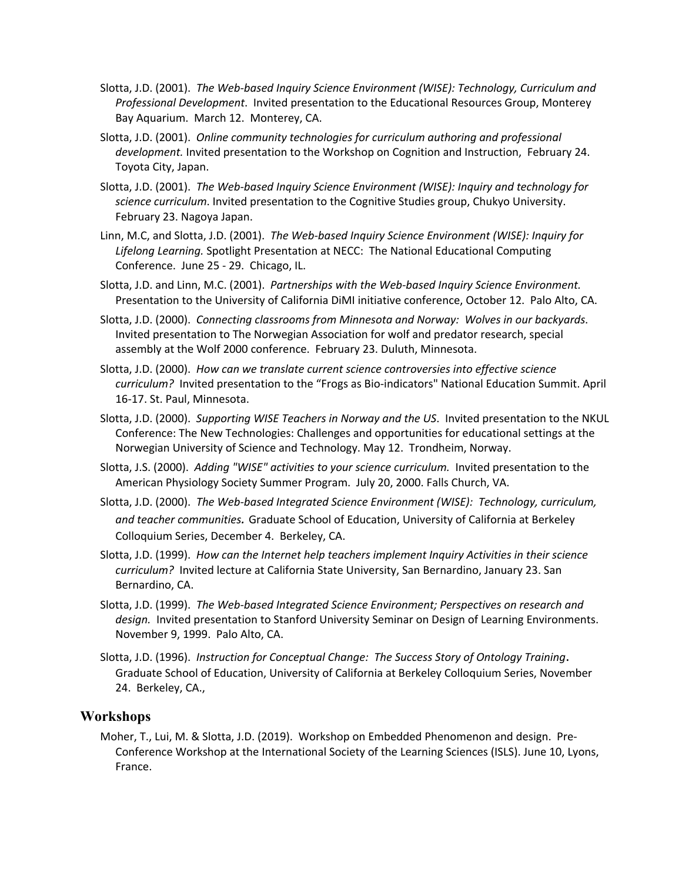- Slotta, J.D. (2001). *The Web-based Inquiry Science Environment (WISE): Technology, Curriculum and Professional Development*. Invited presentation to the Educational Resources Group, Monterey Bay Aquarium. March 12. Monterey, CA.
- Slotta, J.D. (2001). *Online community technologies for curriculum authoring and professional development.* Invited presentation to the Workshop on Cognition and Instruction, February 24. Toyota City, Japan.
- Slotta, J.D. (2001). *The Web-based Inquiry Science Environment (WISE): Inquiry and technology for science curriculum*. Invited presentation to the Cognitive Studies group, Chukyo University. February 23. Nagoya Japan.
- Linn, M.C, and Slotta, J.D. (2001). *The Web-based Inquiry Science Environment (WISE): Inquiry for Lifelong Learning.* Spotlight Presentation at NECC: The National Educational Computing Conference. June 25 - 29. Chicago, IL.
- Slotta, J.D. and Linn, M.C. (2001). *Partnerships with the Web-based Inquiry Science Environment.* Presentation to the University of California DiMI initiative conference, October 12. Palo Alto, CA.
- Slotta, J.D. (2000). *Connecting classrooms from Minnesota and Norway: Wolves in our backyards*. Invited presentation to The Norwegian Association for wolf and predator research, special assembly at the Wolf 2000 conference. February 23. Duluth, Minnesota.
- Slotta, J.D. (2000). *How can we translate current science controversies into effective science curriculum?* Invited presentation to the "Frogs as Bio-indicators" National Education Summit. April 16-17. St. Paul, Minnesota.
- Slotta, J.D. (2000). *Supporting WISE Teachers in Norway and the US*. Invited presentation to the NKUL Conference: The New Technologies: Challenges and opportunities for educational settings at the Norwegian University of Science and Technology. May 12. Trondheim, Norway.
- Slotta, J.S. (2000). *Adding "WISE" activities to your science curriculum.* Invited presentation to the American Physiology Society Summer Program. July 20, 2000. Falls Church, VA.
- Slotta, J.D. (2000). *The Web-based Integrated Science Environment (WISE): Technology, curriculum, and teacher communities.* Graduate School of Education, University of California at Berkeley Colloquium Series, December 4. Berkeley, CA.
- Slotta, J.D. (1999). *How can the Internet help teachers implement Inquiry Activities in their science curriculum?* Invited lecture at California State University, San Bernardino, January 23. San Bernardino, CA.
- Slotta, J.D. (1999). *The Web-based Integrated Science Environment; Perspectives on research and design.* Invited presentation to Stanford University Seminar on Design of Learning Environments. November 9, 1999. Palo Alto, CA.
- Slotta, J.D. (1996). *Instruction for Conceptual Change: The Success Story of Ontology Training*. Graduate School of Education, University of California at Berkeley Colloquium Series, November 24. Berkeley, CA.,

### **Workshops**

Moher, T., Lui, M. & Slotta, J.D. (2019). Workshop on Embedded Phenomenon and design. Pre-Conference Workshop at the International Society of the Learning Sciences (ISLS). June 10, Lyons, France.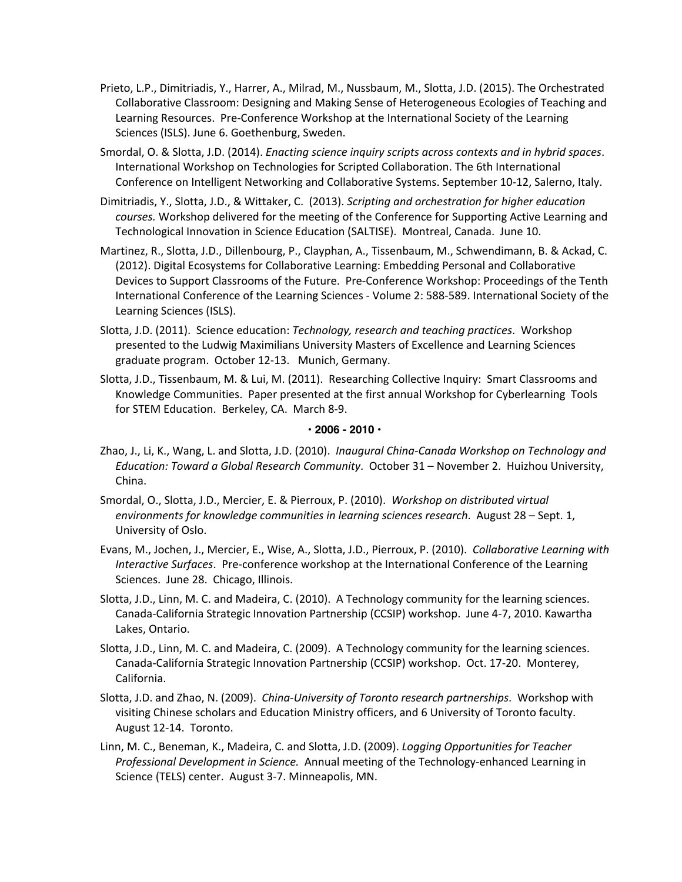- Prieto, L.P., Dimitriadis, Y., Harrer, A., Milrad, M., Nussbaum, M., Slotta, J.D. (2015). The Orchestrated Collaborative Classroom: Designing and Making Sense of Heterogeneous Ecologies of Teaching and Learning Resources. Pre-Conference Workshop at the International Society of the Learning Sciences (ISLS). June 6. Goethenburg, Sweden.
- Smordal, O. & Slotta, J.D. (2014). *Enacting science inquiry scripts across contexts and in hybrid spaces*. International Workshop on Technologies for Scripted Collaboration. The 6th International Conference on Intelligent Networking and Collaborative Systems. September 10-12, Salerno, Italy.
- Dimitriadis, Y., Slotta, J.D., & Wittaker, C. (2013). *Scripting and orchestration for higher education courses.* Workshop delivered for the meeting of the Conference for Supporting Active Learning and Technological Innovation in Science Education (SALTISE). Montreal, Canada. June 10.
- Martinez, R., Slotta, J.D., Dillenbourg, P., Clayphan, A., Tissenbaum, M., Schwendimann, B. & Ackad, C. (2012). Digital Ecosystems for Collaborative Learning: Embedding Personal and Collaborative Devices to Support Classrooms of the Future. Pre-Conference Workshop: Proceedings of the Tenth International Conference of the Learning Sciences - Volume 2: 588-589. International Society of the Learning Sciences (ISLS).
- Slotta, J.D. (2011). Science education: *Technology, research and teaching practices*. Workshop presented to the Ludwig Maximilians University Masters of Excellence and Learning Sciences graduate program. October 12-13. Munich, Germany.
- Slotta, J.D., Tissenbaum, M. & Lui, M. (2011). Researching Collective Inquiry: Smart Classrooms and Knowledge Communities. Paper presented at the first annual Workshop for Cyberlearning Tools for STEM Education. Berkeley, CA. March 8-9.

### **• 2006 - 2010 •**

- Zhao, J., Li, K., Wang, L. and Slotta, J.D. (2010). *Inaugural China-Canada Workshop on Technology and Education: Toward a Global Research Community*. October 31 – November 2. Huizhou University, China.
- Smordal, O., Slotta, J.D., Mercier, E. & Pierroux, P. (2010). *Workshop on distributed virtual environments for knowledge communities in learning sciences research*. August 28 – Sept. 1, University of Oslo.
- Evans, M., Jochen, J., Mercier, E., Wise, A., Slotta, J.D., Pierroux, P. (2010). *Collaborative Learning with Interactive Surfaces*. Pre-conference workshop at the International Conference of the Learning Sciences. June 28. Chicago, Illinois.
- Slotta, J.D., Linn, M. C. and Madeira, C. (2010). A Technology community for the learning sciences. Canada-California Strategic Innovation Partnership (CCSIP) workshop. June 4-7, 2010. Kawartha Lakes, Ontario.
- Slotta, J.D., Linn, M. C. and Madeira, C. (2009). A Technology community for the learning sciences. Canada-California Strategic Innovation Partnership (CCSIP) workshop. Oct. 17-20. Monterey, California.
- Slotta, J.D. and Zhao, N. (2009). *China-University of Toronto research partnerships*. Workshop with visiting Chinese scholars and Education Ministry officers, and 6 University of Toronto faculty. August 12-14. Toronto.
- Linn, M. C., Beneman, K., Madeira, C. and Slotta, J.D. (2009). *Logging Opportunities for Teacher Professional Development in Science.* Annual meeting of the Technology-enhanced Learning in Science (TELS) center. August 3-7. Minneapolis, MN.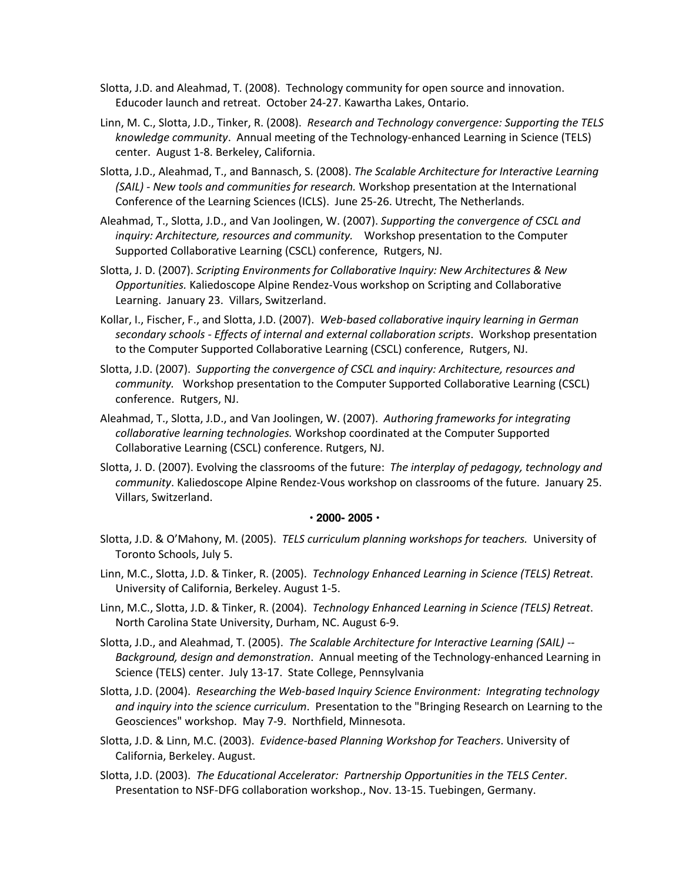- Slotta, J.D. and Aleahmad, T. (2008). Technology community for open source and innovation. Educoder launch and retreat. October 24-27. Kawartha Lakes, Ontario.
- Linn, M. C., Slotta, J.D., Tinker, R. (2008). *Research and Technology convergence: Supporting the TELS knowledge community*. Annual meeting of the Technology-enhanced Learning in Science (TELS) center. August 1-8. Berkeley, California.
- Slotta, J.D., Aleahmad, T., and Bannasch, S. (2008). *The Scalable Architecture for Interactive Learning (SAIL) - New tools and communities for research.* Workshop presentation at the International Conference of the Learning Sciences (ICLS). June 25-26. Utrecht, The Netherlands.
- Aleahmad, T., Slotta, J.D., and Van Joolingen, W. (2007). *Supporting the convergence of CSCL and inquiry: Architecture, resources and community.* Workshop presentation to the Computer Supported Collaborative Learning (CSCL) conference, Rutgers, NJ.
- Slotta, J. D. (2007). *Scripting Environments for Collaborative Inquiry: New Architectures & New Opportunities.* Kaliedoscope Alpine Rendez-Vous workshop on Scripting and Collaborative Learning. January 23. Villars, Switzerland.
- Kollar, I., Fischer, F., and Slotta, J.D. (2007). *Web-based collaborative inquiry learning in German secondary schools - Effects of internal and external collaboration scripts*. Workshop presentation to the Computer Supported Collaborative Learning (CSCL) conference, Rutgers, NJ.
- Slotta, J.D. (2007). *Supporting the convergence of CSCL and inquiry: Architecture, resources and community.* Workshop presentation to the Computer Supported Collaborative Learning (CSCL) conference. Rutgers, NJ.
- Aleahmad, T., Slotta, J.D., and Van Joolingen, W. (2007). *Authoring frameworks for integrating collaborative learning technologies.* Workshop coordinated at the Computer Supported Collaborative Learning (CSCL) conference. Rutgers, NJ.
- Slotta, J. D. (2007). Evolving the classrooms of the future: *The interplay of pedagogy, technology and community*. Kaliedoscope Alpine Rendez-Vous workshop on classrooms of the future. January 25. Villars, Switzerland.

### **• 2000- 2005 •**

- Slotta, J.D. & O'Mahony, M. (2005). *TELS curriculum planning workshops for teachers.* University of Toronto Schools, July 5.
- Linn, M.C., Slotta, J.D. & Tinker, R. (2005). *Technology Enhanced Learning in Science (TELS) Retreat*. University of California, Berkeley. August 1-5.
- Linn, M.C., Slotta, J.D. & Tinker, R. (2004). *Technology Enhanced Learning in Science (TELS) Retreat*. North Carolina State University, Durham, NC. August 6-9.
- Slotta, J.D., and Aleahmad, T. (2005). *The Scalable Architecture for Interactive Learning (SAIL) -- Background, design and demonstration*. Annual meeting of the Technology-enhanced Learning in Science (TELS) center. July 13-17. State College, Pennsylvania
- Slotta, J.D. (2004). *Researching the Web-based Inquiry Science Environment: Integrating technology and inquiry into the science curriculum*. Presentation to the "Bringing Research on Learning to the Geosciences" workshop. May 7-9. Northfield, Minnesota.
- Slotta, J.D. & Linn, M.C. (2003). *Evidence-based Planning Workshop for Teachers*. University of California, Berkeley. August.
- Slotta, J.D. (2003). *The Educational Accelerator: Partnership Opportunities in the TELS Center*. Presentation to NSF-DFG collaboration workshop., Nov. 13-15. Tuebingen, Germany.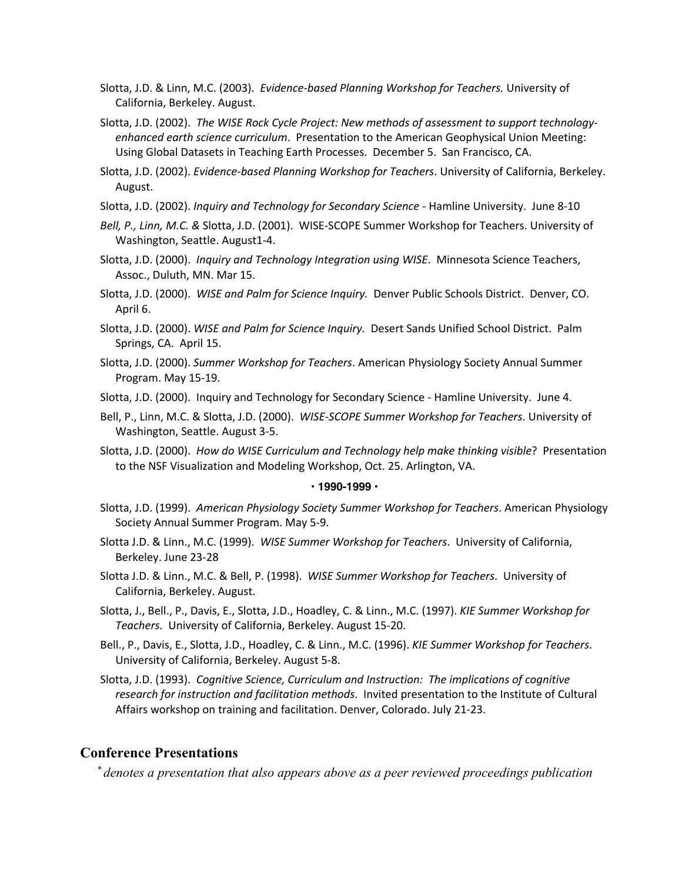- Slotta, J.D. & Linn, M.C. (2003). *Evidence-based Planning Workshop for Teachers.* University of California, Berkeley. August.
- Slotta, J.D. (2002). *The WISE Rock Cycle Project: New methods of assessment to support technologyenhanced earth science curriculum*. Presentation to the American Geophysical Union Meeting: Using Global Datasets in Teaching Earth Processes. December 5. San Francisco, CA.
- Slotta, J.D. (2002). *Evidence-based Planning Workshop for Teachers*. University of California, Berkeley. August.
- Slotta, J.D. (2002). *Inquiry and Technology for Secondary Science -* Hamline University. June 8-10
- *Bell, P., Linn, M.C. &* Slotta, J.D. (2001). WISE-SCOPE Summer Workshop for Teachers. University of Washington, Seattle. August1-4.
- Slotta, J.D. (2000). *Inquiry and Technology Integration using WISE*. Minnesota Science Teachers, Assoc., Duluth, MN. Mar 15.
- Slotta, J.D. (2000). *WISE and Palm for Science Inquiry.* Denver Public Schools District. Denver, CO. April 6.
- Slotta, J.D. (2000). *WISE and Palm for Science Inquiry.* Desert Sands Unified School District. Palm Springs, CA. April 15.
- Slotta, J.D. (2000). *Summer Workshop for Teachers*. American Physiology Society Annual Summer Program. May 15-19.
- Slotta, J.D. (2000). Inquiry and Technology for Secondary Science Hamline University. June 4.
- Bell, P., Linn, M.C. & Slotta, J.D. (2000). *WISE-SCOPE Summer Workshop for Teachers*. University of Washington, Seattle. August 3-5.
- Slotta, J.D. (2000). *How do WISE Curriculum and Technology help make thinking visible*? Presentation to the NSF Visualization and Modeling Workshop, Oct. 25. Arlington, VA.

#### **• 1990-1999 •**

- Slotta, J.D. (1999). *American Physiology Society Summer Workshop for Teachers*. American Physiology Society Annual Summer Program. May 5-9.
- Slotta J.D. & Linn., M.C. (1999). *WISE Summer Workshop for Teachers*. University of California, Berkeley. June 23-28
- Slotta J.D. & Linn., M.C. & Bell, P. (1998). *WISE Summer Workshop for Teachers*. University of California, Berkeley. August.
- Slotta, J., Bell., P., Davis, E., Slotta, J.D., Hoadley, C. & Linn., M.C. (1997). *KIE Summer Workshop for Teachers.* University of California, Berkeley. August 15-20.
- Bell., P., Davis, E., Slotta, J.D., Hoadley, C. & Linn., M.C. (1996). *KIE Summer Workshop for Teachers*. University of California, Berkeley. August 5-8.
- Slotta, J.D. (1993). *Cognitive Science, Curriculum and Instruction: The implications of cognitive research for instruction and facilitation methods*. Invited presentation to the Institute of Cultural Affairs workshop on training and facilitation. Denver, Colorado. July 21-23.

### **Conference Presentations**

 *\* denotes a presentation that also appears above as a peer reviewed proceedings publication*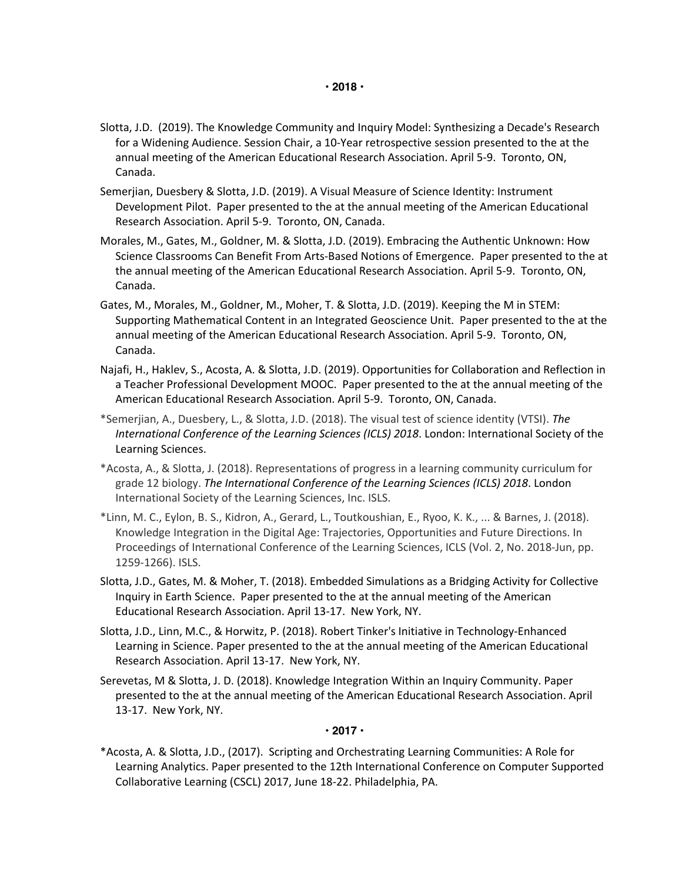- Slotta, J.D. (2019). The Knowledge Community and Inquiry Model: Synthesizing a Decade's Research for a Widening Audience. Session Chair, a 10-Year retrospective session presented to the at the annual meeting of the American Educational Research Association. April 5-9. Toronto, ON, Canada.
- Semerjian, Duesbery & Slotta, J.D. (2019). A Visual Measure of Science Identity: Instrument Development Pilot. Paper presented to the at the annual meeting of the American Educational Research Association. April 5-9. Toronto, ON, Canada.
- Morales, M., Gates, M., Goldner, M. & Slotta, J.D. (2019). Embracing the Authentic Unknown: How Science Classrooms Can Benefit From Arts-Based Notions of Emergence. Paper presented to the at the annual meeting of the American Educational Research Association. April 5-9. Toronto, ON, Canada.
- Gates, M., Morales, M., Goldner, M., Moher, T. & Slotta, J.D. (2019). Keeping the M in STEM: Supporting Mathematical Content in an Integrated Geoscience Unit. Paper presented to the at the annual meeting of the American Educational Research Association. April 5-9. Toronto, ON, Canada.
- Najafi, H., Haklev, S., Acosta, A. & Slotta, J.D. (2019). Opportunities for Collaboration and Reflection in a Teacher Professional Development MOOC. Paper presented to the at the annual meeting of the American Educational Research Association. April 5-9. Toronto, ON, Canada.
- \*Semerjian, A., Duesbery, L., & Slotta, J.D. (2018). The visual test of science identity (VTSI). *The International Conference of the Learning Sciences (ICLS) 2018*. London: International Society of the Learning Sciences.
- \*Acosta, A., & Slotta, J. (2018). Representations of progress in a learning community curriculum for grade 12 biology. *The International Conference of the Learning Sciences (ICLS) 2018*. London International Society of the Learning Sciences, Inc. ISLS.
- \*Linn, M. C., Eylon, B. S., Kidron, A., Gerard, L., Toutkoushian, E., Ryoo, K. K., ... & Barnes, J. (2018). Knowledge Integration in the Digital Age: Trajectories, Opportunities and Future Directions. In Proceedings of International Conference of the Learning Sciences, ICLS (Vol. 2, No. 2018-Jun, pp. 1259-1266). ISLS.
- Slotta, J.D., Gates, M. & Moher, T. (2018). Embedded Simulations as a Bridging Activity for Collective Inquiry in Earth Science. Paper presented to the at the annual meeting of the American Educational Research Association. April 13-17. New York, NY.
- Slotta, J.D., Linn, M.C., & Horwitz, P. (2018). Robert Tinker's Initiative in Technology-Enhanced Learning in Science. Paper presented to the at the annual meeting of the American Educational Research Association. April 13-17. New York, NY.
- Serevetas, M & Slotta, J. D. (2018). Knowledge Integration Within an Inquiry Community. Paper presented to the at the annual meeting of the American Educational Research Association. April 13-17. New York, NY.

### **• 2017 •**

\*Acosta, A. & Slotta, J.D., (2017). Scripting and Orchestrating Learning Communities: A Role for Learning Analytics. Paper presented to the 12th International Conference on Computer Supported Collaborative Learning (CSCL) 2017, June 18-22. Philadelphia, PA.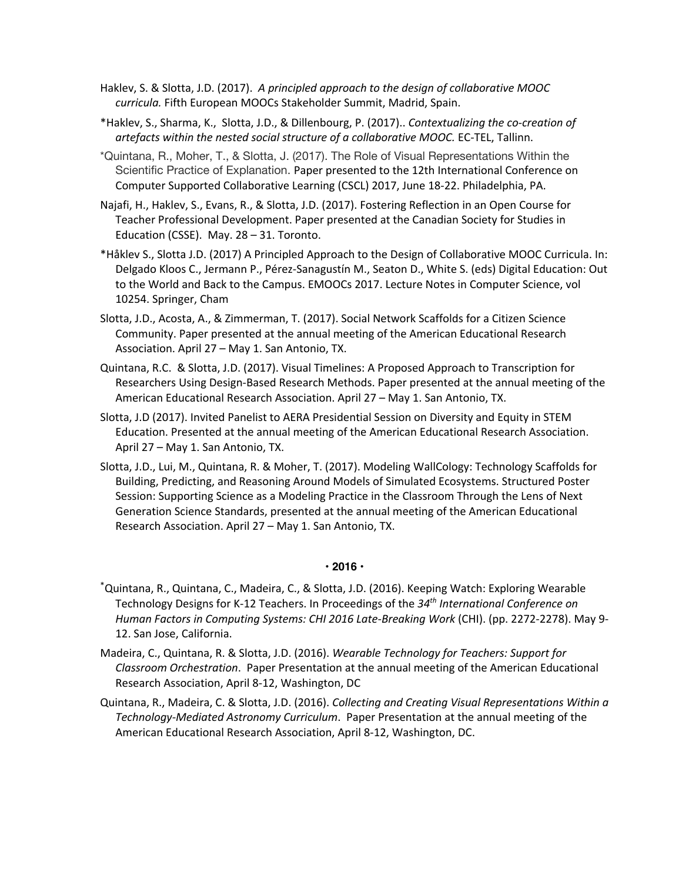- Haklev, S. & Slotta, J.D. (2017). *A principled approach to the design of collaborative MOOC curricula.* Fifth European MOOCs Stakeholder Summit, Madrid, Spain.
- \*Haklev, S., Sharma, K., Slotta, J.D., & Dillenbourg, P. (2017).. *Contextualizing the co-creation of artefacts within the nested social structure of a collaborative MOOC.* EC-TEL, Tallinn.
- \*Quintana, R., Moher, T., & Slotta, J. (2017). The Role of Visual Representations Within the Scientific Practice of Explanation. Paper presented to the 12th International Conference on Computer Supported Collaborative Learning (CSCL) 2017, June 18-22. Philadelphia, PA.
- Najafi, H., Haklev, S., Evans, R., & Slotta, J.D. (2017). Fostering Reflection in an Open Course for Teacher Professional Development. Paper presented at the Canadian Society for Studies in Education (CSSE). May. 28 – 31. Toronto.
- \*Håklev S., Slotta J.D. (2017) A Principled Approach to the Design of Collaborative MOOC Curricula. In: Delgado Kloos C., Jermann P., Pérez-Sanagustín M., Seaton D., White S. (eds) Digital Education: Out to the World and Back to the Campus. EMOOCs 2017. Lecture Notes in Computer Science, vol 10254. Springer, Cham
- Slotta, J.D., Acosta, A., & Zimmerman, T. (2017). Social Network Scaffolds for a Citizen Science Community. Paper presented at the annual meeting of the American Educational Research Association. April 27 – May 1. San Antonio, TX.
- Quintana, R.C. & Slotta, J.D. (2017). Visual Timelines: A Proposed Approach to Transcription for Researchers Using Design-Based Research Methods. Paper presented at the annual meeting of the American Educational Research Association. April 27 – May 1. San Antonio, TX.
- Slotta, J.D (2017). Invited Panelist to AERA Presidential Session on Diversity and Equity in STEM Education. Presented at the annual meeting of the American Educational Research Association. April 27 – May 1. San Antonio, TX.
- Slotta, J.D., Lui, M., Quintana, R. & Moher, T. (2017). Modeling WallCology: Technology Scaffolds for Building, Predicting, and Reasoning Around Models of Simulated Ecosystems. Structured Poster Session: Supporting Science as a Modeling Practice in the Classroom Through the Lens of Next Generation Science Standards, presented at the annual meeting of the American Educational Research Association. April 27 – May 1. San Antonio, TX.

### **• 2016 •**

- \* Quintana, R., Quintana, C., Madeira, C., & Slotta, J.D. (2016). Keeping Watch: Exploring Wearable Technology Designs for K-12 Teachers. In Proceedings of the *34th International Conference on Human Factors in Computing Systems: CHI 2016 Late-Breaking Work* (CHI). (pp. 2272-2278). May 9- 12. San Jose, California.
- Madeira, C., Quintana, R. & Slotta, J.D. (2016). *Wearable Technology for Teachers: Support for Classroom Orchestration*. Paper Presentation at the annual meeting of the American Educational Research Association, April 8-12, Washington, DC
- Quintana, R., Madeira, C. & Slotta, J.D. (2016). *Collecting and Creating Visual Representations Within a Technology-Mediated Astronomy Curriculum*. Paper Presentation at the annual meeting of the American Educational Research Association, April 8-12, Washington, DC.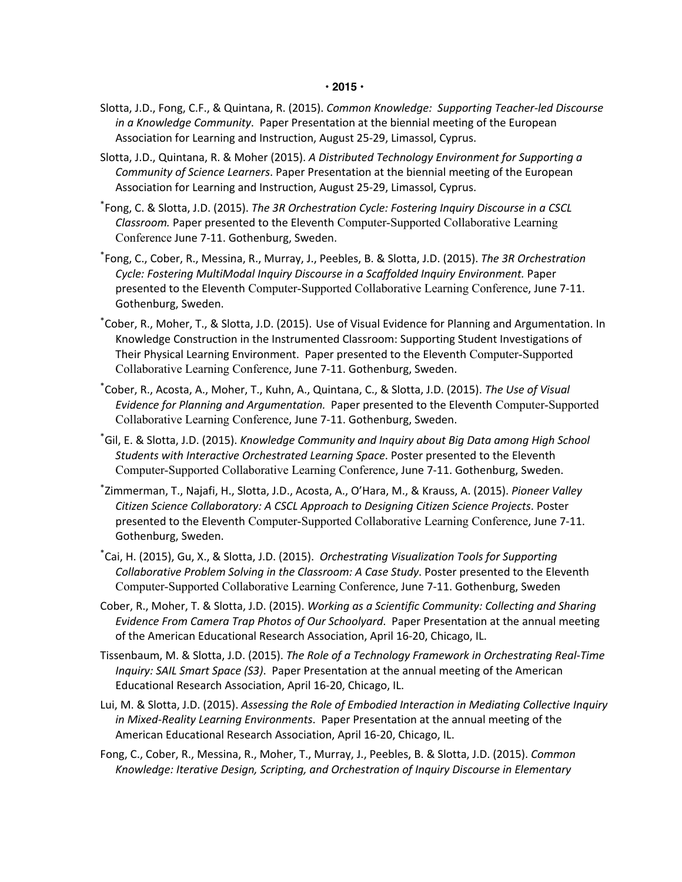- Slotta, J.D., Fong, C.F., & Quintana, R. (2015). *Common Knowledge: Supporting Teacher-led Discourse in a Knowledge Community*. Paper Presentation at the biennial meeting of the European Association for Learning and Instruction, August 25-29, Limassol, Cyprus.
- Slotta, J.D., Quintana, R. & Moher (2015). *A Distributed Technology Environment for Supporting a Community of Science Learners*. Paper Presentation at the biennial meeting of the European Association for Learning and Instruction, August 25-29, Limassol, Cyprus.
- \* Fong, C. & Slotta, J.D. (2015). *The 3R Orchestration Cycle: Fostering Inquiry Discourse in a CSCL Classroom.* Paper presented to the Eleventh Computer-Supported Collaborative Learning Conference June 7-11. Gothenburg, Sweden.
- \* Fong, C., Cober, R., Messina, R., Murray, J., Peebles, B. & Slotta, J.D. (2015). *The 3R Orchestration Cycle: Fostering MultiModal Inquiry Discourse in a Scaffolded Inquiry Environment.* Paper presented to the Eleventh Computer-Supported Collaborative Learning Conference, June 7-11. Gothenburg, Sweden.
- \* Cober, R., Moher, T., & Slotta, J.D. (2015). Use of Visual Evidence for Planning and Argumentation. In Knowledge Construction in the Instrumented Classroom: Supporting Student Investigations of Their Physical Learning Environment. Paper presented to the Eleventh Computer-Supported Collaborative Learning Conference, June 7-11. Gothenburg, Sweden.
- \* Cober, R., Acosta, A., Moher, T., Kuhn, A., Quintana, C., & Slotta, J.D. (2015). *The Use of Visual Evidence for Planning and Argumentation.* Paper presented to the Eleventh Computer-Supported Collaborative Learning Conference, June 7-11. Gothenburg, Sweden.
- \* Gil, E. & Slotta, J.D. (2015). *Knowledge Community and Inquiry about Big Data among High School Students with Interactive Orchestrated Learning Space*. Poster presented to the Eleventh Computer-Supported Collaborative Learning Conference, June 7-11. Gothenburg, Sweden.
- \* Zimmerman, T., Najafi, H., Slotta, J.D., Acosta, A., O'Hara, M., & Krauss, A. (2015). *Pioneer Valley Citizen Science Collaboratory: A CSCL Approach to Designing Citizen Science Projects*. Poster presented to the Eleventh Computer-Supported Collaborative Learning Conference, June 7-11. Gothenburg, Sweden.
- \* Cai, H. (2015), Gu, X., & Slotta, J.D. (2015). *Orchestrating Visualization Tools for Supporting Collaborative Problem Solving in the Classroom: A Case Study*. Poster presented to the Eleventh Computer-Supported Collaborative Learning Conference, June 7-11. Gothenburg, Sweden
- Cober, R., Moher, T. & Slotta, J.D. (2015). *Working as a Scientific Community: Collecting and Sharing Evidence From Camera Trap Photos of Our Schoolyard*. Paper Presentation at the annual meeting of the American Educational Research Association, April 16-20, Chicago, IL.
- Tissenbaum, M. & Slotta, J.D. (2015). *The Role of a Technology Framework in Orchestrating Real-Time Inquiry: SAIL Smart Space (S3)*. Paper Presentation at the annual meeting of the American Educational Research Association, April 16-20, Chicago, IL.
- Lui, M. & Slotta, J.D. (2015). *Assessing the Role of Embodied Interaction in Mediating Collective Inquiry in Mixed-Reality Learning Environments*. Paper Presentation at the annual meeting of the American Educational Research Association, April 16-20, Chicago, IL.
- Fong, C., Cober, R., Messina, R., Moher, T., Murray, J., Peebles, B. & Slotta, J.D. (2015). *Common Knowledge: Iterative Design, Scripting, and Orchestration of Inquiry Discourse in Elementary*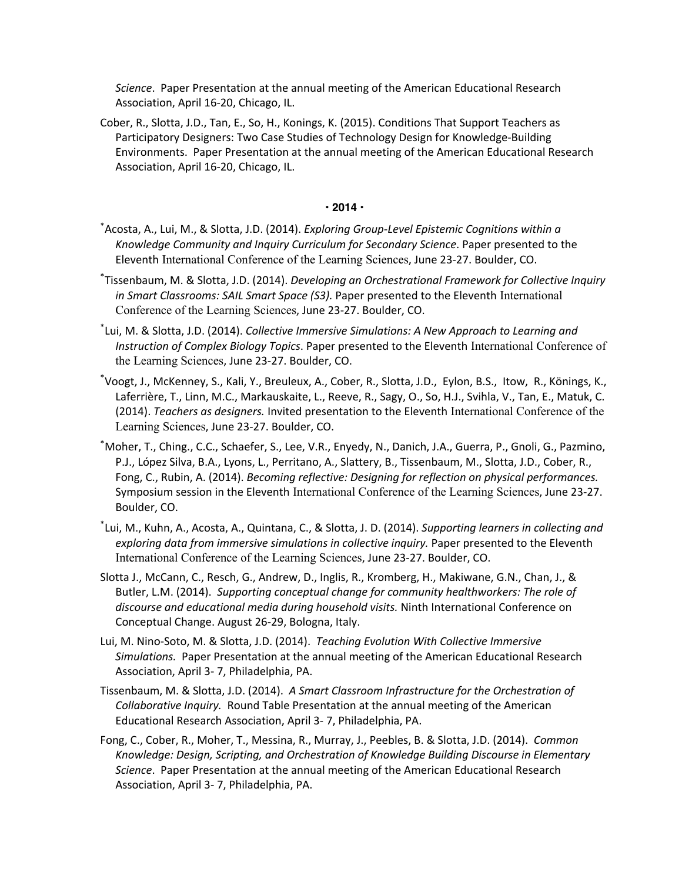*Science*. Paper Presentation at the annual meeting of the American Educational Research Association, April 16-20, Chicago, IL.

Cober, R., Slotta, J.D., Tan, E., So, H., Konings, K. (2015). Conditions That Support Teachers as Participatory Designers: Two Case Studies of Technology Design for Knowledge-Building Environments. Paper Presentation at the annual meeting of the American Educational Research Association, April 16-20, Chicago, IL.

#### **• 2014 •**

- \* Acosta, A., Lui, M., & Slotta, J.D. (2014). *Exploring Group-Level Epistemic Cognitions within a Knowledge Community and Inquiry Curriculum for Secondary Science*. Paper presented to the Eleventh International Conference of the Learning Sciences, June 23-27. Boulder, CO.
- \* Tissenbaum, M. & Slotta, J.D. (2014). *Developing an Orchestrational Framework for Collective Inquiry in Smart Classrooms: SAIL Smart Space (S3).* Paper presented to the Eleventh International Conference of the Learning Sciences, June 23-27. Boulder, CO.
- \* Lui, M. & Slotta, J.D. (2014). *Collective Immersive Simulations: A New Approach to Learning and Instruction of Complex Biology Topics*. Paper presented to the Eleventh International Conference of the Learning Sciences, June 23-27. Boulder, CO.
- \* Voogt, J., McKenney, S., Kali, Y., Breuleux, A., Cober, R., Slotta, J.D., Eylon, B.S., Itow, R., Könings, K., Laferrière, T., Linn, M.C., Markauskaite, L., Reeve, R., Sagy, O., So, H.J., Svihla, V., Tan, E., Matuk, C. (2014). *Teachers as designers.* Invited presentation to the Eleventh International Conference of the Learning Sciences, June 23-27. Boulder, CO.
- \* Moher, T., Ching., C.C., Schaefer, S., Lee, V.R., Enyedy, N., Danich, J.A., Guerra, P., Gnoli, G., Pazmino, P.J., López Silva, B.A., Lyons, L., Perritano, A., Slattery, B., Tissenbaum, M., Slotta, J.D., Cober, R., Fong, C., Rubin, A. (2014). *Becoming reflective: Designing for reflection on physical performances.* Symposium session in the Eleventh International Conference of the Learning Sciences, June 23-27. Boulder, CO.
- \* Lui, M., Kuhn, A., Acosta, A., Quintana, C., & Slotta, J. D. (2014). *Supporting learners in collecting and exploring data from immersive simulations in collective inquiry.* Paper presented to the Eleventh International Conference of the Learning Sciences, June 23-27. Boulder, CO.
- Slotta J., McCann, C., Resch, G., Andrew, D., Inglis, R., Kromberg, H., Makiwane, G.N., Chan, J., & Butler, L.M. (2014). *Supporting conceptual change for community healthworkers: The role of discourse and educational media during household visits.* Ninth International Conference on Conceptual Change. August 26-29, Bologna, Italy.
- Lui, M. Nino-Soto, M. & Slotta, J.D. (2014). *Teaching Evolution With Collective Immersive Simulations.* Paper Presentation at the annual meeting of the American Educational Research Association, April 3- 7, Philadelphia, PA.
- Tissenbaum, M. & Slotta, J.D. (2014). *A Smart Classroom Infrastructure for the Orchestration of Collaborative Inquiry.* Round Table Presentation at the annual meeting of the American Educational Research Association, April 3- 7, Philadelphia, PA.
- Fong, C., Cober, R., Moher, T., Messina, R., Murray, J., Peebles, B. & Slotta, J.D. (2014). *Common Knowledge: Design, Scripting, and Orchestration of Knowledge Building Discourse in Elementary Science*. Paper Presentation at the annual meeting of the American Educational Research Association, April 3- 7, Philadelphia, PA.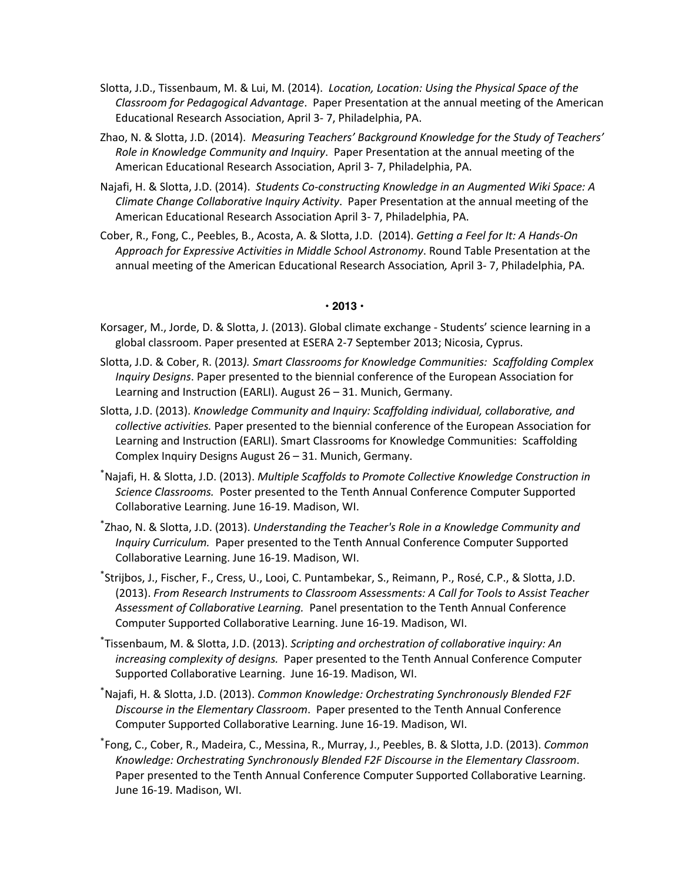- Slotta, J.D., Tissenbaum, M. & Lui, M. (2014). *Location, Location: Using the Physical Space of the Classroom for Pedagogical Advantage*. Paper Presentation at the annual meeting of the American Educational Research Association, April 3- 7, Philadelphia, PA.
- Zhao, N. & Slotta, J.D. (2014). *Measuring Teachers' Background Knowledge for the Study of Teachers' Role in Knowledge Community and Inquiry*. Paper Presentation at the annual meeting of the American Educational Research Association, April 3- 7, Philadelphia, PA.
- Najafi, H. & Slotta, J.D. (2014). *Students Co-constructing Knowledge in an Augmented Wiki Space: A Climate Change Collaborative Inquiry Activity*. Paper Presentation at the annual meeting of the American Educational Research Association April 3- 7, Philadelphia, PA.
- Cober, R., Fong, C., Peebles, B., Acosta, A. & Slotta, J.D. (2014). *Getting a Feel for It: A Hands-On Approach for Expressive Activities in Middle School Astronomy*. Round Table Presentation at the annual meeting of the American Educational Research Association*,* April 3- 7, Philadelphia, PA.

### **• 2013 •**

- Korsager, M., Jorde, D. & Slotta, J. (2013). Global climate exchange Students' science learning in a global classroom. Paper presented at ESERA 2-7 September 2013; Nicosia, Cyprus.
- Slotta, J.D. & Cober, R. (2013*). Smart Classrooms for Knowledge Communities: Scaffolding Complex Inquiry Designs*. Paper presented to the biennial conference of the European Association for Learning and Instruction (EARLI). August 26 – 31. Munich, Germany.
- Slotta, J.D. (2013). *Knowledge Community and Inquiry: Scaffolding individual, collaborative, and collective activities.* Paper presented to the biennial conference of the European Association for Learning and Instruction (EARLI). Smart Classrooms for Knowledge Communities: Scaffolding Complex Inquiry Designs August 26 – 31. Munich, Germany.
- \* Najafi, H. & Slotta, J.D. (2013). *Multiple Scaffolds to Promote Collective Knowledge Construction in Science Classrooms.* Poster presented to the Tenth Annual Conference Computer Supported Collaborative Learning. June 16-19. Madison, WI.
- \* Zhao, N. & Slotta, J.D. (2013). *Understanding the Teacher's Role in a Knowledge Community and Inquiry Curriculum.* Paper presented to the Tenth Annual Conference Computer Supported Collaborative Learning. June 16-19. Madison, WI.
- \* Strijbos, J., Fischer, F., Cress, U., Looi, C. Puntambekar, S., Reimann, P., Rosé, C.P., & Slotta, J.D. (2013). *From Research Instruments to Classroom Assessments: A Call for Tools to Assist Teacher Assessment of Collaborative Learning.* Panel presentation to the Tenth Annual Conference Computer Supported Collaborative Learning. June 16-19. Madison, WI.
- \* Tissenbaum, M. & Slotta, J.D. (2013). *Scripting and orchestration of collaborative inquiry: An increasing complexity of designs.* Paper presented to the Tenth Annual Conference Computer Supported Collaborative Learning. June 16-19. Madison, WI.
- \* Najafi, H. & Slotta, J.D. (2013). *Common Knowledge: Orchestrating Synchronously Blended F2F Discourse in the Elementary Classroom*. Paper presented to the Tenth Annual Conference Computer Supported Collaborative Learning. June 16-19. Madison, WI.
- \* Fong, C., Cober, R., Madeira, C., Messina, R., Murray, J., Peebles, B. & Slotta, J.D. (2013). *Common Knowledge: Orchestrating Synchronously Blended F2F Discourse in the Elementary Classroom*. Paper presented to the Tenth Annual Conference Computer Supported Collaborative Learning. June 16-19. Madison, WI.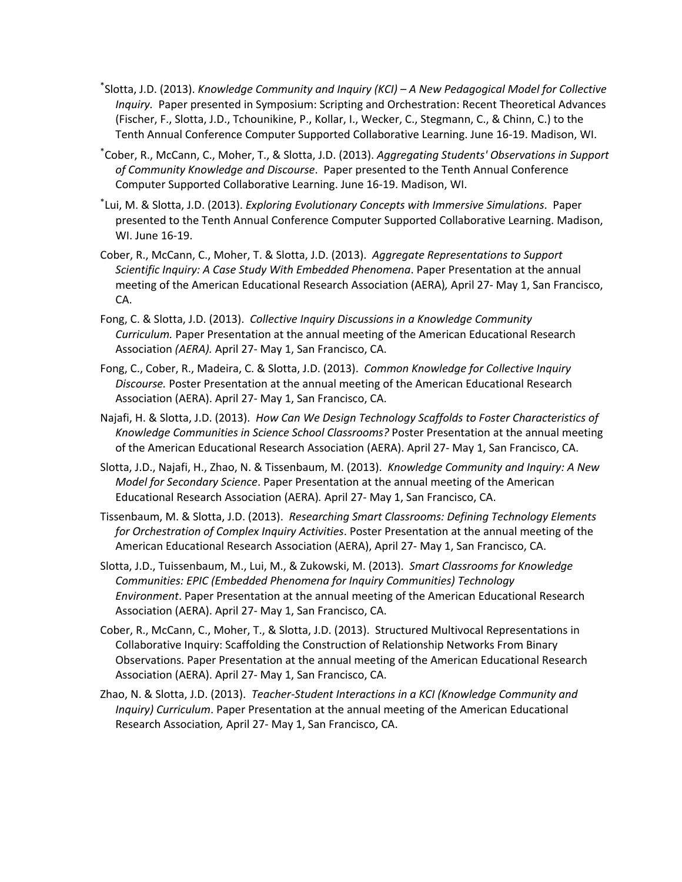- \* Slotta, J.D. (2013). *Knowledge Community and Inquiry (KCI) – A New Pedagogical Model for Collective Inquiry.* Paper presented in Symposium: Scripting and Orchestration: Recent Theoretical Advances (Fischer, F., Slotta, J.D., Tchounikine, P., Kollar, I., Wecker, C., Stegmann, C., & Chinn, C.) to the Tenth Annual Conference Computer Supported Collaborative Learning. June 16-19. Madison, WI.
- \* Cober, R., McCann, C., Moher, T., & Slotta, J.D. (2013). *Aggregating Students' Observations in Support of Community Knowledge and Discourse*. Paper presented to the Tenth Annual Conference Computer Supported Collaborative Learning. June 16-19. Madison, WI.
- \* Lui, M. & Slotta, J.D. (2013). *Exploring Evolutionary Concepts with Immersive Simulations*. Paper presented to the Tenth Annual Conference Computer Supported Collaborative Learning. Madison, WI. June 16-19.
- Cober, R., McCann, C., Moher, T. & Slotta, J.D. (2013). *Aggregate Representations to Support Scientific Inquiry: A Case Study With Embedded Phenomena*. Paper Presentation at the annual meeting of the American Educational Research Association (AERA)*,* April 27- May 1, San Francisco, CA.
- Fong, C. & Slotta, J.D. (2013). *Collective Inquiry Discussions in a Knowledge Community Curriculum.* Paper Presentation at the annual meeting of the American Educational Research Association *(AERA).* April 27- May 1, San Francisco, CA.
- Fong, C., Cober, R., Madeira, C. & Slotta, J.D. (2013). *Common Knowledge for Collective Inquiry Discourse.* Poster Presentation at the annual meeting of the American Educational Research Association (AERA). April 27- May 1, San Francisco, CA.
- Najafi, H. & Slotta, J.D. (2013). *How Can We Design Technology Scaffolds to Foster Characteristics of Knowledge Communities in Science School Classrooms?* Poster Presentation at the annual meeting of the American Educational Research Association (AERA). April 27- May 1, San Francisco, CA.
- Slotta, J.D., Najafi, H., Zhao, N. & Tissenbaum, M. (2013). *Knowledge Community and Inquiry: A New Model for Secondary Science*. Paper Presentation at the annual meeting of the American Educational Research Association (AERA)*.* April 27- May 1, San Francisco, CA.
- Tissenbaum, M. & Slotta, J.D. (2013). *Researching Smart Classrooms: Defining Technology Elements for Orchestration of Complex Inquiry Activities*. Poster Presentation at the annual meeting of the American Educational Research Association (AERA), April 27- May 1, San Francisco, CA.
- Slotta, J.D., Tuissenbaum, M., Lui, M., & Zukowski, M. (2013). *Smart Classrooms for Knowledge Communities: EPIC (Embedded Phenomena for Inquiry Communities) Technology Environment*. Paper Presentation at the annual meeting of the American Educational Research Association (AERA). April 27- May 1, San Francisco, CA.
- Cober, R., McCann, C., Moher, T., & Slotta, J.D. (2013). Structured Multivocal Representations in Collaborative Inquiry: Scaffolding the Construction of Relationship Networks From Binary Observations. Paper Presentation at the annual meeting of the American Educational Research Association (AERA). April 27- May 1, San Francisco, CA.
- Zhao, N. & Slotta, J.D. (2013). *Teacher-Student Interactions in a KCI (Knowledge Community and Inquiry) Curriculum*. Paper Presentation at the annual meeting of the American Educational Research Association*,* April 27- May 1, San Francisco, CA.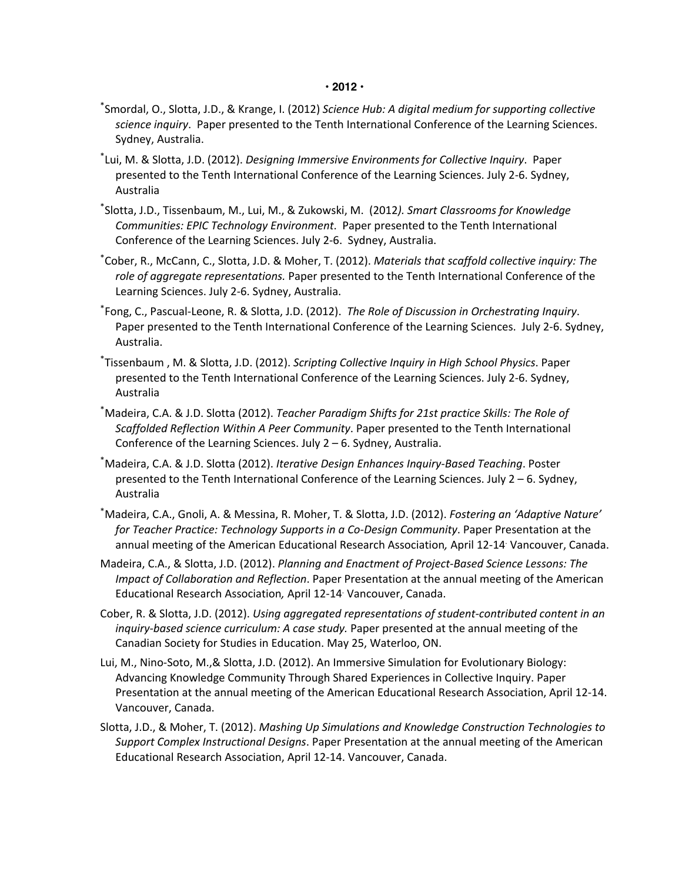#### **• 2012 •**

- \* Smordal, O., Slotta, J.D., & Krange, I. (2012) *Science Hub: A digital medium for supporting collective science inquiry*. Paper presented to the Tenth International Conference of the Learning Sciences. Sydney, Australia.
- \* Lui, M. & Slotta, J.D. (2012). *Designing Immersive Environments for Collective Inquiry*. Paper presented to the Tenth International Conference of the Learning Sciences. July 2-6. Sydney, Australia
- \* Slotta, J.D., Tissenbaum, M., Lui, M., & Zukowski, M. (2012*). Smart Classrooms for Knowledge Communities: EPIC Technology Environment*. Paper presented to the Tenth International Conference of the Learning Sciences. July 2-6. Sydney, Australia.
- \* Cober, R., McCann, C., Slotta, J.D. & Moher, T. (2012). *Materials that scaffold collective inquiry: The role of aggregate representations.* Paper presented to the Tenth International Conference of the Learning Sciences. July 2-6. Sydney, Australia.
- \* Fong, C., Pascual-Leone, R. & Slotta, J.D. (2012). *The Role of Discussion in Orchestrating Inquiry*. Paper presented to the Tenth International Conference of the Learning Sciences. July 2-6. Sydney, Australia.
- \* Tissenbaum , M. & Slotta, J.D. (2012). *Scripting Collective Inquiry in High School Physics*. Paper presented to the Tenth International Conference of the Learning Sciences. July 2-6. Sydney, Australia
- \* Madeira, C.A. & J.D. Slotta (2012). *Teacher Paradigm Shifts for 21st practice Skills: The Role of Scaffolded Reflection Within A Peer Community*. Paper presented to the Tenth International Conference of the Learning Sciences. July 2 – 6. Sydney, Australia.
- \* Madeira, C.A. & J.D. Slotta (2012). *Iterative Design Enhances Inquiry-Based Teaching*. Poster presented to the Tenth International Conference of the Learning Sciences. July 2 – 6. Sydney, Australia
- \* Madeira, C.A., Gnoli, A. & Messina, R. Moher, T. & Slotta, J.D. (2012). *Fostering an 'Adaptive Nature' for Teacher Practice: Technology Supports in a Co-Design Community*. Paper Presentation at the annual meeting of the American Educational Research Association*,* April 12-14. Vancouver, Canada.
- Madeira, C.A., & Slotta, J.D. (2012). *Planning and Enactment of Project-Based Science Lessons: The Impact of Collaboration and Reflection*. Paper Presentation at the annual meeting of the American Educational Research Association*,* April 12-14. Vancouver, Canada.
- Cober, R. & Slotta, J.D. (2012). *Using aggregated representations of student-contributed content in an inquiry-based science curriculum: A case study.* Paper presented at the annual meeting of the Canadian Society for Studies in Education. May 25, Waterloo, ON.
- Lui, M., Nino-Soto, M.,& Slotta, J.D. (2012). An Immersive Simulation for Evolutionary Biology: Advancing Knowledge Community Through Shared Experiences in Collective Inquiry. Paper Presentation at the annual meeting of the American Educational Research Association, April 12-14. Vancouver, Canada.
- Slotta, J.D., & Moher, T. (2012). *Mashing Up Simulations and Knowledge Construction Technologies to Support Complex Instructional Designs*. Paper Presentation at the annual meeting of the American Educational Research Association, April 12-14. Vancouver, Canada.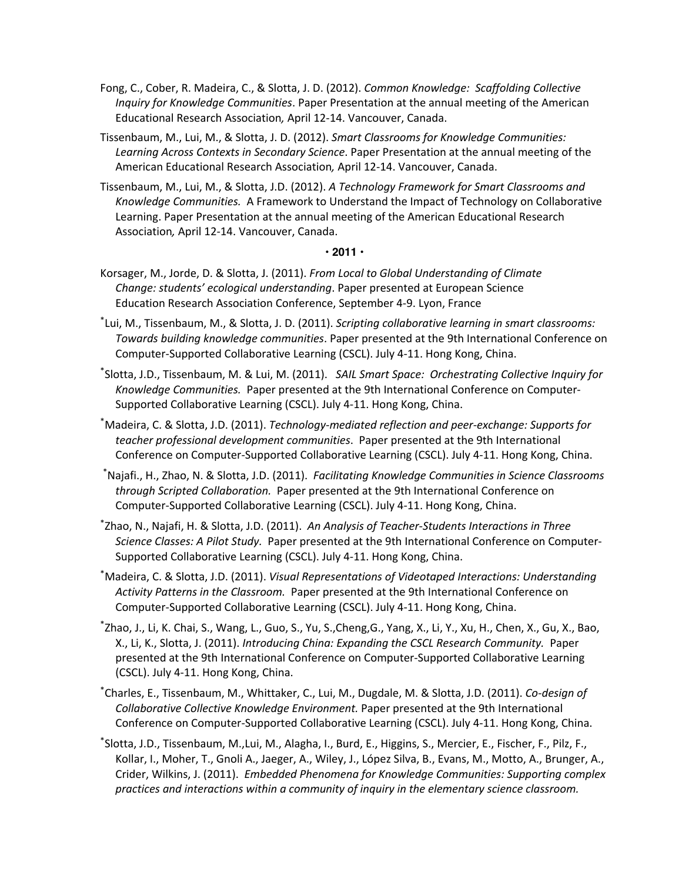- Fong, C., Cober, R. Madeira, C., & Slotta, J. D. (2012). *Common Knowledge: Scaffolding Collective Inquiry for Knowledge Communities*. Paper Presentation at the annual meeting of the American Educational Research Association*,* April 12-14. Vancouver, Canada.
- Tissenbaum, M., Lui, M., & Slotta, J. D. (2012). *Smart Classrooms for Knowledge Communities: Learning Across Contexts in Secondary Science*. Paper Presentation at the annual meeting of the American Educational Research Association*,* April 12-14. Vancouver, Canada.
- Tissenbaum, M., Lui, M., & Slotta, J.D. (2012). *A Technology Framework for Smart Classrooms and Knowledge Communities.* A Framework to Understand the Impact of Technology on Collaborative Learning. Paper Presentation at the annual meeting of the American Educational Research Association*,* April 12-14. Vancouver, Canada.

#### **• 2011 •**

- Korsager, M., Jorde, D. & Slotta, J. (2011). *From Local to Global Understanding of Climate Change: students' ecological understanding*. Paper presented at European Science Education Research Association Conference, September 4-9. Lyon, France
- \* Lui, M., Tissenbaum, M., & Slotta, J. D. (2011). *Scripting collaborative learning in smart classrooms: Towards building knowledge communities*. Paper presented at the 9th International Conference on Computer-Supported Collaborative Learning (CSCL). July 4-11. Hong Kong, China.
- \* Slotta, J.D., Tissenbaum, M. & Lui, M. (2011). *SAIL Smart Space: Orchestrating Collective Inquiry for Knowledge Communities.* Paper presented at the 9th International Conference on Computer-Supported Collaborative Learning (CSCL). July 4-11. Hong Kong, China.
- \* Madeira, C. & Slotta, J.D. (2011). *Technology-mediated reflection and peer-exchange: Supports for teacher professional development communities*. Paper presented at the 9th International Conference on Computer-Supported Collaborative Learning (CSCL). July 4-11. Hong Kong, China.
- \* Najafi., H., Zhao, N. & Slotta, J.D. (2011). *Facilitating Knowledge Communities in Science Classrooms through Scripted Collaboration.* Paper presented at the 9th International Conference on Computer-Supported Collaborative Learning (CSCL). July 4-11. Hong Kong, China.
- \* Zhao, N., Najafi, H. & Slotta, J.D. (2011). *An Analysis of Teacher-Students Interactions in Three Science Classes: A Pilot Study.* Paper presented at the 9th International Conference on Computer-Supported Collaborative Learning (CSCL). July 4-11. Hong Kong, China.
- \* Madeira, C. & Slotta, J.D. (2011). *Visual Representations of Videotaped Interactions: Understanding Activity Patterns in the Classroom.* Paper presented at the 9th International Conference on Computer-Supported Collaborative Learning (CSCL). July 4-11. Hong Kong, China.
- \* Zhao, J., Li, K. Chai, S., Wang, L., Guo, S., Yu, S.,Cheng,G., Yang, X., Li, Y., Xu, H., Chen, X., Gu, X., Bao, X., Li, K., Slotta, J. (2011). *Introducing China: Expanding the CSCL Research Community.* Paper presented at the 9th International Conference on Computer-Supported Collaborative Learning (CSCL). July 4-11. Hong Kong, China.
- \* Charles, E., Tissenbaum, M., Whittaker, C., Lui, M., Dugdale, M. & Slotta, J.D. (2011). *Co-design of Collaborative Collective Knowledge Environment.* Paper presented at the 9th International Conference on Computer-Supported Collaborative Learning (CSCL). July 4-11. Hong Kong, China.
- \* Slotta, J.D., Tissenbaum, M.,Lui, M., Alagha, I., Burd, E., Higgins, S., Mercier, E., Fischer, F., Pilz, F., Kollar, I., Moher, T., Gnoli A., Jaeger, A., Wiley, J., López Silva, B., Evans, M., Motto, A., Brunger, A., Crider, Wilkins, J. (2011). *Embedded Phenomena for Knowledge Communities: Supporting complex practices and interactions within a community of inquiry in the elementary science classroom.*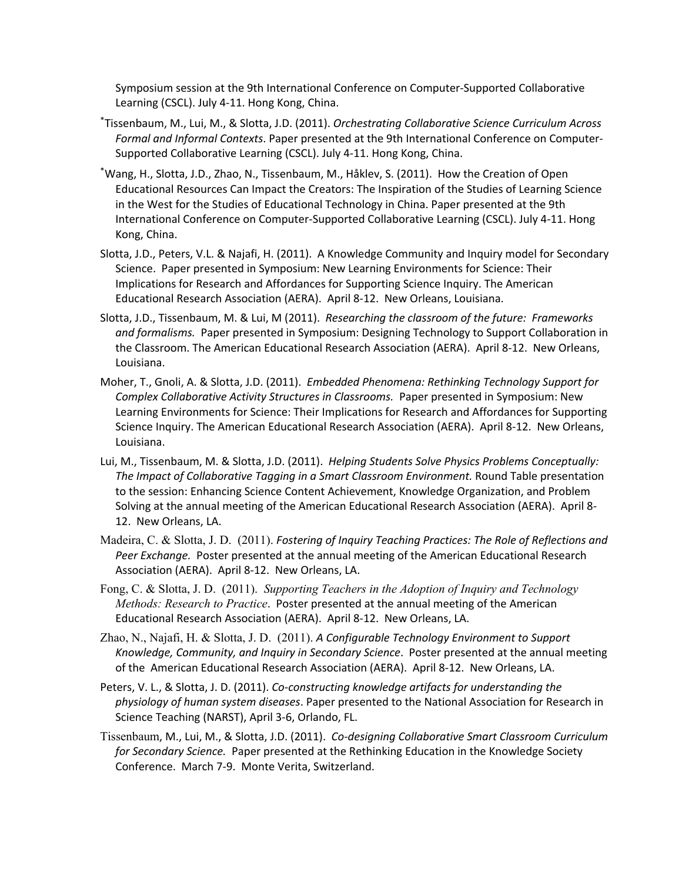Symposium session at the 9th International Conference on Computer-Supported Collaborative Learning (CSCL). July 4-11. Hong Kong, China.

- \* Tissenbaum, M., Lui, M., & Slotta, J.D. (2011). *Orchestrating Collaborative Science Curriculum Across Formal and Informal Contexts*. Paper presented at the 9th International Conference on Computer-Supported Collaborative Learning (CSCL). July 4-11. Hong Kong, China.
- \* Wang, H., Slotta, J.D., Zhao, N., Tissenbaum, M., Håklev, S. (2011). How the Creation of Open Educational Resources Can Impact the Creators: The Inspiration of the Studies of Learning Science in the West for the Studies of Educational Technology in China. Paper presented at the 9th International Conference on Computer-Supported Collaborative Learning (CSCL). July 4-11. Hong Kong, China.
- Slotta, J.D., Peters, V.L. & Najafi, H. (2011). A Knowledge Community and Inquiry model for Secondary Science. Paper presented in Symposium: New Learning Environments for Science: Their Implications for Research and Affordances for Supporting Science Inquiry. The American Educational Research Association (AERA). April 8-12. New Orleans, Louisiana.
- Slotta, J.D., Tissenbaum, M. & Lui, M (2011). *Researching the classroom of the future: Frameworks and formalisms.* Paper presented in Symposium: Designing Technology to Support Collaboration in the Classroom. The American Educational Research Association (AERA). April 8-12. New Orleans, Louisiana.
- Moher, T., Gnoli, A. & Slotta, J.D. (2011). *Embedded Phenomena: Rethinking Technology Support for Complex Collaborative Activity Structures in Classrooms.* Paper presented in Symposium: New Learning Environments for Science: Their Implications for Research and Affordances for Supporting Science Inquiry. The American Educational Research Association (AERA). April 8-12. New Orleans, Louisiana.
- Lui, M., Tissenbaum, M. & Slotta, J.D. (2011). *Helping Students Solve Physics Problems Conceptually: The Impact of Collaborative Tagging in a Smart Classroom Environment.* Round Table presentation to the session: Enhancing Science Content Achievement, Knowledge Organization, and Problem Solving at the annual meeting of the American Educational Research Association (AERA). April 8- 12. New Orleans, LA.
- Madeira, C. & Slotta, J. D. (2011). *Fostering of Inquiry Teaching Practices: The Role of Reflections and Peer Exchange.* Poster presented at the annual meeting of the American Educational Research Association (AERA). April 8-12. New Orleans, LA.
- Fong, C. & Slotta, J. D. (2011). *Supporting Teachers in the Adoption of Inquiry and Technology Methods: Research to Practice*. Poster presented at the annual meeting of the American Educational Research Association (AERA). April 8-12. New Orleans, LA.
- Zhao, N., Najafi, H. & Slotta, J. D. (2011). *A Configurable Technology Environment to Support Knowledge, Community, and Inquiry in Secondary Science*. Poster presented at the annual meeting of the American Educational Research Association (AERA). April 8-12. New Orleans, LA.
- Peters, V. L., & Slotta, J. D. (2011). *Co-constructing knowledge artifacts for understanding the physiology of human system diseases*. Paper presented to the National Association for Research in Science Teaching (NARST), April 3-6, Orlando, FL.
- Tissenbaum, M., Lui, M., & Slotta, J.D. (2011). *Co-designing Collaborative Smart Classroom Curriculum for Secondary Science.* Paper presented at the Rethinking Education in the Knowledge Society Conference. March 7-9. Monte Verita, Switzerland.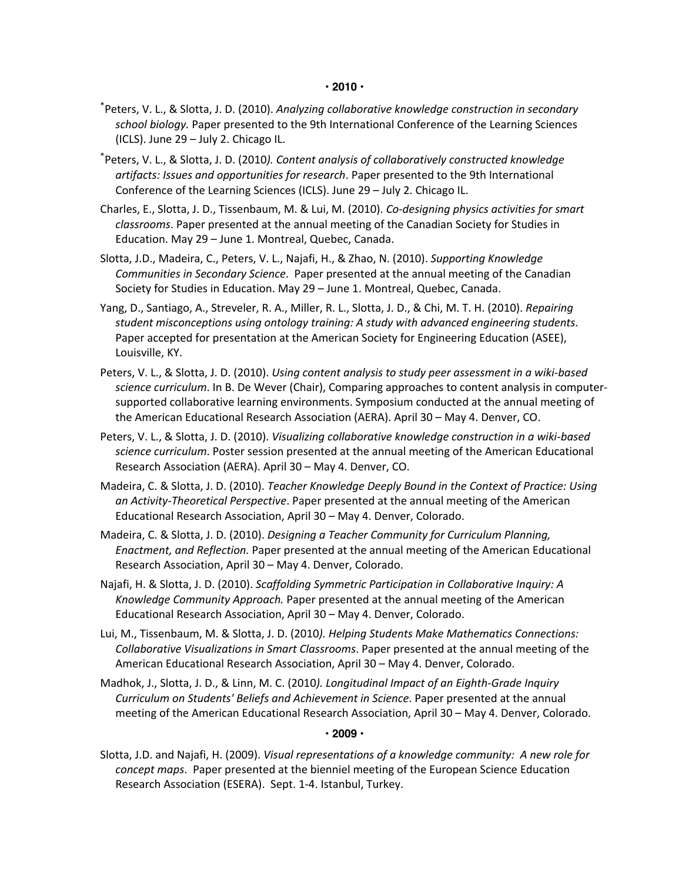- \* Peters, V. L., & Slotta, J. D. (2010). *Analyzing collaborative knowledge construction in secondary school biology.* Paper presented to the 9th International Conference of the Learning Sciences (ICLS). June 29 – July 2. Chicago IL.
- \* Peters, V. L., & Slotta, J. D. (2010*). Content analysis of collaboratively constructed knowledge artifacts: Issues and opportunities for research*. Paper presented to the 9th International Conference of the Learning Sciences (ICLS). June 29 – July 2. Chicago IL.
- Charles, E., Slotta, J. D., Tissenbaum, M. & Lui, M. (2010). *Co-designing physics activities for smart classrooms*. Paper presented at the annual meeting of the Canadian Society for Studies in Education. May 29 – June 1. Montreal, Quebec, Canada.
- Slotta, J.D., Madeira, C., Peters, V. L., Najafi, H., & Zhao, N. (2010). *Supporting Knowledge Communities in Secondary Science*. Paper presented at the annual meeting of the Canadian Society for Studies in Education. May 29 – June 1. Montreal, Quebec, Canada.
- Yang, D., Santiago, A., Streveler, R. A., Miller, R. L., Slotta, J. D., & Chi, M. T. H. (2010). *Repairing student misconceptions using ontology training: A study with advanced engineering students*. Paper accepted for presentation at the American Society for Engineering Education (ASEE), Louisville, KY.
- Peters, V. L., & Slotta, J. D. (2010). *Using content analysis to study peer assessment in a wiki-based science curriculum*. In B. De Wever (Chair), Comparing approaches to content analysis in computersupported collaborative learning environments. Symposium conducted at the annual meeting of the American Educational Research Association (AERA). April 30 – May 4. Denver, CO.
- Peters, V. L., & Slotta, J. D. (2010). *Visualizing collaborative knowledge construction in a wiki-based science curriculum*. Poster session presented at the annual meeting of the American Educational Research Association (AERA). April 30 – May 4. Denver, CO.
- Madeira, C. & Slotta, J. D. (2010). *Teacher Knowledge Deeply Bound in the Context of Practice: Using an Activity-Theoretical Perspective*. Paper presented at the annual meeting of the American Educational Research Association, April 30 – May 4. Denver, Colorado.
- Madeira, C. & Slotta, J. D. (2010). *Designing a Teacher Community for Curriculum Planning, Enactment, and Reflection.* Paper presented at the annual meeting of the American Educational Research Association, April 30 – May 4. Denver, Colorado.
- Najafi, H. & Slotta, J. D. (2010). *Scaffolding Symmetric Participation in Collaborative Inquiry: A Knowledge Community Approach.* Paper presented at the annual meeting of the American Educational Research Association, April 30 – May 4. Denver, Colorado.
- Lui, M., Tissenbaum, M. & Slotta, J. D. (2010*). Helping Students Make Mathematics Connections: Collaborative Visualizations in Smart Classrooms*. Paper presented at the annual meeting of the American Educational Research Association, April 30 – May 4. Denver, Colorado.
- Madhok, J., Slotta, J. D., & Linn, M. C. (2010*). Longitudinal Impact of an Eighth-Grade Inquiry Curriculum on Students' Beliefs and Achievement in Science*. Paper presented at the annual meeting of the American Educational Research Association, April 30 – May 4. Denver, Colorado.

#### **• 2009 •**

Slotta, J.D. and Najafi, H. (2009). *Visual representations of a knowledge community: A new role for concept maps*. Paper presented at the bienniel meeting of the European Science Education Research Association (ESERA). Sept. 1-4. Istanbul, Turkey.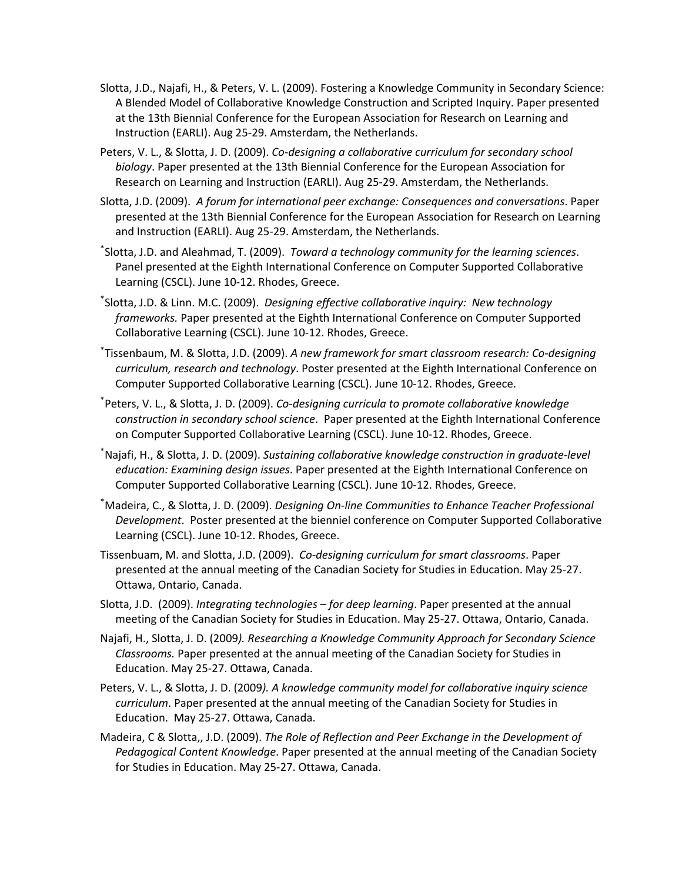- Slotta, J.D., Najafi, H., & Peters, V. L. (2009). Fostering a Knowledge Community in Secondary Science: A Blended Model of Collaborative Knowledge Construction and Scripted Inquiry. Paper presented at the 13th Biennial Conference for the European Association for Research on Learning and Instruction (EARLI). Aug 25-29. Amsterdam, the Netherlands.
- Peters, V. L., & Slotta, J. D. (2009). *Co-designing a collaborative curriculum for secondary school biology*. Paper presented at the 13th Biennial Conference for the European Association for Research on Learning and Instruction (EARLI). Aug 25-29. Amsterdam, the Netherlands.
- Slotta, J.D. (2009). *A forum for international peer exchange: Consequences and conversations*. Paper presented at the 13th Biennial Conference for the European Association for Research on Learning and Instruction (EARLI). Aug 25-29. Amsterdam, the Netherlands.
- \* Slotta, J.D. and Aleahmad, T. (2009). *Toward a technology community for the learning sciences*. Panel presented at the Eighth International Conference on Computer Supported Collaborative Learning (CSCL). June 10-12. Rhodes, Greece.
- \* Slotta, J.D. & Linn. M.C. (2009). *Designing effective collaborative inquiry: New technology frameworks.* Paper presented at the Eighth International Conference on Computer Supported Collaborative Learning (CSCL). June 10-12. Rhodes, Greece.
- \* Tissenbaum, M. & Slotta, J.D. (2009). *A new framework for smart classroom research: Co-designing curriculum, research and technology*. Poster presented at the Eighth International Conference on Computer Supported Collaborative Learning (CSCL). June 10-12. Rhodes, Greece.
- \* Peters, V. L., & Slotta, J. D. (2009). *Co-designing curricula to promote collaborative knowledge construction in secondary school science*. Paper presented at the Eighth International Conference on Computer Supported Collaborative Learning (CSCL). June 10-12. Rhodes, Greece.
- \* Najafi, H., & Slotta, J. D. (2009). *Sustaining collaborative knowledge construction in graduate-level education: Examining design issues*. Paper presented at the Eighth International Conference on Computer Supported Collaborative Learning (CSCL). June 10-12. Rhodes, Greece.
- \* Madeira, C., & Slotta, J. D. (2009). *Designing On-line Communities to Enhance Teacher Professional Development*. Poster presented at the bienniel conference on Computer Supported Collaborative Learning (CSCL). June 10-12. Rhodes, Greece.
- Tissenbuam, M. and Slotta, J.D. (2009). *Co-designing curriculum for smart classrooms*. Paper presented at the annual meeting of the Canadian Society for Studies in Education. May 25-27. Ottawa, Ontario, Canada.
- Slotta, J.D. (2009). *Integrating technologies – for deep learning*. Paper presented at the annual meeting of the Canadian Society for Studies in Education. May 25-27. Ottawa, Ontario, Canada.
- Najafi, H., Slotta, J. D. (2009*). Researching a Knowledge Community Approach for Secondary Science Classrooms.* Paper presented at the annual meeting of the Canadian Society for Studies in Education. May 25-27. Ottawa, Canada.
- Peters, V. L., & Slotta, J. D. (2009*). A knowledge community model for collaborative inquiry science curriculum*. Paper presented at the annual meeting of the Canadian Society for Studies in Education. May 25-27. Ottawa, Canada.
- Madeira, C & Slotta,, J.D. (2009). *The Role of Reflection and Peer Exchange in the Development of Pedagogical Content Knowledge*. Paper presented at the annual meeting of the Canadian Society for Studies in Education. May 25-27. Ottawa, Canada.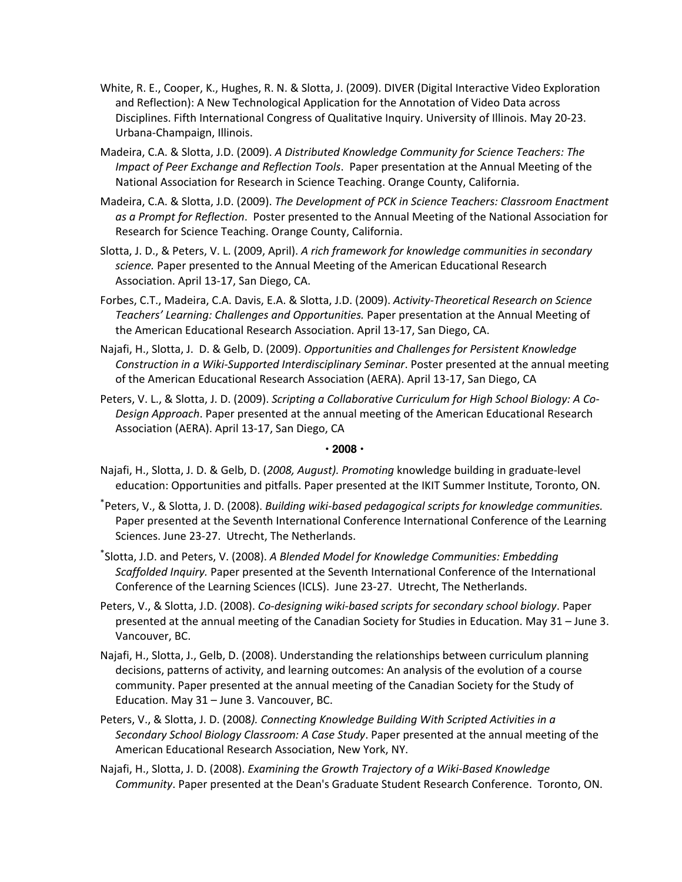- White, R. E., Cooper, K., Hughes, R. N. & Slotta, J. (2009). DIVER (Digital Interactive Video Exploration and Reflection): A New Technological Application for the Annotation of Video Data across Disciplines. Fifth International Congress of Qualitative Inquiry. University of Illinois. May 20-23. Urbana-Champaign, Illinois.
- Madeira, C.A. & Slotta, J.D. (2009). *A Distributed Knowledge Community for Science Teachers: The Impact of Peer Exchange and Reflection Tools*. Paper presentation at the Annual Meeting of the National Association for Research in Science Teaching. Orange County, California.
- Madeira, C.A. & Slotta, J.D. (2009). *The Development of PCK in Science Teachers: Classroom Enactment as a Prompt for Reflection*. Poster presented to the Annual Meeting of the National Association for Research for Science Teaching. Orange County, California.
- Slotta, J. D., & Peters, V. L. (2009, April). *A rich framework for knowledge communities in secondary science.* Paper presented to the Annual Meeting of the American Educational Research Association. April 13-17, San Diego, CA.
- Forbes, C.T., Madeira, C.A. Davis, E.A. & Slotta, J.D. (2009). *Activity-Theoretical Research on Science Teachers' Learning: Challenges and Opportunities.* Paper presentation at the Annual Meeting of the American Educational Research Association. April 13-17, San Diego, CA.
- Najafi, H., Slotta, J. D. & Gelb, D. (2009). *Opportunities and Challenges for Persistent Knowledge Construction in a Wiki-Supported Interdisciplinary Seminar*. Poster presented at the annual meeting of the American Educational Research Association (AERA). April 13-17, San Diego, CA
- Peters, V. L., & Slotta, J. D. (2009). *Scripting a Collaborative Curriculum for High School Biology: A Co-Design Approach*. Paper presented at the annual meeting of the American Educational Research Association (AERA). April 13-17, San Diego, CA

### **• 2008 •**

- Najafi, H., Slotta, J. D. & Gelb, D. (*2008, August). Promoting* knowledge building in graduate-level education: Opportunities and pitfalls. Paper presented at the IKIT Summer Institute, Toronto, ON.
- \* Peters, V., & Slotta, J. D. (2008). *Building wiki-based pedagogical scripts for knowledge communities.* Paper presented at the Seventh International Conference International Conference of the Learning Sciences. June 23-27. Utrecht, The Netherlands.
- \* Slotta, J.D. and Peters, V. (2008). *A Blended Model for Knowledge Communities: Embedding Scaffolded Inquiry.* Paper presented at the Seventh International Conference of the International Conference of the Learning Sciences (ICLS). June 23-27. Utrecht, The Netherlands.
- Peters, V., & Slotta, J.D. (2008). *Co-designing wiki-based scripts for secondary school biology*. Paper presented at the annual meeting of the Canadian Society for Studies in Education. May 31 – June 3. Vancouver, BC.
- Najafi, H., Slotta, J., Gelb, D. (2008). Understanding the relationships between curriculum planning decisions, patterns of activity, and learning outcomes: An analysis of the evolution of a course community. Paper presented at the annual meeting of the Canadian Society for the Study of Education. May 31 – June 3. Vancouver, BC.
- Peters, V., & Slotta, J. D. (2008*). Connecting Knowledge Building With Scripted Activities in a Secondary School Biology Classroom: A Case Study*. Paper presented at the annual meeting of the American Educational Research Association, New York, NY.
- Najafi, H., Slotta, J. D. (2008). *Examining the Growth Trajectory of a Wiki-Based Knowledge Community*. Paper presented at the Dean's Graduate Student Research Conference. Toronto, ON.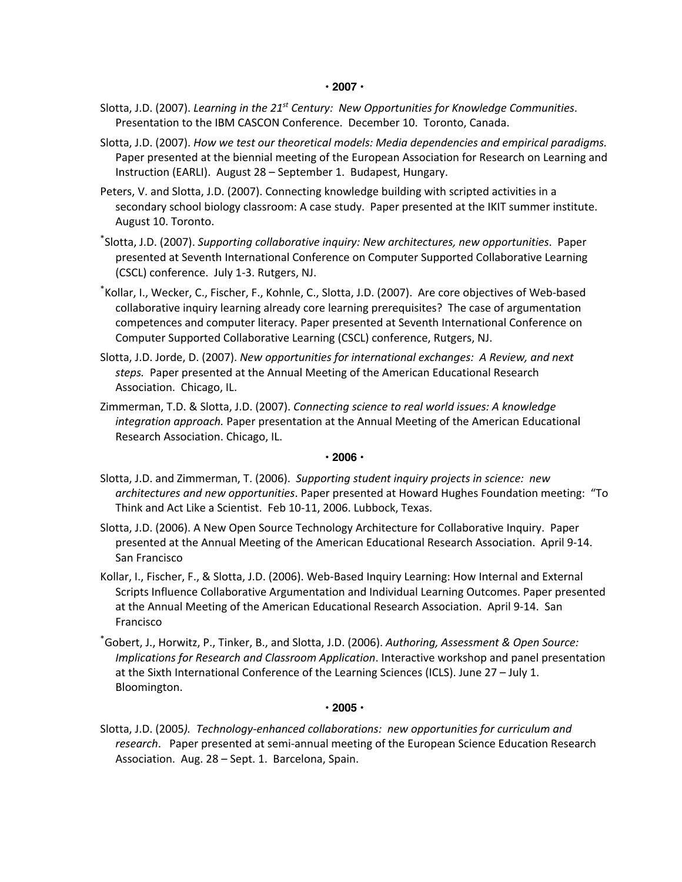- Slotta, J.D. (2007). *Learning in the 21st Century: New Opportunities for Knowledge Communities*. Presentation to the IBM CASCON Conference. December 10. Toronto, Canada.
- Slotta, J.D. (2007). *How we test our theoretical models: Media dependencies and empirical paradigms.* Paper presented at the biennial meeting of the European Association for Research on Learning and Instruction (EARLI). August 28 – September 1. Budapest, Hungary.
- Peters, V. and Slotta, J.D. (2007). Connecting knowledge building with scripted activities in a secondary school biology classroom: A case study. Paper presented at the IKIT summer institute. August 10. Toronto.
- \* Slotta, J.D. (2007). *Supporting collaborative inquiry: New architectures, new opportunities*. Paper presented at Seventh International Conference on Computer Supported Collaborative Learning (CSCL) conference. July 1-3. Rutgers, NJ.
- \* Kollar, I., Wecker, C., Fischer, F., Kohnle, C., Slotta, J.D. (2007). Are core objectives of Web-based collaborative inquiry learning already core learning prerequisites? The case of argumentation competences and computer literacy. Paper presented at Seventh International Conference on Computer Supported Collaborative Learning (CSCL) conference, Rutgers, NJ.
- Slotta, J.D. Jorde, D. (2007). *New opportunities for international exchanges: A Review, and next steps.* Paper presented at the Annual Meeting of the American Educational Research Association. Chicago, IL.
- Zimmerman, T.D. & Slotta, J.D. (2007). *Connecting science to real world issues: A knowledge integration approach.* Paper presentation at the Annual Meeting of the American Educational Research Association. Chicago, IL.

#### **• 2006 •**

- Slotta, J.D. and Zimmerman, T. (2006). *Supporting student inquiry projects in science: new architectures and new opportunities*. Paper presented at Howard Hughes Foundation meeting: "To Think and Act Like a Scientist. Feb 10-11, 2006. Lubbock, Texas.
- Slotta, J.D. (2006). A New Open Source Technology Architecture for Collaborative Inquiry. Paper presented at the Annual Meeting of the American Educational Research Association. April 9-14. San Francisco
- Kollar, I., Fischer, F., & Slotta, J.D. (2006). Web-Based Inquiry Learning: How Internal and External Scripts Influence Collaborative Argumentation and Individual Learning Outcomes. Paper presented at the Annual Meeting of the American Educational Research Association. April 9-14. San Francisco
- \* Gobert, J., Horwitz, P., Tinker, B., and Slotta, J.D. (2006). *Authoring, Assessment & Open Source: Implications for Research and Classroom Application*. Interactive workshop and panel presentation at the Sixth International Conference of the Learning Sciences (ICLS). June 27 – July 1. Bloomington.

### **• 2005 •**

Slotta, J.D. (2005*). Technology-enhanced collaborations: new opportunities for curriculum and research*. Paper presented at semi-annual meeting of the European Science Education Research Association. Aug. 28 – Sept. 1. Barcelona, Spain.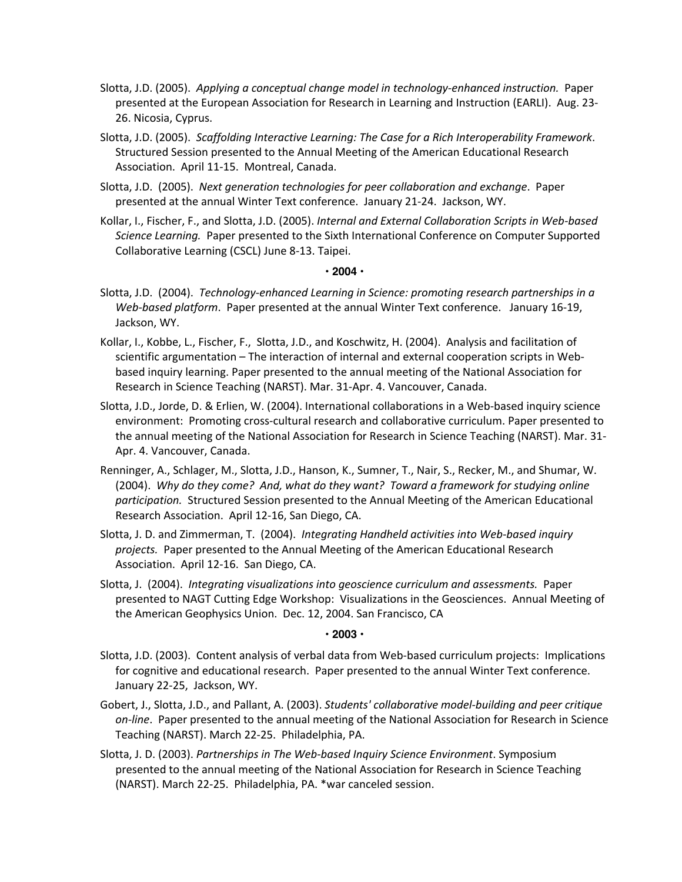- Slotta, J.D. (2005). *Applying a conceptual change model in technology-enhanced instruction.* Paper presented at the European Association for Research in Learning and Instruction (EARLI). Aug. 23- 26. Nicosia, Cyprus.
- Slotta, J.D. (2005). *Scaffolding Interactive Learning: The Case for a Rich Interoperability Framework*. Structured Session presented to the Annual Meeting of the American Educational Research Association. April 11-15. Montreal, Canada.
- Slotta, J.D. (2005). *Next generation technologies for peer collaboration and exchange*. Paper presented at the annual Winter Text conference. January 21-24. Jackson, WY.
- Kollar, I., Fischer, F., and Slotta, J.D. (2005). *Internal and External Collaboration Scripts in Web-based Science Learning.* Paper presented to the Sixth International Conference on Computer Supported Collaborative Learning (CSCL) June 8-13. Taipei.

#### **• 2004 •**

- Slotta, J.D. (2004). *Technology-enhanced Learning in Science: promoting research partnerships in a Web-based platform*. Paper presented at the annual Winter Text conference. January 16-19, Jackson, WY.
- Kollar, I., Kobbe, L., Fischer, F., Slotta, J.D., and Koschwitz, H. (2004). Analysis and facilitation of scientific argumentation – The interaction of internal and external cooperation scripts in Webbased inquiry learning. Paper presented to the annual meeting of the National Association for Research in Science Teaching (NARST). Mar. 31-Apr. 4. Vancouver, Canada.
- Slotta, J.D., Jorde, D. & Erlien, W. (2004). International collaborations in a Web-based inquiry science environment: Promoting cross-cultural research and collaborative curriculum. Paper presented to the annual meeting of the National Association for Research in Science Teaching (NARST). Mar. 31- Apr. 4. Vancouver, Canada.
- Renninger, A., Schlager, M., Slotta, J.D., Hanson, K., Sumner, T., Nair, S., Recker, M., and Shumar, W. (2004). *Why do they come? And, what do they want? Toward a framework for studying online participation.* Structured Session presented to the Annual Meeting of the American Educational Research Association. April 12-16, San Diego, CA.
- Slotta, J. D. and Zimmerman, T. (2004). *Integrating Handheld activities into Web-based inquiry projects.* Paper presented to the Annual Meeting of the American Educational Research Association. April 12-16. San Diego, CA.
- Slotta, J. (2004). *Integrating visualizations into geoscience curriculum and assessments.* Paper presented to NAGT Cutting Edge Workshop: Visualizations in the Geosciences. Annual Meeting of the American Geophysics Union. Dec. 12, 2004. San Francisco, CA

### **• 2003 •**

- Slotta, J.D. (2003). Content analysis of verbal data from Web-based curriculum projects: Implications for cognitive and educational research. Paper presented to the annual Winter Text conference. January 22-25, Jackson, WY.
- Gobert, J., Slotta, J.D., and Pallant, A. (2003). *Students' collaborative model-building and peer critique on-line*. Paper presented to the annual meeting of the National Association for Research in Science Teaching (NARST). March 22-25. Philadelphia, PA.
- Slotta, J. D. (2003). *Partnerships in The Web-based Inquiry Science Environment*. Symposium presented to the annual meeting of the National Association for Research in Science Teaching (NARST). March 22-25. Philadelphia, PA. \*war canceled session.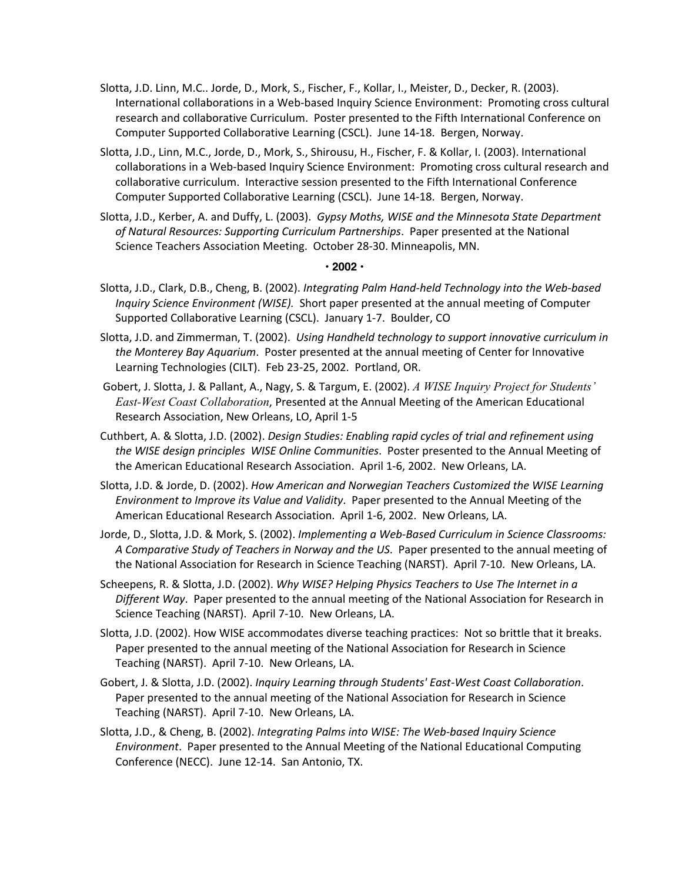- Slotta, J.D. Linn, M.C.. Jorde, D., Mork, S., Fischer, F., Kollar, I., Meister, D., Decker, R. (2003). International collaborations in a Web-based Inquiry Science Environment: Promoting cross cultural research and collaborative Curriculum. Poster presented to the Fifth International Conference on Computer Supported Collaborative Learning (CSCL). June 14-18. Bergen, Norway.
- Slotta, J.D., Linn, M.C., Jorde, D., Mork, S., Shirousu, H., Fischer, F. & Kollar, I. (2003). International collaborations in a Web-based Inquiry Science Environment: Promoting cross cultural research and collaborative curriculum. Interactive session presented to the Fifth International Conference Computer Supported Collaborative Learning (CSCL). June 14-18. Bergen, Norway.
- Slotta, J.D., Kerber, A. and Duffy, L. (2003). *Gypsy Moths, WISE and the Minnesota State Department of Natural Resources: Supporting Curriculum Partnerships*. Paper presented at the National Science Teachers Association Meeting. October 28-30. Minneapolis, MN.

### **• 2002 •**

- Slotta, J.D., Clark, D.B., Cheng, B. (2002). *Integrating Palm Hand-held Technology into the Web-based Inquiry Science Environment (WISE).* Short paper presented at the annual meeting of Computer Supported Collaborative Learning (CSCL). January 1-7. Boulder, CO
- Slotta, J.D. and Zimmerman, T. (2002). *Using Handheld technology to support innovative curriculum in the Monterey Bay Aquarium*. Poster presented at the annual meeting of Center for Innovative Learning Technologies (CILT). Feb 23-25, 2002. Portland, OR.
- Gobert, J. Slotta, J. & Pallant, A., Nagy, S. & Targum, E. (2002). *A WISE Inquiry Project for Students' East-West Coast Collaboration*, Presented at the Annual Meeting of the American Educational Research Association, New Orleans, LO, April 1-5
- Cuthbert, A. & Slotta, J.D. (2002). *Design Studies: Enabling rapid cycles of trial and refinement using the WISE design principles WISE Online Communities*. Poster presented to the Annual Meeting of the American Educational Research Association. April 1-6, 2002. New Orleans, LA.
- Slotta, J.D. & Jorde, D. (2002). *How American and Norwegian Teachers Customized the WISE Learning Environment to Improve its Value and Validity*. Paper presented to the Annual Meeting of the American Educational Research Association. April 1-6, 2002. New Orleans, LA.
- Jorde, D., Slotta, J.D. & Mork, S. (2002). *Implementing a Web-Based Curriculum in Science Classrooms: A Comparative Study of Teachers in Norway and the US*. Paper presented to the annual meeting of the National Association for Research in Science Teaching (NARST). April 7-10. New Orleans, LA.
- Scheepens, R. & Slotta, J.D. (2002). *Why WISE? Helping Physics Teachers to Use The Internet in a Different Way*. Paper presented to the annual meeting of the National Association for Research in Science Teaching (NARST). April 7-10. New Orleans, LA.
- Slotta, J.D. (2002). How WISE accommodates diverse teaching practices: Not so brittle that it breaks. Paper presented to the annual meeting of the National Association for Research in Science Teaching (NARST). April 7-10. New Orleans, LA.
- Gobert, J. & Slotta, J.D. (2002). *Inquiry Learning through Students' East-West Coast Collaboration*. Paper presented to the annual meeting of the National Association for Research in Science Teaching (NARST). April 7-10. New Orleans, LA.
- Slotta, J.D., & Cheng, B. (2002). *Integrating Palms into WISE: The Web-based Inquiry Science Environment*. Paper presented to the Annual Meeting of the National Educational Computing Conference (NECC). June 12-14. San Antonio, TX.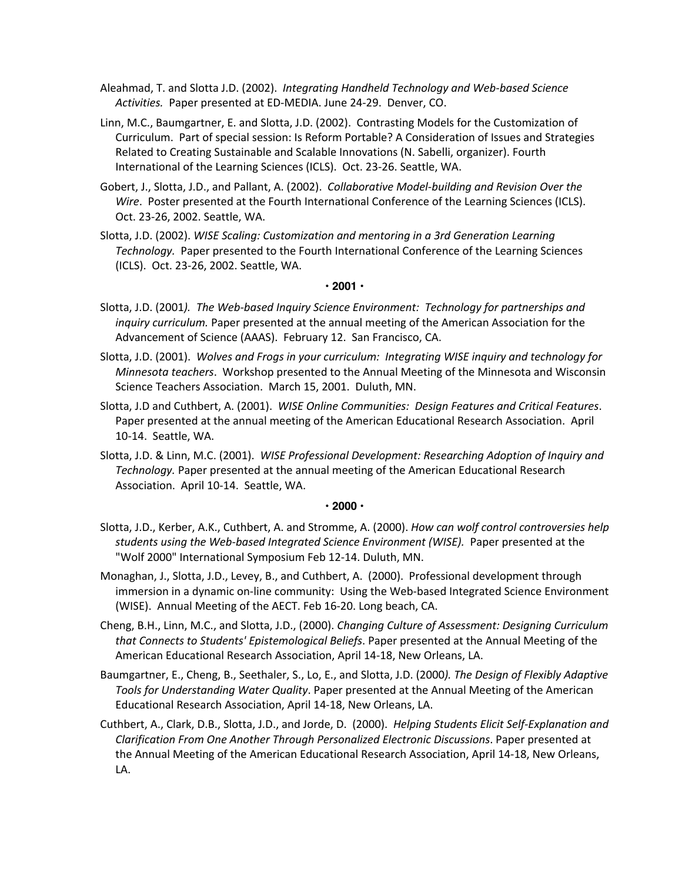Aleahmad, T. and Slotta J.D. (2002). *Integrating Handheld Technology and Web-based Science Activities.* Paper presented at ED-MEDIA. June 24-29. Denver, CO.

- Linn, M.C., Baumgartner, E. and Slotta, J.D. (2002). Contrasting Models for the Customization of Curriculum. Part of special session: Is Reform Portable? A Consideration of Issues and Strategies Related to Creating Sustainable and Scalable Innovations (N. Sabelli, organizer). Fourth International of the Learning Sciences (ICLS). Oct. 23-26. Seattle, WA.
- Gobert, J., Slotta, J.D., and Pallant, A. (2002). *Collaborative Model-building and Revision Over the Wire*. Poster presented at the Fourth International Conference of the Learning Sciences (ICLS). Oct. 23-26, 2002. Seattle, WA.
- Slotta, J.D. (2002). *WISE Scaling: Customization and mentoring in a 3rd Generation Learning Technology.* Paper presented to the Fourth International Conference of the Learning Sciences (ICLS). Oct. 23-26, 2002. Seattle, WA.

### **• 2001 •**

- Slotta, J.D. (2001*). The Web-based Inquiry Science Environment: Technology for partnerships and inquiry curriculum.* Paper presented at the annual meeting of the American Association for the Advancement of Science (AAAS). February 12. San Francisco, CA.
- Slotta, J.D. (2001). *Wolves and Frogs in your curriculum: Integrating WISE inquiry and technology for Minnesota teachers*. Workshop presented to the Annual Meeting of the Minnesota and Wisconsin Science Teachers Association. March 15, 2001. Duluth, MN.
- Slotta, J.D and Cuthbert, A. (2001). *WISE Online Communities: Design Features and Critical Features*. Paper presented at the annual meeting of the American Educational Research Association. April 10-14. Seattle, WA.
- Slotta, J.D. & Linn, M.C. (2001). *WISE Professional Development: Researching Adoption of Inquiry and Technology.* Paper presented at the annual meeting of the American Educational Research Association. April 10-14. Seattle, WA.

### **• 2000 •**

- Slotta, J.D., Kerber, A.K., Cuthbert, A. and Stromme, A. (2000). *How can wolf control controversies help students using the Web-based Integrated Science Environment (WISE).* Paper presented at the "Wolf 2000" International Symposium Feb 12-14. Duluth, MN.
- Monaghan, J., Slotta, J.D., Levey, B., and Cuthbert, A. (2000). Professional development through immersion in a dynamic on-line community: Using the Web-based Integrated Science Environment (WISE). Annual Meeting of the AECT. Feb 16-20. Long beach, CA.
- Cheng, B.H., Linn, M.C., and Slotta, J.D., (2000). *Changing Culture of Assessment: Designing Curriculum that Connects to Students' Epistemological Beliefs*. Paper presented at the Annual Meeting of the American Educational Research Association, April 14-18, New Orleans, LA.
- Baumgartner, E., Cheng, B., Seethaler, S., Lo, E., and Slotta, J.D. (2000*). The Design of Flexibly Adaptive Tools for Understanding Water Quality*. Paper presented at the Annual Meeting of the American Educational Research Association, April 14-18, New Orleans, LA.
- Cuthbert, A., Clark, D.B., Slotta, J.D., and Jorde, D. (2000). *Helping Students Elicit Self-Explanation and Clarification From One Another Through Personalized Electronic Discussions*. Paper presented at the Annual Meeting of the American Educational Research Association, April 14-18, New Orleans, LA.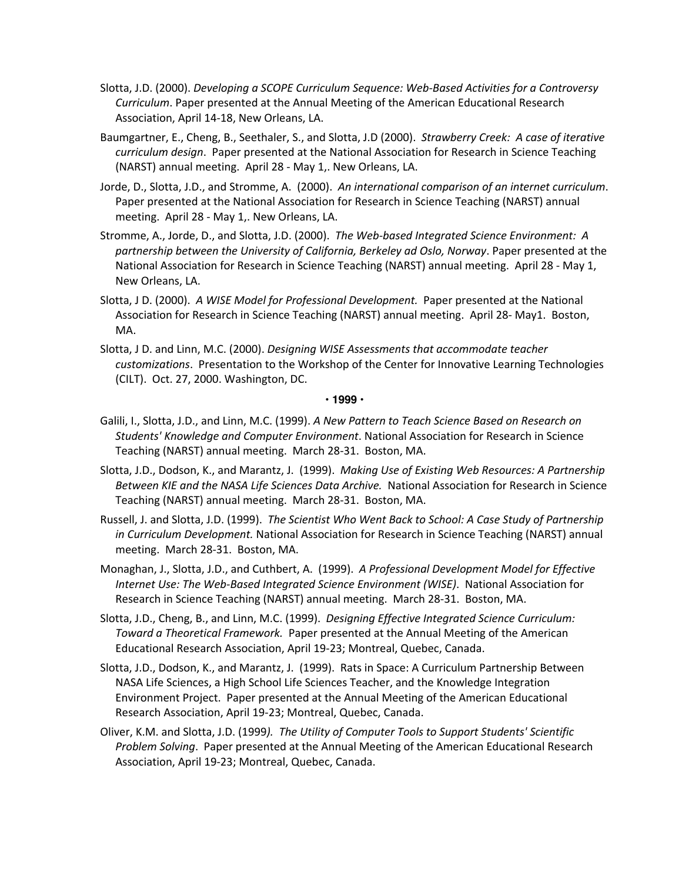- Slotta, J.D. (2000). *Developing a SCOPE Curriculum Sequence: Web-Based Activities for a Controversy Curriculum*. Paper presented at the Annual Meeting of the American Educational Research Association, April 14-18, New Orleans, LA.
- Baumgartner, E., Cheng, B., Seethaler, S., and Slotta, J.D (2000). *Strawberry Creek: A case of iterative curriculum design*. Paper presented at the National Association for Research in Science Teaching (NARST) annual meeting. April 28 - May 1,. New Orleans, LA.
- Jorde, D., Slotta, J.D., and Stromme, A. (2000). *An international comparison of an internet curriculum*. Paper presented at the National Association for Research in Science Teaching (NARST) annual meeting. April 28 - May 1,. New Orleans, LA.
- Stromme, A., Jorde, D., and Slotta, J.D. (2000). *The Web-based Integrated Science Environment: A partnership between the University of California, Berkeley ad Oslo, Norway*. Paper presented at the National Association for Research in Science Teaching (NARST) annual meeting. April 28 - May 1, New Orleans, LA.
- Slotta, J D. (2000). *A WISE Model for Professional Development.* Paper presented at the National Association for Research in Science Teaching (NARST) annual meeting. April 28- May1. Boston, MA.
- Slotta, J D. and Linn, M.C. (2000). *Designing WISE Assessments that accommodate teacher customizations*. Presentation to the Workshop of the Center for Innovative Learning Technologies (CILT). Oct. 27, 2000. Washington, DC.

#### **• 1999 •**

- Galili, I., Slotta, J.D., and Linn, M.C. (1999). *A New Pattern to Teach Science Based on Research on Students' Knowledge and Computer Environment*. National Association for Research in Science Teaching (NARST) annual meeting. March 28-31. Boston, MA.
- Slotta, J.D., Dodson, K., and Marantz, J. (1999). *Making Use of Existing Web Resources: A Partnership Between KIE and the NASA Life Sciences Data Archive.* National Association for Research in Science Teaching (NARST) annual meeting. March 28-31. Boston, MA.
- Russell, J. and Slotta, J.D. (1999). *The Scientist Who Went Back to School: A Case Study of Partnership in Curriculum Development.* National Association for Research in Science Teaching (NARST) annual meeting. March 28-31. Boston, MA.
- Monaghan, J., Slotta, J.D., and Cuthbert, A. (1999). *A Professional Development Model for Effective Internet Use: The Web-Based Integrated Science Environment (WISE)*. National Association for Research in Science Teaching (NARST) annual meeting. March 28-31. Boston, MA.
- Slotta, J.D., Cheng, B., and Linn, M.C. (1999). *Designing Effective Integrated Science Curriculum: Toward a Theoretical Framework.* Paper presented at the Annual Meeting of the American Educational Research Association, April 19-23; Montreal, Quebec, Canada.
- Slotta, J.D., Dodson, K., and Marantz, J. (1999). Rats in Space: A Curriculum Partnership Between NASA Life Sciences, a High School Life Sciences Teacher, and the Knowledge Integration Environment Project. Paper presented at the Annual Meeting of the American Educational Research Association, April 19-23; Montreal, Quebec, Canada.
- Oliver, K.M. and Slotta, J.D. (1999*). The Utility of Computer Tools to Support Students' Scientific Problem Solving*. Paper presented at the Annual Meeting of the American Educational Research Association, April 19-23; Montreal, Quebec, Canada.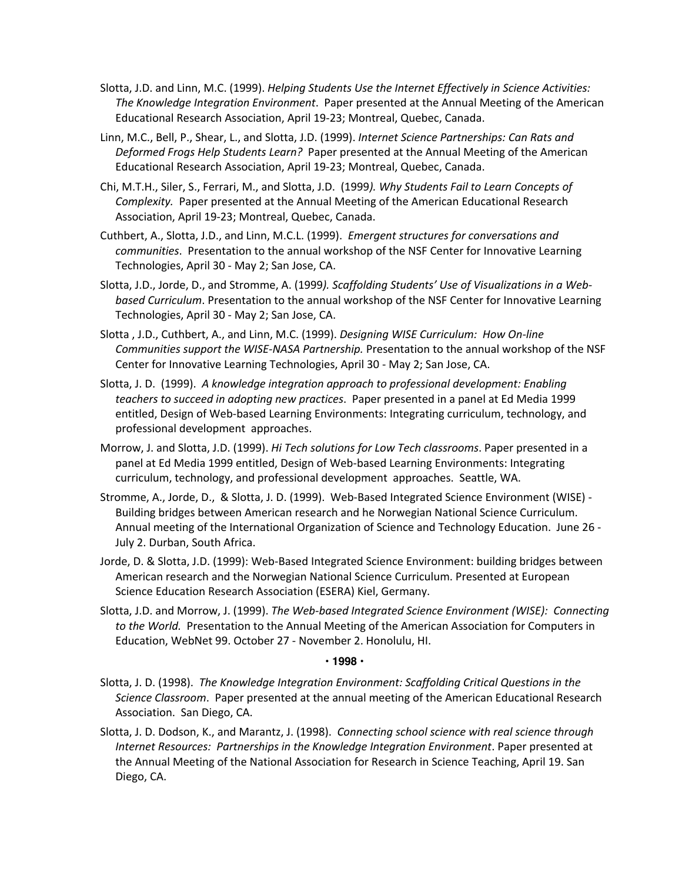- Slotta, J.D. and Linn, M.C. (1999). *Helping Students Use the Internet Effectively in Science Activities: The Knowledge Integration Environment*. Paper presented at the Annual Meeting of the American Educational Research Association, April 19-23; Montreal, Quebec, Canada.
- Linn, M.C., Bell, P., Shear, L., and Slotta, J.D. (1999). *Internet Science Partnerships: Can Rats and Deformed Frogs Help Students Learn?* Paper presented at the Annual Meeting of the American Educational Research Association, April 19-23; Montreal, Quebec, Canada.
- Chi, M.T.H., Siler, S., Ferrari, M., and Slotta, J.D. (1999*). Why Students Fail to Learn Concepts of Complexity.* Paper presented at the Annual Meeting of the American Educational Research Association, April 19-23; Montreal, Quebec, Canada.
- Cuthbert, A., Slotta, J.D., and Linn, M.C.L. (1999). *Emergent structures for conversations and communities*. Presentation to the annual workshop of the NSF Center for Innovative Learning Technologies, April 30 - May 2; San Jose, CA.
- Slotta, J.D., Jorde, D., and Stromme, A. (1999*). Scaffolding Students' Use of Visualizations in a Webbased Curriculum*. Presentation to the annual workshop of the NSF Center for Innovative Learning Technologies, April 30 - May 2; San Jose, CA.
- Slotta , J.D., Cuthbert, A., and Linn, M.C. (1999). *Designing WISE Curriculum: How On-line Communities support the WISE-NASA Partnership.* Presentation to the annual workshop of the NSF Center for Innovative Learning Technologies, April 30 - May 2; San Jose, CA.
- Slotta, J. D. (1999). *A knowledge integration approach to professional development: Enabling teachers to succeed in adopting new practices*. Paper presented in a panel at Ed Media 1999 entitled, Design of Web-based Learning Environments: Integrating curriculum, technology, and professional development approaches.
- Morrow, J. and Slotta, J.D. (1999). *Hi Tech solutions for Low Tech classrooms*. Paper presented in a panel at Ed Media 1999 entitled, Design of Web-based Learning Environments: Integrating curriculum, technology, and professional development approaches. Seattle, WA.
- Stromme, A., Jorde, D., & Slotta, J. D. (1999). Web-Based Integrated Science Environment (WISE) Building bridges between American research and he Norwegian National Science Curriculum. Annual meeting of the International Organization of Science and Technology Education. June 26 - July 2. Durban, South Africa.
- Jorde, D. & Slotta, J.D. (1999): Web-Based Integrated Science Environment: building bridges between American research and the Norwegian National Science Curriculum. Presented at European Science Education Research Association (ESERA) Kiel, Germany.
- Slotta, J.D. and Morrow, J. (1999). *The Web-based Integrated Science Environment (WISE): Connecting to the World.* Presentation to the Annual Meeting of the American Association for Computers in Education, WebNet 99. October 27 - November 2. Honolulu, HI.

### **• 1998 •**

- Slotta, J. D. (1998). *The Knowledge Integration Environment: Scaffolding Critical Questions in the Science Classroom*. Paper presented at the annual meeting of the American Educational Research Association. San Diego, CA.
- Slotta, J. D. Dodson, K., and Marantz, J. (1998). *Connecting school science with real science through Internet Resources: Partnerships in the Knowledge Integration Environment*. Paper presented at the Annual Meeting of the National Association for Research in Science Teaching, April 19. San Diego, CA.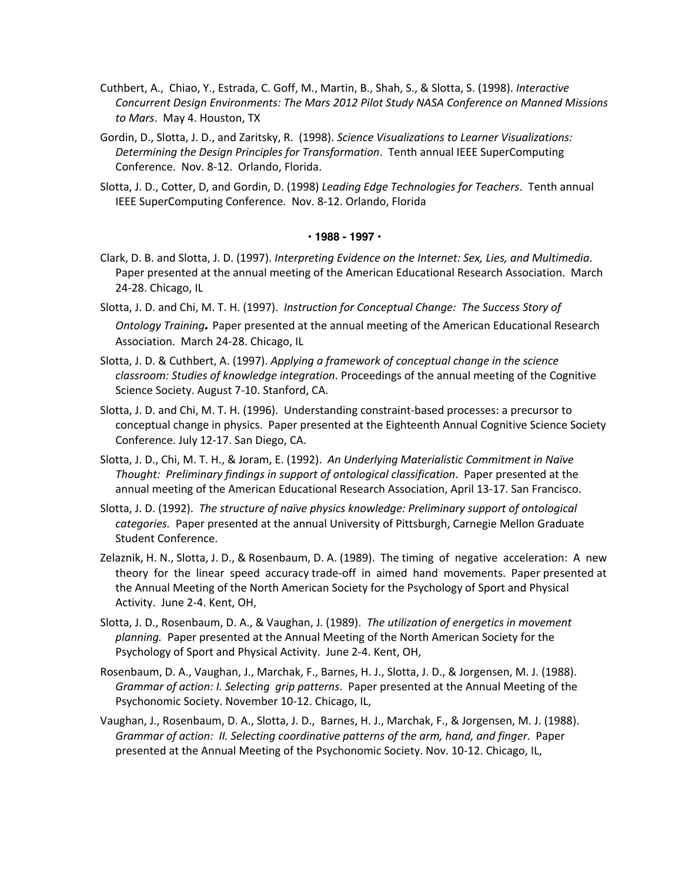- Cuthbert, A., Chiao, Y., Estrada, C. Goff, M., Martin, B., Shah, S., & Slotta, S. (1998). *Interactive Concurrent Design Environments: The Mars 2012 Pilot Study NASA Conference on Manned Missions to Mars*. May 4. Houston, TX
- Gordin, D., Slotta, J. D., and Zaritsky, R. (1998). *Science Visualizations to Learner Visualizations: Determining the Design Principles for Transformation*. Tenth annual IEEE SuperComputing Conference. Nov. 8-12. Orlando, Florida.
- Slotta, J. D., Cotter, D, and Gordin, D. (1998) *Leading Edge Technologies for Teachers*. Tenth annual IEEE SuperComputing Conference. Nov. 8-12. Orlando, Florida

#### **• 1988 - 1997 •**

- Clark, D. B. and Slotta, J. D. (1997). *Interpreting Evidence on the Internet: Sex, Lies, and Multimedia*. Paper presented at the annual meeting of the American Educational Research Association. March 24-28. Chicago, IL
- Slotta, J. D. and Chi, M. T. H. (1997). *Instruction for Conceptual Change: The Success Story of Ontology Training.* Paper presented at the annual meeting of the American Educational Research Association. March 24-28. Chicago, IL
- Slotta, J. D. & Cuthbert, A. (1997). *Applying a framework of conceptual change in the science classroom: Studies of knowledge integration*. Proceedings of the annual meeting of the Cognitive Science Society. August 7-10. Stanford, CA.
- Slotta, J. D. and Chi, M. T. H. (1996). Understanding constraint-based processes: a precursor to conceptual change in physics. Paper presented at the Eighteenth Annual Cognitive Science Society Conference. July 12-17. San Diego, CA.
- Slotta, J. D., Chi, M. T. H., & Joram, E. (1992). *An Underlying Materialistic Commitment in Naïve Thought: Preliminary findings in support of ontological classification*. Paper presented at the annual meeting of the American Educational Research Association, April 13-17. San Francisco.
- Slotta, J. D. (1992). *The structure of naïve physics knowledge: Preliminary support of ontological categories.* Paper presented at the annual University of Pittsburgh, Carnegie Mellon Graduate Student Conference.
- Zelaznik, H. N., Slotta, J. D., & Rosenbaum, D. A. (1989). The timing of negative acceleration: A new theory for the linear speed accuracy trade-off in aimed hand movements. Paper presented at the Annual Meeting of the North American Society for the Psychology of Sport and Physical Activity. June 2-4. Kent, OH,
- Slotta, J. D., Rosenbaum, D. A., & Vaughan, J. (1989). *The utilization of energetics in movement planning.* Paper presented at the Annual Meeting of the North American Society for the Psychology of Sport and Physical Activity. June 2-4. Kent, OH,
- Rosenbaum, D. A., Vaughan, J., Marchak, F., Barnes, H. J., Slotta, J. D., & Jorgensen, M. J. (1988). *Grammar of action: I. Selecting grip patterns*. Paper presented at the Annual Meeting of the Psychonomic Society. November 10-12. Chicago, IL,
- Vaughan, J., Rosenbaum, D. A., Slotta, J. D., Barnes, H. J., Marchak, F., & Jorgensen, M. J. (1988). *Grammar of action: II. Selecting coordinative patterns of the arm, hand, and finger*. Paper presented at the Annual Meeting of the Psychonomic Society. Nov. 10-12. Chicago, IL,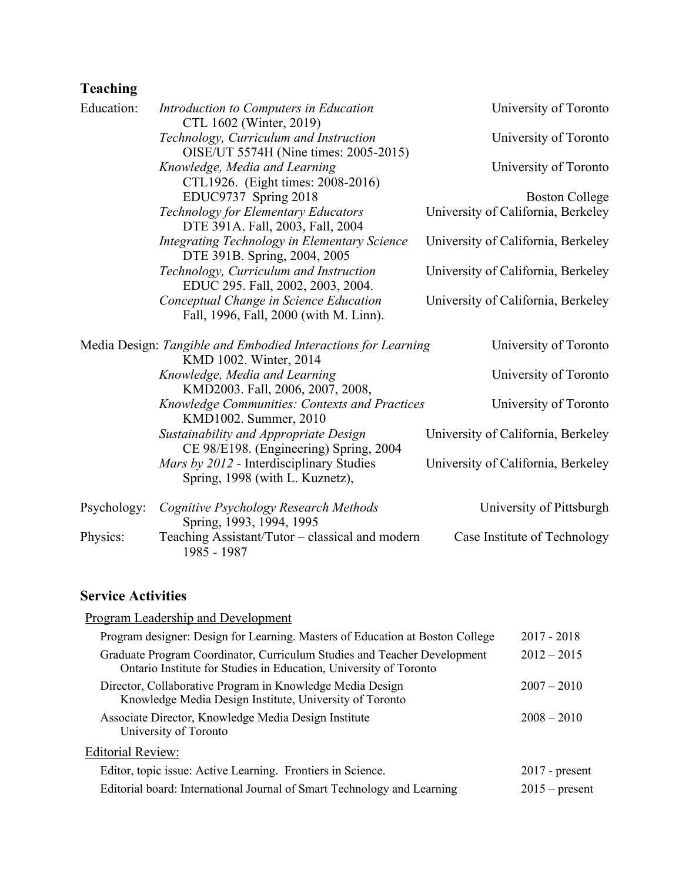# **Teaching**

| Education:  | Introduction to Computers in Education<br>CTL 1602 (Winter, 2019)                       | University of Toronto              |
|-------------|-----------------------------------------------------------------------------------------|------------------------------------|
|             | Technology, Curriculum and Instruction<br>OISE/UT 5574H (Nine times: 2005-2015)         | University of Toronto              |
|             | Knowledge, Media and Learning<br>CTL1926. (Eight times: 2008-2016)                      | University of Toronto              |
|             | EDUC9737 Spring 2018                                                                    | <b>Boston College</b>              |
|             | Technology for Elementary Educators<br>DTE 391A. Fall, 2003, Fall, 2004                 | University of California, Berkeley |
|             | Integrating Technology in Elementary Science<br>DTE 391B. Spring, 2004, 2005            | University of California, Berkeley |
|             | Technology, Curriculum and Instruction<br>EDUC 295. Fall, 2002, 2003, 2004.             | University of California, Berkeley |
|             | Conceptual Change in Science Education<br>Fall, 1996, Fall, 2000 (with M. Linn).        | University of California, Berkeley |
|             | Media Design: Tangible and Embodied Interactions for Learning<br>KMD 1002. Winter, 2014 | University of Toronto              |
|             | Knowledge, Media and Learning<br>KMD2003. Fall, 2006, 2007, 2008,                       | University of Toronto              |
|             | <b>Knowledge Communities: Contexts and Practices</b><br>KMD1002. Summer, 2010           | University of Toronto              |
|             | Sustainability and Appropriate Design<br>CE 98/E198. (Engineering) Spring, 2004         | University of California, Berkeley |
|             | Mars by 2012 - Interdisciplinary Studies<br>Spring, 1998 (with L. Kuznetz),             | University of California, Berkeley |
| Psychology: | Cognitive Psychology Research Methods<br>Spring, 1993, 1994, 1995                       | University of Pittsburgh           |
| Physics:    | Teaching Assistant/Tutor – classical and modern<br>1985 - 1987                          | Case Institute of Technology       |

### **Service Activities**

| Program Leadership and Development                                                                                                            |                  |
|-----------------------------------------------------------------------------------------------------------------------------------------------|------------------|
| Program designer: Design for Learning. Masters of Education at Boston College                                                                 | $2017 - 2018$    |
| Graduate Program Coordinator, Curriculum Studies and Teacher Development<br>Ontario Institute for Studies in Education, University of Toronto | $2012 - 2015$    |
| Director, Collaborative Program in Knowledge Media Design<br>Knowledge Media Design Institute, University of Toronto                          | $2007 - 2010$    |
| Associate Director, Knowledge Media Design Institute<br>University of Toronto                                                                 | $2008 - 2010$    |
| <b>Editorial Review:</b>                                                                                                                      |                  |
| Editor, topic issue: Active Learning. Frontiers in Science.                                                                                   | $2017$ - present |
| Editorial board: International Journal of Smart Technology and Learning                                                                       | $2015$ – present |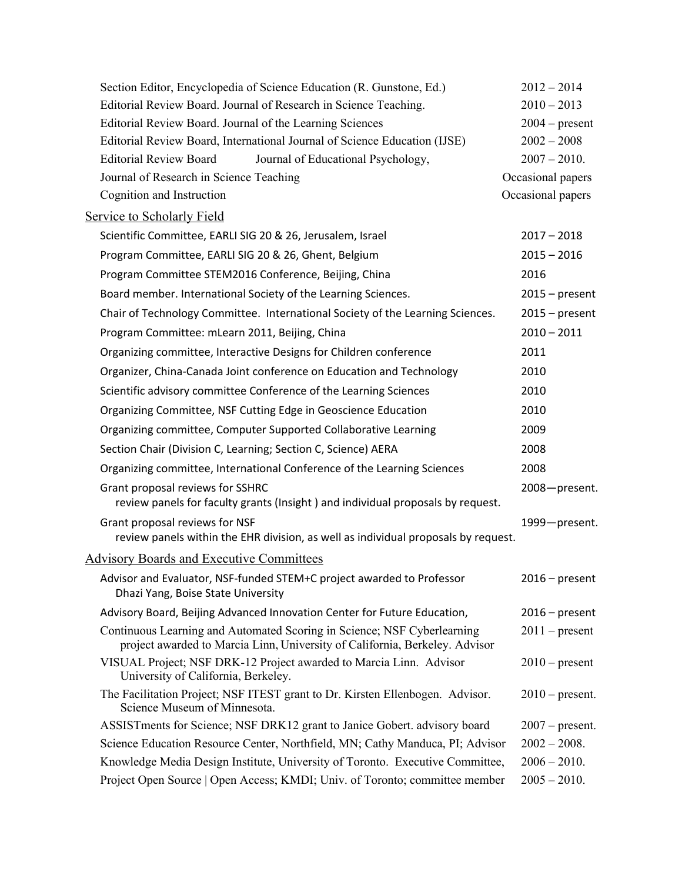| Section Editor, Encyclopedia of Science Education (R. Gunstone, Ed.)                                                                                   | $2012 - 2014$     |
|--------------------------------------------------------------------------------------------------------------------------------------------------------|-------------------|
| Editorial Review Board. Journal of Research in Science Teaching.                                                                                       | $2010 - 2013$     |
| Editorial Review Board. Journal of the Learning Sciences                                                                                               | $2004$ – present  |
| Editorial Review Board, International Journal of Science Education (IJSE)                                                                              | $2002 - 2008$     |
| <b>Editorial Review Board</b><br>Journal of Educational Psychology,                                                                                    | $2007 - 2010.$    |
| Journal of Research in Science Teaching                                                                                                                | Occasional papers |
| Cognition and Instruction                                                                                                                              | Occasional papers |
| <b>Service to Scholarly Field</b>                                                                                                                      |                   |
| Scientific Committee, EARLI SIG 20 & 26, Jerusalem, Israel                                                                                             | $2017 - 2018$     |
| Program Committee, EARLI SIG 20 & 26, Ghent, Belgium                                                                                                   | $2015 - 2016$     |
| Program Committee STEM2016 Conference, Beijing, China                                                                                                  | 2016              |
| Board member. International Society of the Learning Sciences.                                                                                          | $2015$ – present  |
| Chair of Technology Committee. International Society of the Learning Sciences.                                                                         | $2015$ – present  |
| Program Committee: mLearn 2011, Beijing, China                                                                                                         | $2010 - 2011$     |
| Organizing committee, Interactive Designs for Children conference                                                                                      | 2011              |
| Organizer, China-Canada Joint conference on Education and Technology                                                                                   | 2010              |
| Scientific advisory committee Conference of the Learning Sciences                                                                                      | 2010              |
| Organizing Committee, NSF Cutting Edge in Geoscience Education                                                                                         | 2010              |
| Organizing committee, Computer Supported Collaborative Learning                                                                                        | 2009              |
| Section Chair (Division C, Learning; Section C, Science) AERA                                                                                          | 2008              |
| Organizing committee, International Conference of the Learning Sciences                                                                                | 2008              |
| Grant proposal reviews for SSHRC<br>review panels for faculty grants (Insight) and individual proposals by request.                                    | 2008-present.     |
| Grant proposal reviews for NSF<br>review panels within the EHR division, as well as individual proposals by request.                                   | 1999-present.     |
| <b>Advisory Boards and Executive Committees</b>                                                                                                        |                   |
| Advisor and Evaluator, NSF-funded STEM+C project awarded to Professor<br>Dhazi Yang, Boise State University                                            | $2016$ – present  |
| Advisory Board, Beijing Advanced Innovation Center for Future Education,                                                                               | $2016$ – present  |
| Continuous Learning and Automated Scoring in Science; NSF Cyberlearning<br>project awarded to Marcia Linn, University of California, Berkeley. Advisor | $2011$ – present  |
| VISUAL Project; NSF DRK-12 Project awarded to Marcia Linn. Advisor<br>University of California, Berkeley.                                              | $2010$ – present  |
| The Facilitation Project; NSF ITEST grant to Dr. Kirsten Ellenbogen. Advisor.<br>Science Museum of Minnesota.                                          | $2010$ – present. |
| ASSISTments for Science; NSF DRK12 grant to Janice Gobert. advisory board                                                                              | $2007$ – present. |
| Science Education Resource Center, Northfield, MN; Cathy Manduca, PI; Advisor                                                                          | $2002 - 2008.$    |
| Knowledge Media Design Institute, University of Toronto. Executive Committee,                                                                          | $2006 - 2010.$    |
| Project Open Source   Open Access; KMDI; Univ. of Toronto; committee member                                                                            | $2005 - 2010.$    |
|                                                                                                                                                        |                   |